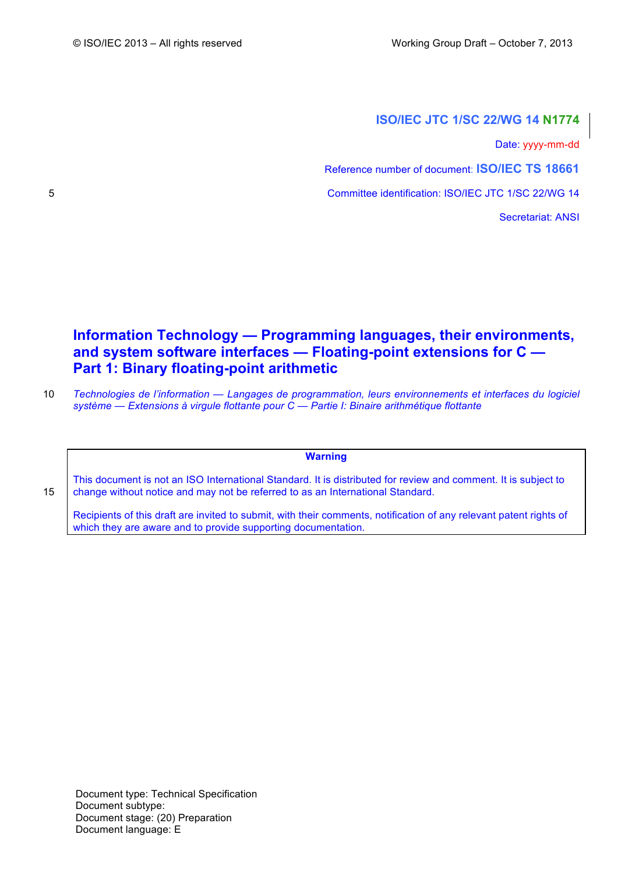# **ISO/IEC JTC 1/SC 22/WG 14 N1774**

Date: yyyy-mm-dd

Reference number of document: **ISO/IEC TS 18661**

5 Committee identification: ISO/IEC JTC 1/SC 22/WG 14

Secretariat: ANSI

# **Information Technology — Programming languages, their environments, and system software interfaces — Floating-point extensions for C — Part 1: Binary floating-point arithmetic**

10 *Technologies de l'information — Langages de programmation, leurs environnements et interfaces du logiciel système — Extensions à virgule flottante pour C — Partie I: Binaire arithmétique flottante*

**Warning**

This document is not an ISO International Standard. It is distributed for review and comment. It is subject to 15 change without notice and may not be referred to as an International Standard.

Recipients of this draft are invited to submit, with their comments, notification of any relevant patent rights of which they are aware and to provide supporting documentation.

Document type: Technical Specification Document subtype: Document stage: (20) Preparation Document language: E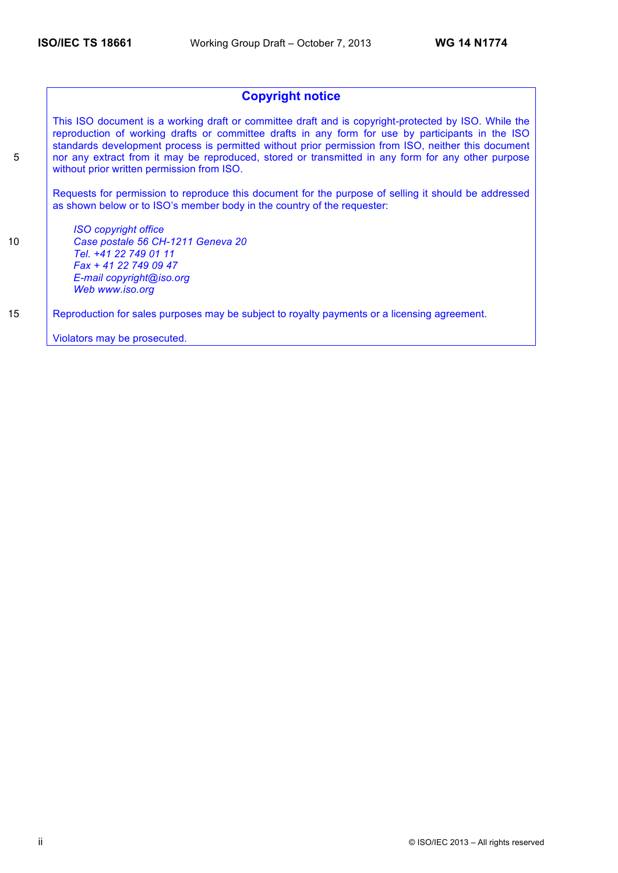# **Copyright notice**

This ISO document is a working draft or committee draft and is copyright-protected by ISO. While the reproduction of working drafts or committee drafts in any form for use by participants in the ISO standards development process is permitted without prior permission from ISO, neither this document 5 nor any extract from it may be reproduced, stored or transmitted in any form for any other purpose without prior written permission from ISO.

Requests for permission to reproduce this document for the purpose of selling it should be addressed as shown below or to ISO's member body in the country of the requester:

*ISO copyright office* 10 *Case postale 56 CH-1211 Geneva 20 Tel. +41 22 749 01 11 Fax + 41 22 749 09 47 E-mail copyright@iso.org Web www.iso.org*

15 Reproduction for sales purposes may be subject to royalty payments or a licensing agreement.

Violators may be prosecuted.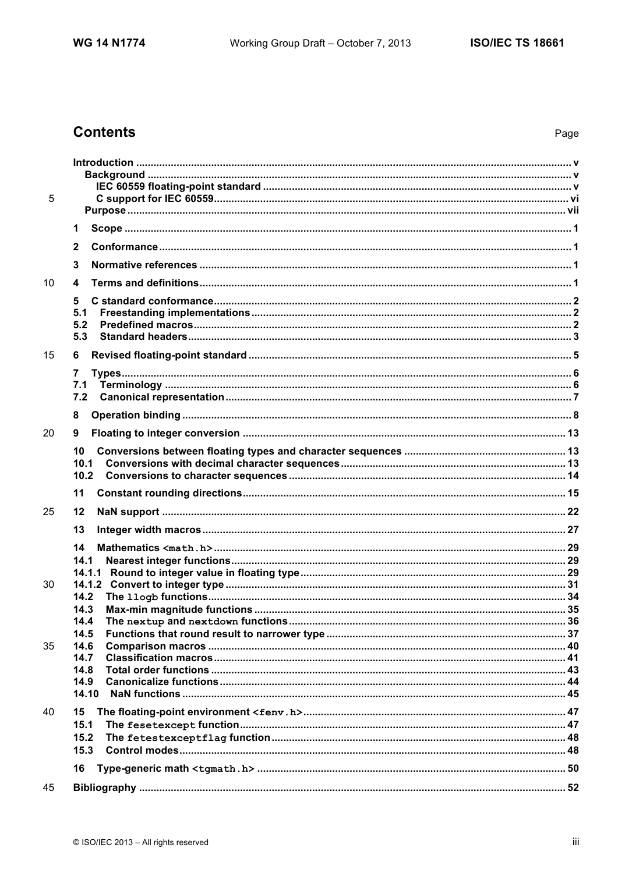# **Contents**

| 5  |              |  |
|----|--------------|--|
|    |              |  |
|    | 1            |  |
|    | $\mathbf{2}$ |  |
|    | 3            |  |
| 10 | 4            |  |
|    | 5            |  |
|    | 5.1          |  |
|    | 5.2          |  |
|    | 5.3          |  |
| 15 | 6            |  |
|    | 7            |  |
|    | 7.1          |  |
|    | 7.2          |  |
|    | 8            |  |
| 20 | 9            |  |
|    | 10           |  |
|    | 10.1         |  |
|    | 10.2         |  |
|    | 11           |  |
| 25 | 12           |  |
|    | 13           |  |
|    | 14           |  |
|    | 14.1         |  |
|    | 14.1.1       |  |
| 30 | 14.2         |  |
|    | 14.3         |  |
|    | 14.4         |  |
|    | 14.5         |  |
| 35 | 14.6         |  |
|    | 14.7         |  |
|    | 14.8<br>14.9 |  |
|    | 14.10        |  |
| 40 | 15           |  |
|    | 15.1         |  |
|    | 15.2         |  |
|    | 15.3         |  |
|    | 16           |  |
| 45 |              |  |
|    |              |  |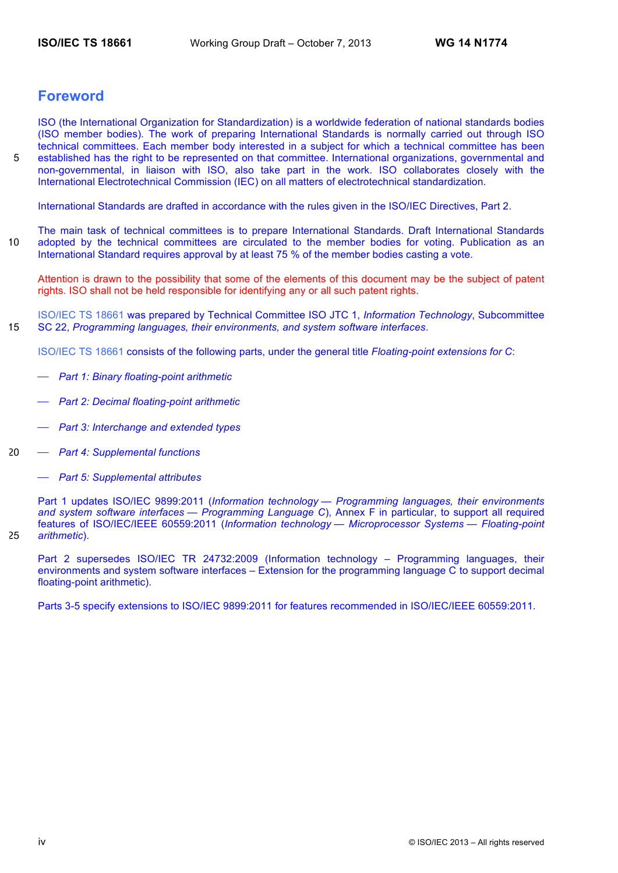# **Foreword**

ISO (the International Organization for Standardization) is a worldwide federation of national standards bodies (ISO member bodies). The work of preparing International Standards is normally carried out through ISO technical committees. Each member body interested in a subject for which a technical committee has been 5 established has the right to be represented on that committee. International organizations, governmental and non-governmental, in liaison with ISO, also take part in the work. ISO collaborates closely with the International Electrotechnical Commission (IEC) on all matters of electrotechnical standardization.

International Standards are drafted in accordance with the rules given in the ISO/IEC Directives, Part 2.

The main task of technical committees is to prepare International Standards. Draft International Standards 10 adopted by the technical committees are circulated to the member bodies for voting. Publication as an International Standard requires approval by at least 75 % of the member bodies casting a vote.

Attention is drawn to the possibility that some of the elements of this document may be the subject of patent rights. ISO shall not be held responsible for identifying any or all such patent rights.

ISO/IEC TS 18661 was prepared by Technical Committee ISO JTC 1, *Information Technology*, Subcommittee 15 SC 22, *Programming languages, their environments, and system software interfaces*.

ISO/IEC TS 18661 consists of the following parts, under the general title *Floating-point extensions for C*:

- ⎯ *Part 1: Binary floating-point arithmetic*
- ⎯ *Part 2: Decimal floating-point arithmetic*
- ⎯ *Part 3: Interchange and extended types*
- 20 ⎯ *Part 4: Supplemental functions*
	- ⎯ *Part 5: Supplemental attributes*

Part 1 updates ISO/IEC 9899:2011 (*Information technology — Programming languages, their environments and system software interfaces — Programming Language C*), Annex F in particular, to support all required features of ISO/IEC/IEEE 60559:2011 (*Information technology — Microprocessor Systems — Floating-point*  25 *arithmetic*).

Part 2 supersedes ISO/IEC TR 24732:2009 (Information technology – Programming languages, their environments and system software interfaces – Extension for the programming language C to support decimal floating-point arithmetic).

Parts 3-5 specify extensions to ISO/IEC 9899:2011 for features recommended in ISO/IEC/IEEE 60559:2011.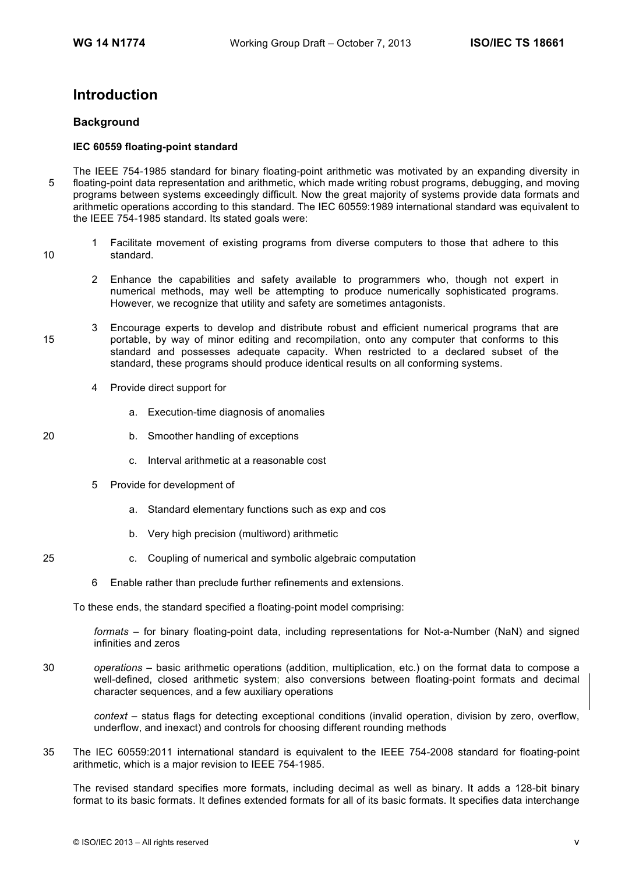# **Introduction**

# **Background**

# **IEC 60559 floating-point standard**

- The IEEE 754-1985 standard for binary floating-point arithmetic was motivated by an expanding diversity in 5 floating-point data representation and arithmetic, which made writing robust programs, debugging, and moving programs between systems exceedingly difficult. Now the great majority of systems provide data formats and arithmetic operations according to this standard. The IEC 60559:1989 international standard was equivalent to the IEEE 754-1985 standard. Its stated goals were:
- 1 Facilitate movement of existing programs from diverse computers to those that adhere to this 10 standard.
	- 2 Enhance the capabilities and safety available to programmers who, though not expert in numerical methods, may well be attempting to produce numerically sophisticated programs. However, we recognize that utility and safety are sometimes antagonists.
- 3 Encourage experts to develop and distribute robust and efficient numerical programs that are 15 portable, by way of minor editing and recompilation, onto any computer that conforms to this standard and possesses adequate capacity. When restricted to a declared subset of the standard, these programs should produce identical results on all conforming systems.
	- 4 Provide direct support for
		- a. Execution-time diagnosis of anomalies
- 20 b. Smoother handling of exceptions
	- c. Interval arithmetic at a reasonable cost
	- 5 Provide for development of
		- a. Standard elementary functions such as exp and cos
		- b. Very high precision (multiword) arithmetic
- 25 c. Coupling of numerical and symbolic algebraic computation
	- 6 Enable rather than preclude further refinements and extensions.

To these ends, the standard specified a floating-point model comprising:

*formats* – for binary floating-point data, including representations for Not-a-Number (NaN) and signed infinities and zeros

30 *operations* – basic arithmetic operations (addition, multiplication, etc.) on the format data to compose a well-defined, closed arithmetic system; also conversions between floating-point formats and decimal character sequences, and a few auxiliary operations

*context* – status flags for detecting exceptional conditions (invalid operation, division by zero, overflow, underflow, and inexact) and controls for choosing different rounding methods

35 The IEC 60559:2011 international standard is equivalent to the IEEE 754-2008 standard for floating-point arithmetic, which is a major revision to IEEE 754-1985.

The revised standard specifies more formats, including decimal as well as binary. It adds a 128-bit binary format to its basic formats. It defines extended formats for all of its basic formats. It specifies data interchange

- 
-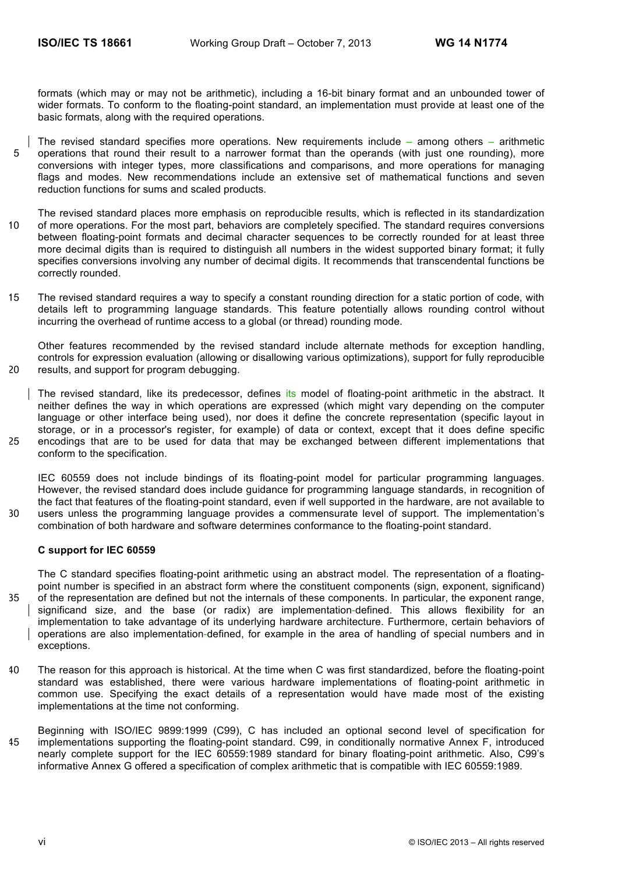formats (which may or may not be arithmetic), including a 16-bit binary format and an unbounded tower of wider formats. To conform to the floating-point standard, an implementation must provide at least one of the basic formats, along with the required operations.

- The revised standard specifies more operations. New requirements include among others arithmetic 5 operations that round their result to a narrower format than the operands (with just one rounding), more conversions with integer types, more classifications and comparisons, and more operations for managing flags and modes. New recommendations include an extensive set of mathematical functions and seven reduction functions for sums and scaled products.
- The revised standard places more emphasis on reproducible results, which is reflected in its standardization 10 of more operations. For the most part, behaviors are completely specified. The standard requires conversions between floating-point formats and decimal character sequences to be correctly rounded for at least three more decimal digits than is required to distinguish all numbers in the widest supported binary format; it fully specifies conversions involving any number of decimal digits. It recommends that transcendental functions be correctly rounded.
- 15 The revised standard requires a way to specify a constant rounding direction for a static portion of code, with details left to programming language standards. This feature potentially allows rounding control without incurring the overhead of runtime access to a global (or thread) rounding mode.

Other features recommended by the revised standard include alternate methods for exception handling, controls for expression evaluation (allowing or disallowing various optimizations), support for fully reproducible 20 results, and support for program debugging.

The revised standard, like its predecessor, defines its model of floating-point arithmetic in the abstract. It neither defines the way in which operations are expressed (which might vary depending on the computer language or other interface being used), nor does it define the concrete representation (specific layout in storage, or in a processor's register, for example) of data or context, except that it does define specific 25 encodings that are to be used for data that may be exchanged between different implementations that conform to the specification.

IEC 60559 does not include bindings of its floating-point model for particular programming languages. However, the revised standard does include guidance for programming language standards, in recognition of the fact that features of the floating-point standard, even if well supported in the hardware, are not available to 30 users unless the programming language provides a commensurate level of support. The implementation's combination of both hardware and software determines conformance to the floating-point standard.

#### **C support for IEC 60559**

The C standard specifies floating-point arithmetic using an abstract model. The representation of a floatingpoint number is specified in an abstract form where the constituent components (sign, exponent, significand) 35 of the representation are defined but not the internals of these components. In particular, the exponent range, significand size, and the base (or radix) are implementation-defined. This allows flexibility for an implementation to take advantage of its underlying hardware architecture. Furthermore, certain behaviors of operations are also implementation-defined, for example in the area of handling of special numbers and in exceptions.

- 40 The reason for this approach is historical. At the time when C was first standardized, before the floating-point standard was established, there were various hardware implementations of floating-point arithmetic in common use. Specifying the exact details of a representation would have made most of the existing implementations at the time not conforming.
- Beginning with ISO/IEC 9899:1999 (C99), C has included an optional second level of specification for 45 implementations supporting the floating-point standard. C99, in conditionally normative Annex F, introduced nearly complete support for the IEC 60559:1989 standard for binary floating-point arithmetic. Also, C99's informative Annex G offered a specification of complex arithmetic that is compatible with IEC 60559:1989.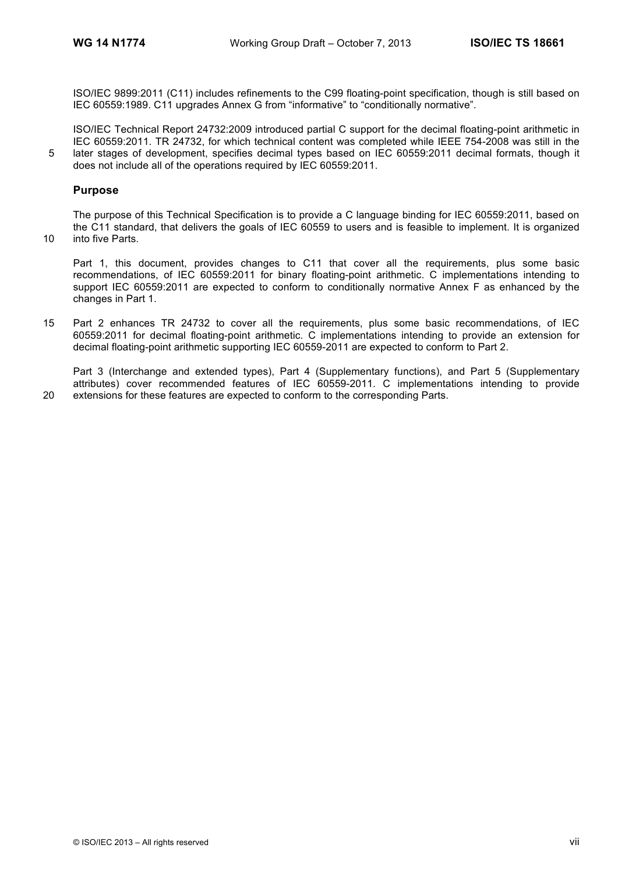ISO/IEC 9899:2011 (C11) includes refinements to the C99 floating-point specification, though is still based on IEC 60559:1989. C11 upgrades Annex G from "informative" to "conditionally normative".

ISO/IEC Technical Report 24732:2009 introduced partial C support for the decimal floating-point arithmetic in IEC 60559:2011. TR 24732, for which technical content was completed while IEEE 754-2008 was still in the 5 later stages of development, specifies decimal types based on IEC 60559:2011 decimal formats, though it does not include all of the operations required by IEC 60559:2011.

# **Purpose**

The purpose of this Technical Specification is to provide a C language binding for IEC 60559:2011, based on the C11 standard, that delivers the goals of IEC 60559 to users and is feasible to implement. It is organized 10 into five Parts.

Part 1, this document, provides changes to C11 that cover all the requirements, plus some basic recommendations, of IEC 60559:2011 for binary floating-point arithmetic. C implementations intending to support IEC 60559:2011 are expected to conform to conditionally normative Annex F as enhanced by the changes in Part 1.

15 Part 2 enhances TR 24732 to cover all the requirements, plus some basic recommendations, of IEC 60559:2011 for decimal floating-point arithmetic. C implementations intending to provide an extension for decimal floating-point arithmetic supporting IEC 60559-2011 are expected to conform to Part 2.

Part 3 (Interchange and extended types), Part 4 (Supplementary functions), and Part 5 (Supplementary attributes) cover recommended features of IEC 60559-2011. C implementations intending to provide 20 extensions for these features are expected to conform to the corresponding Parts.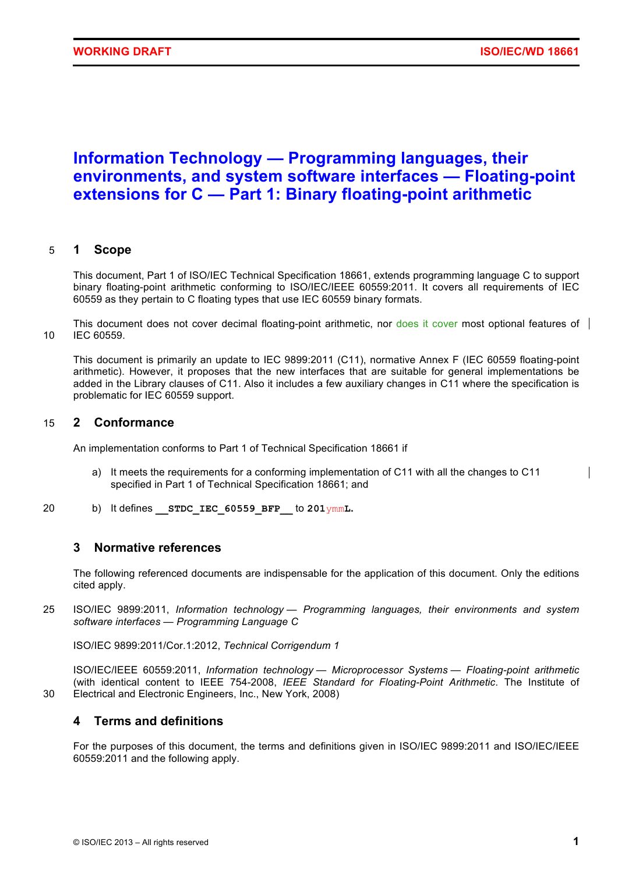# **Information Technology — Programming languages, their environments, and system software interfaces — Floating-point extensions for C — Part 1: Binary floating-point arithmetic**

# 5 **1 Scope**

This document, Part 1 of ISO/IEC Technical Specification 18661, extends programming language C to support binary floating-point arithmetic conforming to ISO/IEC/IEEE 60559:2011. It covers all requirements of IEC 60559 as they pertain to C floating types that use IEC 60559 binary formats.

This document does not cover decimal floating-point arithmetic, nor does it cover most optional features of 10 IEC 60559.

This document is primarily an update to IEC 9899:2011 (C11), normative Annex F (IEC 60559 floating-point arithmetic). However, it proposes that the new interfaces that are suitable for general implementations be added in the Library clauses of C11. Also it includes a few auxiliary changes in C11 where the specification is problematic for IEC 60559 support.

# 15 **2 Conformance**

An implementation conforms to Part 1 of Technical Specification 18661 if

- a) It meets the requirements for a conforming implementation of C11 with all the changes to C11 specified in Part 1 of Technical Specification 18661; and
- 20 b) It defines **\_\_STDC\_IEC\_60559\_BFP\_\_** to **201**ymm**L.**

# **3 Normative references**

The following referenced documents are indispensable for the application of this document. Only the editions cited apply.

25 ISO/IEC 9899:2011, *Information technology — Programming languages, their environments and system software interfaces — Programming Language C*

ISO/IEC 9899:2011/Cor.1:2012, *Technical Corrigendum 1*

ISO/IEC/IEEE 60559:2011, *Information technology — Microprocessor Systems — Floating-point arithmetic* (with identical content to IEEE 754-2008, *IEEE Standard for Floating-Point Arithmetic*. The Institute of 30 Electrical and Electronic Engineers, Inc., New York, 2008)

# **4 Terms and definitions**

For the purposes of this document, the terms and definitions given in ISO/IEC 9899:2011 and ISO/IEC/IEEE 60559:2011 and the following apply.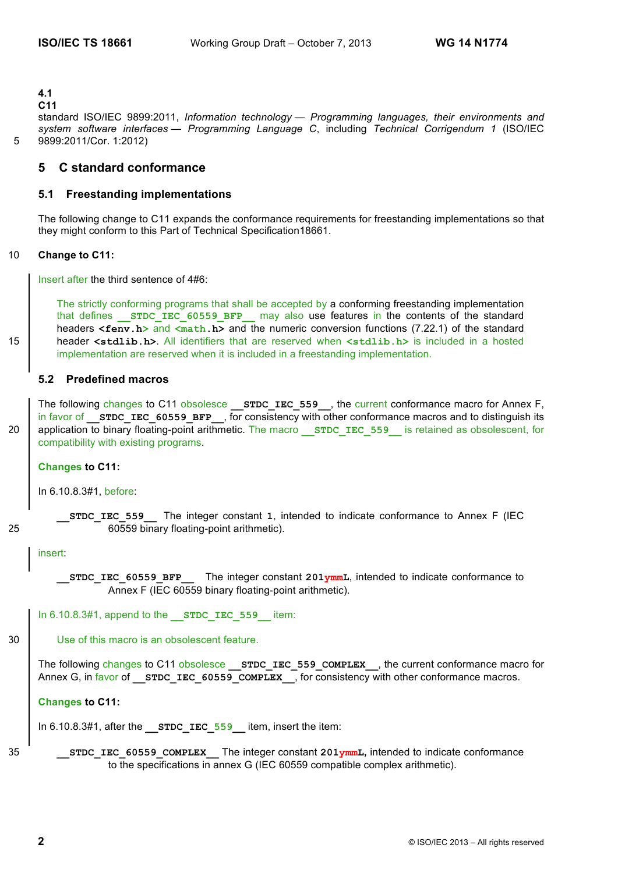**4.1**

#### **C11**

standard ISO/IEC 9899:2011, *Information technology — Programming languages, their environments and system software interfaces — Programming Language C*, including *Technical Corrigendum 1* (ISO/IEC 5 9899:2011/Cor. 1:2012)

# **5 C standard conformance**

# **5.1 Freestanding implementations**

The following change to C11 expands the conformance requirements for freestanding implementations so that they might conform to this Part of Technical Specification18661.

#### 10 **Change to C11:**

Insert after the third sentence of 4#6:

The strictly conforming programs that shall be accepted by a conforming freestanding implementation that defines **STDC IEC 60559 BFP** may also use features in the contents of the standard headers **<feny.h>** and **<math.h>** and the numeric conversion functions (7.22.1) of the standard 15 header **<stdlib.h>**. All identifiers that are reserved when **<stdlib.h>** is included in a hosted implementation are reserved when it is included in a freestanding implementation.

# **5.2 Predefined macros**

The following changes to C11 obsolesce **STDC\_IEC\_559**, the current conformance macro for Annex F, in favor of **STDC IEC 60559 BFP**, for consistency with other conformance macros and to distinguish its 20 application to binary floating-point arithmetic. The macro **STDC IEC 559** is retained as obsolescent, for compatibility with existing programs.

**Changes to C11:** 

In 6.10.8.3#1, before:

**\_\_STDC\_IEC\_559\_\_** The integer constant **1**, intended to indicate conformance to Annex F (IEC 25 60559 binary floating-point arithmetic).

insert:

```
STDC IEC 60559 BFP The integer constant 201ymmL, intended to indicate conformance to
       Annex F (IEC 60559 binary floating-point arithmetic).
```
In 6.10.8.3#1, append to the **STDC IEC 559** item:

```
30 Use of this macro is an obsolescent feature.
```
The following changes to C11 obsolesce **STDC\_IEC\_559\_COMPLEX**, the current conformance macro for Annex G, in favor of **STDC** IEC 60559 COMPLEX , for consistency with other conformance macros.

#### **Changes to C11:**

In 6.10.8.3#1, after the **STDC IEC 559** item, insert the item:

35 **\_\_STDC\_IEC\_60559\_COMPLEX\_\_** The integer constant **201ymmL,** intended to indicate conformance to the specifications in annex G (IEC 60559 compatible complex arithmetic).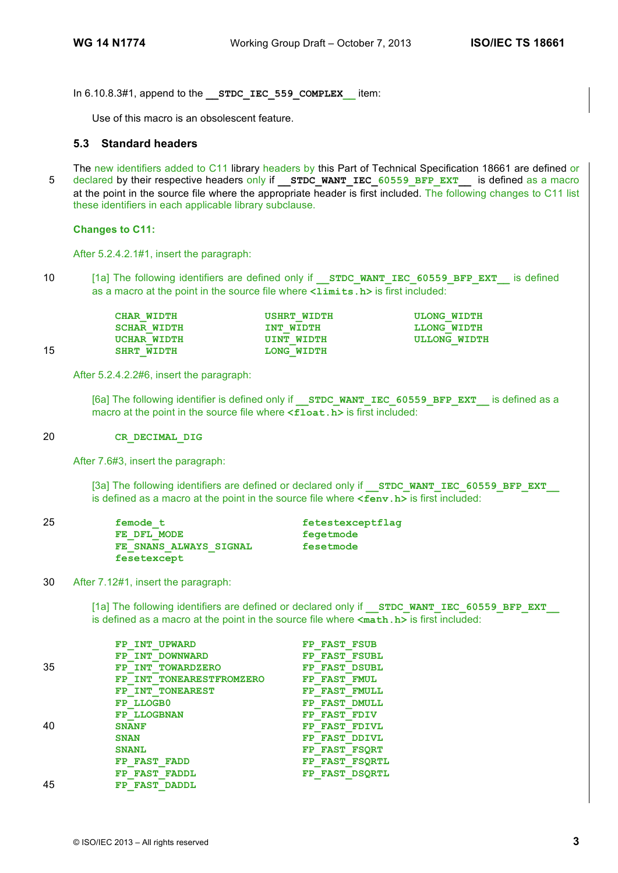In 6.10.8.3#1, append to the **\_\_STDC\_IEC\_559\_COMPLEX\_\_** item:

Use of this macro is an obsolescent feature.

# **5.3 Standard headers**

The new identifiers added to C11 library headers by this Part of Technical Specification 18661 are defined or 5 declared by their respective headers only if **\_\_STDC\_WANT\_IEC\_60559\_BFP\_EXT\_\_** is defined as a macro at the point in the source file where the appropriate header is first included. The following changes to C11 list these identifiers in each applicable library subclause.

#### **Changes to C11:**

After 5.2.4.2.1#1, insert the paragraph:

10 [1a] The following identifiers are defined only if **STDC WANT IEC 60559 BFP EXT** is defined as a macro at the point in the source file where **<limits.h>** is first included:

|    | <b>CHAR WIDTH</b>  | <b>USHRT WIDTH</b> | <b>ULONG WIDTH</b> |
|----|--------------------|--------------------|--------------------|
|    | <b>SCHAR WIDTH</b> | INT WIDTH          | LLONG WIDTH        |
|    | UCHAR WIDTH        | UINT WIDTH         | ULLONG WIDTH       |
| 15 | <b>SHRT WIDTH</b>  | LONG WIDTH         |                    |

After 5.2.4.2.2#6, insert the paragraph:

[6a] The following identifier is defined only if **STDC WANT IEC 60559 BFP EXT** is defined as a macro at the point in the source file where  $\leq$ **float.h>** is first included:

#### 20 **CR\_DECIMAL\_DIG**

After 7.6#3, insert the paragraph:

[3a] The following identifiers are defined or declared only if **STDC WANT IEC 60559 BFP EXT** is defined as a macro at the point in the source file where **<fenv.h>** is first included:

| 25 | femode t               | fetestexceptflag |
|----|------------------------|------------------|
|    | FE DFL MODE            | fegetmode        |
|    | FE SNANS ALWAYS SIGNAL | fesetmode        |
|    | fesetexcept            |                  |

30 After 7.12#1, insert the paragraph:

[1a] The following identifiers are defined or declared only if **STDC WANT IEC 60559 BFP EXT** is defined as a macro at the point in the source file where **<math.h>** is first included:

|    | FP INT UPWARD            | FP FAST FSUB   |
|----|--------------------------|----------------|
|    | FP INT DOWNWARD          | FP FAST FSUBL  |
| 35 | FP INT TOWARDZERO        | FP FAST DSUBL  |
|    | FP INT TONEARESTFROMZERO | FP FAST FMUL   |
|    | FP INT TONEAREST         | FP FAST FMULL  |
|    | FP LLOGB0                | FP FAST DMULL  |
|    | <b>FP LLOGBNAN</b>       | FP FAST FDIV   |
| 40 | <b>SNANF</b>             | FP FAST FDIVL  |
|    | <b>SNAN</b>              | FP FAST DDIVL  |
|    | <b>SNANL</b>             | FP FAST FSORT  |
|    | FP FAST FADD             | FP FAST FSORTL |
|    | FP FAST<br><b>FADDL</b>  | FP FAST DSORTL |
| 45 | <b>FAST DADDL</b><br>FP  |                |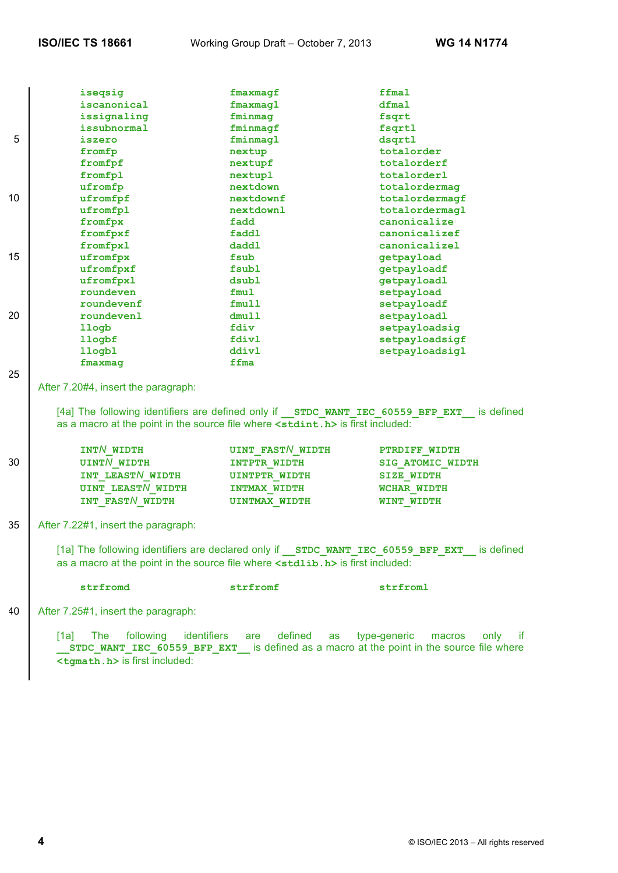|    | iseqsig                                                                                   | fmaxmagf                | ffmal                                                                                      |
|----|-------------------------------------------------------------------------------------------|-------------------------|--------------------------------------------------------------------------------------------|
|    | iscanonical                                                                               | fmaxmagl                | dfmal                                                                                      |
|    | issignaling                                                                               | fminmag                 | fsqrt                                                                                      |
|    | issubnormal                                                                               | fminmagf                | fsqrtl                                                                                     |
| 5  | iszero                                                                                    | fminmagl                | dsqrtl                                                                                     |
|    | fromfp                                                                                    | nextup                  | totalorder                                                                                 |
|    | fromfpf                                                                                   | nextupf                 | totalorderf                                                                                |
|    | fromfpl                                                                                   | nextupl                 | totalorderl                                                                                |
|    | ufromfp                                                                                   | nextdown                | totalordermag                                                                              |
| 10 | ufromfpf                                                                                  | nextdownf               | totalordermagf                                                                             |
|    | ufromfpl                                                                                  | nextdownl               | totalordermagl                                                                             |
|    | fromfpx                                                                                   | fadd                    | canonicalize                                                                               |
|    | fromfpxf                                                                                  | faddl                   | canonicalizef                                                                              |
|    | fromfpxl                                                                                  | daddl                   | canonicalizel                                                                              |
| 15 | ufromfpx                                                                                  | fsub                    | getpayload                                                                                 |
|    | ufromfpxf                                                                                 | fsubl                   | getpayloadf                                                                                |
|    | ufromfpxl                                                                                 | dsubl                   | getpayloadl                                                                                |
|    | roundeven                                                                                 | fmul                    | setpayload                                                                                 |
|    | roundevenf                                                                                | fmull                   | setpayloadf                                                                                |
| 20 | roundevenl                                                                                | dmull                   | setpayloadl                                                                                |
|    | llogb                                                                                     | fdiv                    | setpayloadsig                                                                              |
|    | llogbf                                                                                    | fdivl                   | setpayloadsigf                                                                             |
|    | llogbl                                                                                    | ddivl                   | setpayloadsigl                                                                             |
|    | fmaxmag                                                                                   | ffma                    |                                                                                            |
| 25 |                                                                                           |                         |                                                                                            |
|    | After 7.20#4, insert the paragraph:                                                       |                         |                                                                                            |
|    | as a macro at the point in the source file where <stdint.h> is first included:</stdint.h> |                         | [4a] The following identifiers are defined only if STDC WANT IEC 60559 BFP EXT is defined  |
|    | INTN WIDTH                                                                                | <b>UINT FASTN WIDTH</b> | PTRDIFF WIDTH                                                                              |
| 30 | <b>UINTN WIDTH</b>                                                                        | INTPTR WIDTH            | SIG ATOMIC WIDTH                                                                           |
|    | INT LEAST/ WIDTH                                                                          | <b>UINTPTR WIDTH</b>    | <b>SIZE WIDTH</b>                                                                          |
|    | <b>UINT LEAST/WIDTH</b>                                                                   |                         |                                                                                            |
|    |                                                                                           | <b>INTMAX WIDTH</b>     | WCHAR WIDTH                                                                                |
|    | INT FASTN WIDTH                                                                           | <b>UINTMAX WIDTH</b>    | WINT WIDTH                                                                                 |
| 35 | After 7.22#1, insert the paragraph:                                                       |                         |                                                                                            |
|    | as a macro at the point in the source file where <stdlib.h> is first included:</stdlib.h> |                         | [1a] The following identifiers are declared only if STDC WANT IEC 60559 BFP EXT is defined |
|    | strfromd                                                                                  | strfromf                | strfroml                                                                                   |

40 After 7.25#1, insert the paragraph:

[1a] The following identifiers are defined as type-generic macros only if **\_\_STDC\_WANT\_IEC\_60559\_BFP\_EXT\_\_** is defined as a macro at the point in the source file where **<tgmath.h>** is first included: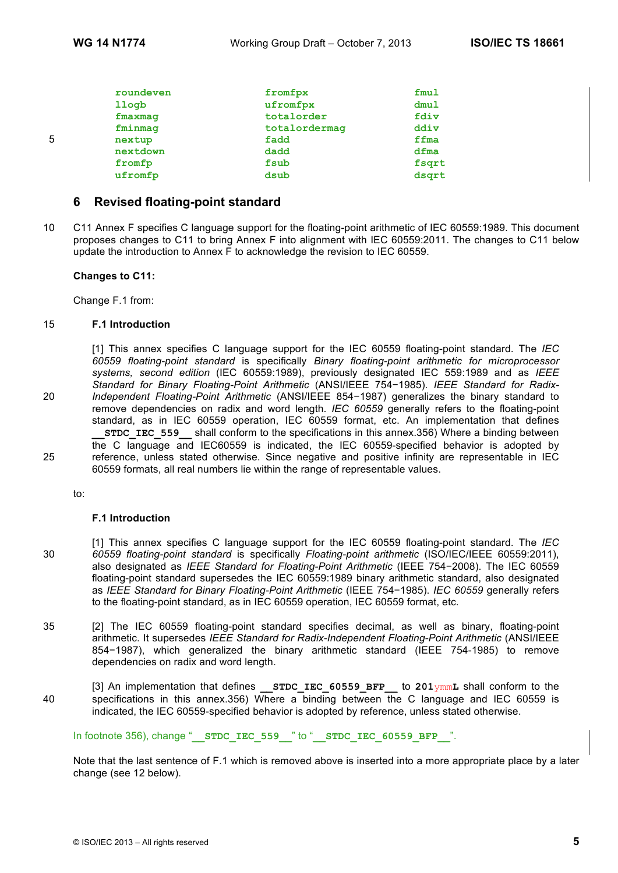|   | roundeven | fromfpx       | fmul  |
|---|-----------|---------------|-------|
|   | llogb     | ufromfpx      | dmul  |
|   | fmaxmag   | totalorder    | fdiv  |
|   | fminmag   | totalordermag | ddiv  |
| 5 | nextup    | fadd          | ffma  |
|   | nextdown  | dadd          | dfma  |
|   | fromfp    | fsub          | fsqrt |
|   | ufromfp   | dsub          | dsqrt |
|   |           |               |       |

# **6 Revised floating-point standard**

10 C11 Annex F specifies C language support for the floating-point arithmetic of IEC 60559:1989. This document proposes changes to C11 to bring Annex F into alignment with IEC 60559:2011. The changes to C11 below update the introduction to Annex F to acknowledge the revision to IEC 60559.

#### **Changes to C11:**

Change F.1 from:

#### 15 **F.1 Introduction**

[1] This annex specifies C language support for the IEC 60559 floating-point standard. The *IEC 60559 floating-point standard* is specifically *Binary floating-point arithmetic for microprocessor systems, second edition* (IEC 60559:1989), previously designated IEC 559:1989 and as *IEEE Standard for Binary Floating-Point Arithmetic* (ANSI/IEEE 754−1985). *IEEE Standard for Radix-*20 *Independent Floating-Point Arithmetic* (ANSI/IEEE 854−1987) generalizes the binary standard to remove dependencies on radix and word length. *IEC 60559* generally refers to the floating-point standard, as in IEC 60559 operation, IEC 60559 format, etc. An implementation that defines **STDC\_IEC\_559\_\_\_** shall conform to the specifications in this annex.356) Where a binding between the C language and IEC60559 is indicated, the IEC 60559-specified behavior is adopted by 25 reference, unless stated otherwise. Since negative and positive infinity are representable in IEC 60559 formats, all real numbers lie within the range of representable values.

to:

#### **F.1 Introduction**

- [1] This annex specifies C language support for the IEC 60559 floating-point standard. The *IEC*  30 *60559 floating-point standard* is specifically *Floating-point arithmetic* (ISO/IEC/IEEE 60559:2011), also designated as *IEEE Standard for Floating-Point Arithmetic* (IEEE 754−2008). The IEC 60559 floating-point standard supersedes the IEC 60559:1989 binary arithmetic standard, also designated as *IEEE Standard for Binary Floating-Point Arithmetic* (IEEE 754−1985). *IEC 60559* generally refers to the floating-point standard, as in IEC 60559 operation, IEC 60559 format, etc.
- 35 [2] The IEC 60559 floating-point standard specifies decimal, as well as binary, floating-point arithmetic. It supersedes *IEEE Standard for Radix-Independent Floating-Point Arithmetic* (ANSI/IEEE 854−1987), which generalized the binary arithmetic standard (IEEE 754-1985) to remove dependencies on radix and word length.
- [3] An implementation that defines **\_\_STDC\_IEC\_60559\_BFP\_\_** to **201**ymm**L** shall conform to the 40 specifications in this annex.356) Where a binding between the C language and IEC 60559 is indicated, the IEC 60559-specified behavior is adopted by reference, unless stated otherwise.

In footnote 356), change "**\_\_STDC\_IEC\_559\_\_**" to "**\_\_STDC\_IEC\_60559\_BFP\_\_**".

Note that the last sentence of F.1 which is removed above is inserted into a more appropriate place by a later change (see 12 below).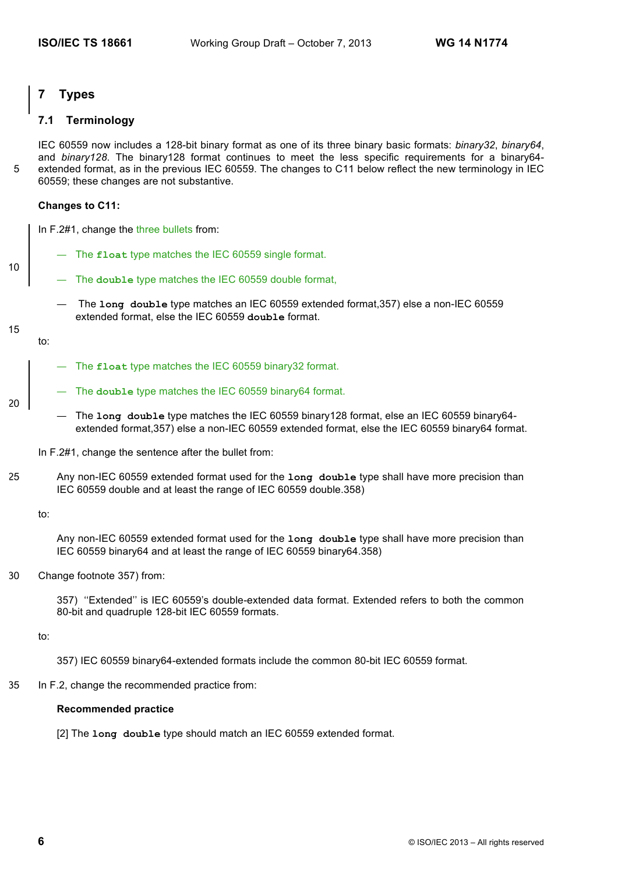# **7 Types**

# **7.1 Terminology**

IEC 60559 now includes a 128-bit binary format as one of its three binary basic formats: *binary32*, *binary64*, and *binary128*. The binary128 format continues to meet the less specific requirements for a binary64-5 extended format, as in the previous IEC 60559. The changes to C11 below reflect the new terminology in IEC 60559; these changes are not substantive.

#### **Changes to C11:**

In F.2#1, change the three bullets from:

- The **float** type matches the IEC 60559 single format.
- The **double** type matches the IEC 60559 double format,
	- The **long double** type matches an IEC 60559 extended format,357) else a non-IEC 60559 extended format, else the IEC 60559 **double** format.

15

20

to:

10

- The **float** type matches the IEC 60559 binary32 format.
- The **double** type matches the IEC 60559 binary64 format.
- The **long double** type matches the IEC 60559 binary128 format, else an IEC 60559 binary64 extended format,357) else a non-IEC 60559 extended format, else the IEC 60559 binary64 format.
- In F.2#1, change the sentence after the bullet from:
- 25 Any non-IEC 60559 extended format used for the **long double** type shall have more precision than IEC 60559 double and at least the range of IEC 60559 double.358)

to:

Any non-IEC 60559 extended format used for the **long double** type shall have more precision than IEC 60559 binary64 and at least the range of IEC 60559 binary64.358)

30 Change footnote 357) from:

357) ''Extended'' is IEC 60559's double-extended data format. Extended refers to both the common 80-bit and quadruple 128-bit IEC 60559 formats.

to:

357) IEC 60559 binary64-extended formats include the common 80-bit IEC 60559 format.

35 In F.2, change the recommended practice from:

#### **Recommended practice**

[2] The **long double** type should match an IEC 60559 extended format.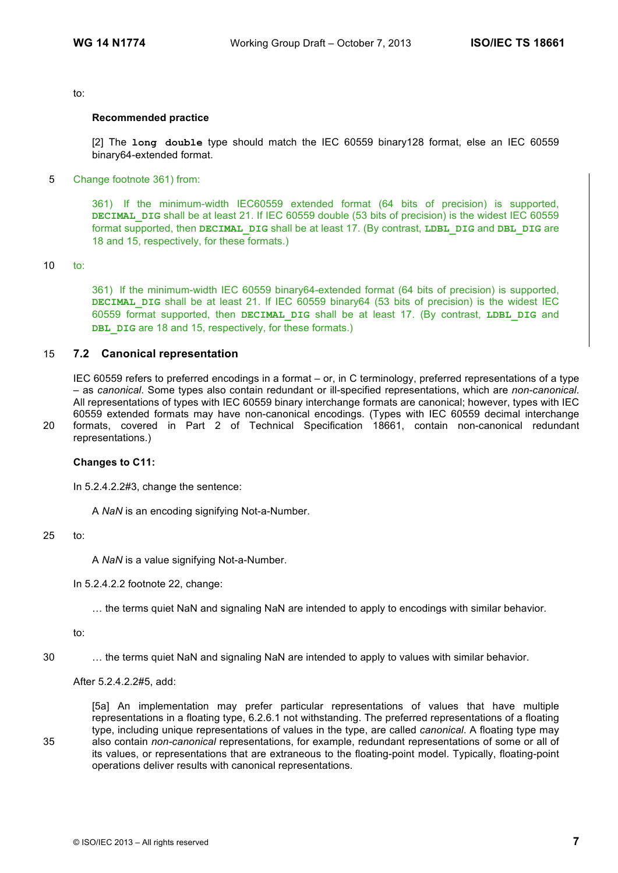#### to:

# **Recommended practice**

[2] The **long double** type should match the IEC 60559 binary128 format, else an IEC 60559 binary64-extended format.

5 Change footnote 361) from:

361) If the minimum-width IEC60559 extended format (64 bits of precision) is supported, **DECIMAL\_DIG** shall be at least 21. If IEC 60559 double (53 bits of precision) is the widest IEC 60559 format supported, then **DECIMAL\_DIG** shall be at least 17. (By contrast, **LDBL\_DIG** and **DBL\_DIG** are 18 and 15, respectively, for these formats.)

#### 10 to:

361) If the minimum-width IEC 60559 binary64-extended format (64 bits of precision) is supported, **DECIMAL DIG** shall be at least 21. If IEC 60559 binary64 (53 bits of precision) is the widest IEC 60559 format supported, then **DECIMAL\_DIG** shall be at least 17. (By contrast, **LDBL\_DIG** and **DBL** DIG are 18 and 15, respectively, for these formats.)

# 15 **7.2 Canonical representation**

IEC 60559 refers to preferred encodings in a format – or, in C terminology, preferred representations of a type – as *canonical*. Some types also contain redundant or ill-specified representations, which are *non-canonical*. All representations of types with IEC 60559 binary interchange formats are canonical; however, types with IEC 60559 extended formats may have non-canonical encodings. (Types with IEC 60559 decimal interchange 20 formats, covered in Part 2 of Technical Specification 18661, contain non-canonical redundant

representations.)

## **Changes to C11:**

In 5.2.4.2.2#3, change the sentence:

A *NaN* is an encoding signifying Not-a-Number.

#### 25 to:

A *NaN* is a value signifying Not-a-Number.

#### In 5.2.4.2.2 footnote 22, change:

… the terms quiet NaN and signaling NaN are intended to apply to encodings with similar behavior.

to:

30 … the terms quiet NaN and signaling NaN are intended to apply to values with similar behavior.

#### After 5.2.4.2.2#5, add:

[5a] An implementation may prefer particular representations of values that have multiple representations in a floating type, 6.2.6.1 not withstanding. The preferred representations of a floating type, including unique representations of values in the type, are called *canonical*. A floating type may 35 also contain *non-canonical* representations, for example, redundant representations of some or all of its values, or representations that are extraneous to the floating-point model. Typically, floating-point operations deliver results with canonical representations.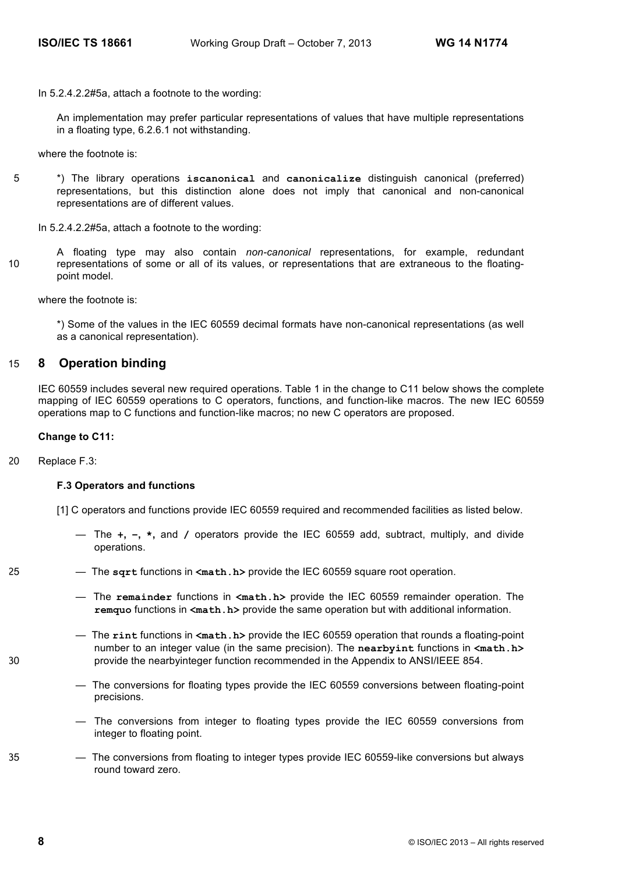In 5.2.4.2.2#5a, attach a footnote to the wording:

An implementation may prefer particular representations of values that have multiple representations in a floating type, 6.2.6.1 not withstanding.

where the footnote is:

5 \*) The library operations **iscanonical** and **canonicalize** distinguish canonical (preferred) representations, but this distinction alone does not imply that canonical and non-canonical representations are of different values.

In 5.2.4.2.2#5a, attach a footnote to the wording:

A floating type may also contain *non-canonical* representations, for example, redundant 10 representations of some or all of its values, or representations that are extraneous to the floatingpoint model.

where the footnote is:

\*) Some of the values in the IEC 60559 decimal formats have non-canonical representations (as well as a canonical representation).

# 15 **8 Operation binding**

IEC 60559 includes several new required operations. Table 1 in the change to C11 below shows the complete mapping of IEC 60559 operations to C operators, functions, and function-like macros. The new IEC 60559 operations map to C functions and function-like macros; no new C operators are proposed.

#### **Change to C11:**

20 Replace F.3:

#### **F.3 Operators and functions**

[1] C operators and functions provide IEC 60559 required and recommended facilities as listed below.

- The **+, −, \*,** and **/** operators provide the IEC 60559 add, subtract, multiply, and divide operations.
- 25 The **sqrt** functions in **<math.h>** provide the IEC 60559 square root operation.
	- The **remainder** functions in **<math.h>** provide the IEC 60559 remainder operation. The **remquo** functions in **<math.h>** provide the same operation but with additional information.
- The **rint** functions in **<math.h>** provide the IEC 60559 operation that rounds a floating-point number to an integer value (in the same precision). The **nearbyint** functions in **<math.h>** 30 provide the nearbyinteger function recommended in the Appendix to ANSI/IEEE 854.
	- The conversions for floating types provide the IEC 60559 conversions between floating-point precisions.
	- The conversions from integer to floating types provide the IEC 60559 conversions from integer to floating point.
- 35 The conversions from floating to integer types provide IEC 60559-like conversions but always round toward zero.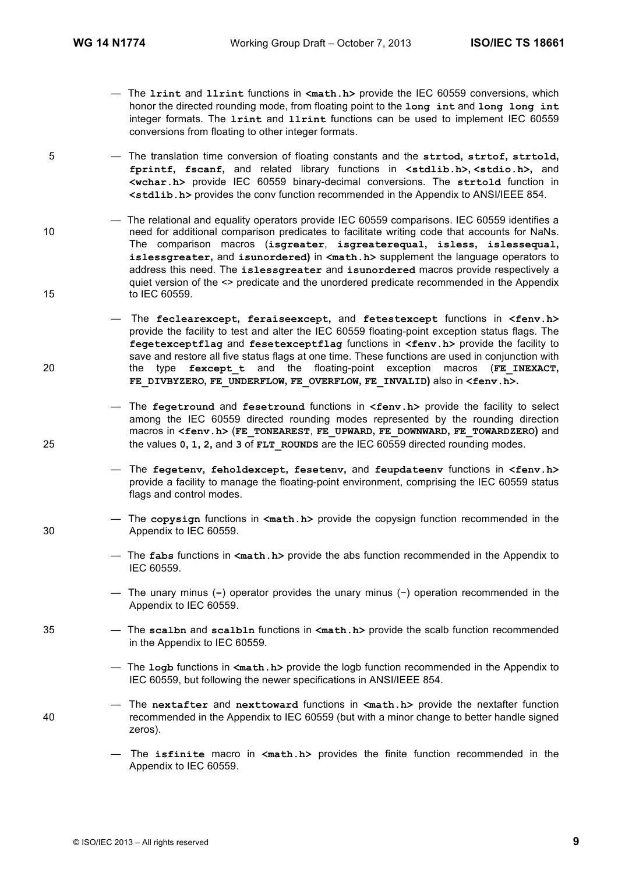- The **lrint** and **llrint** functions in **<math.h>** provide the IEC 60559 conversions, which honor the directed rounding mode, from floating point to the **long int** and **long long int** integer formats. The **lrint** and **llrint** functions can be used to implement IEC 60559 conversions from floating to other integer formats.
- 5 The translation time conversion of floating constants and the **strtod, strtof, strtold, fprintf, fscanf,** and related library functions in **<stdlib.h>, <stdio.h>,** and **<wchar.h>** provide IEC 60559 binary-decimal conversions. The **strtold** function in **<stdlib.h>** provides the conv function recommended in the Appendix to ANSI/IEEE 854.

— The relational and equality operators provide IEC 60559 comparisons. IEC 60559 identifies a 10 need for additional comparison predicates to facilitate writing code that accounts for NaNs. The comparison macros (**isgreater**, **isgreaterequal, isless, islessequal, islessgreater,** and **isunordered)** in **<math.h>** supplement the language operators to address this need. The **islessgreater** and **isunordered** macros provide respectively a quiet version of the <> predicate and the unordered predicate recommended in the Appendix 15 to IEC 60559.

— The **feclearexcept, feraiseexcept,** and **fetestexcept** functions in **<fenv.h>** provide the facility to test and alter the IEC 60559 floating-point exception status flags. The **fegetexceptflag** and **fesetexceptflag** functions in **<fenv.h>** provide the facility to save and restore all five status flags at one time. These functions are used in conjunction with 20 the type **fexcept\_t** and the floating-point exception macros (**FE\_INEXACT, FE\_DIVBYZERO, FE\_UNDERFLOW, FE\_OVERFLOW, FE\_INVALID)** also in **<fenv.h>.** 

— The **fegetround** and **fesetround** functions in **<fenv.h>** provide the facility to select among the IEC 60559 directed rounding modes represented by the rounding direction macros in **<fenv.h>** (**FE\_TONEAREST**, **FE\_UPWARD, FE\_DOWNWARD, FE\_TOWARDZERO)** and 25 the values **0, 1, 2,** and **3** of **FLT\_ROUNDS** are the IEC 60559 directed rounding modes.

> — The **fegetenv, feholdexcept, fesetenv,** and **feupdateenv** functions in **<fenv.h>** provide a facility to manage the floating-point environment, comprising the IEC 60559 status flags and control modes.

— The **copysign** functions in **<math.h>** provide the copysign function recommended in the 30 Appendix to IEC 60559.

- The **fabs** functions in **<math.h>** provide the abs function recommended in the Appendix to IEC 60559.
- The unary minus (**−**) operator provides the unary minus (−) operation recommended in the Appendix to IEC 60559.
- 35 The **scalbn** and **scalbln** functions in **<math.h>** provide the scalb function recommended in the Appendix to IEC 60559.

— The **logb** functions in **<math.h>** provide the logb function recommended in the Appendix to IEC 60559, but following the newer specifications in ANSI/IEEE 854.

- The **nextafter** and **nexttoward** functions in **<math.h>** provide the nextafter function 40 recommended in the Appendix to IEC 60559 (but with a minor change to better handle signed zeros).
	- The **isfinite** macro in **<math.h>** provides the finite function recommended in the Appendix to IEC 60559.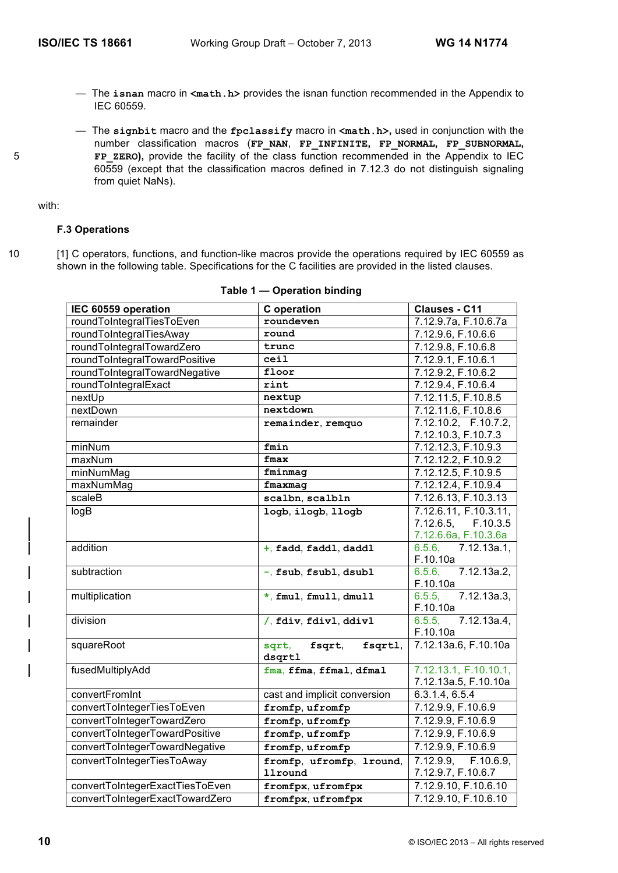- The **isnan** macro in **<math.h>** provides the isnan function recommended in the Appendix to IEC 60559.
- The **signbit** macro and the **fpclassify** macro in **<math.h>,** used in conjunction with the number classification macros (**FP\_NAN**, **FP\_INFINITE, FP\_NORMAL, FP\_SUBNORMAL,**  5 **FP\_ZERO),** provide the facility of the class function recommended in the Appendix to IEC 60559 (except that the classification macros defined in 7.12.3 do not distinguish signaling from quiet NaNs).

with:

# **F.3 Operations**

10 [1] C operators, functions, and function-like macros provide the operations required by IEC 60559 as shown in the following table. Specifications for the C facilities are provided in the listed clauses.

| roundeven<br>7.12.9.7a, F.10.6.7a<br>roundToIntegralTiesToEven<br>roundToIntegralTiesAway<br>7.12.9.6, F.10.6.6<br>round<br>roundToIntegralTowardZero<br>7.12.9.8, F.10.6.8<br>trunc<br>roundToIntegralTowardPositive<br>ceil<br>7.12.9.1, F.10.6.1<br>roundToIntegralTowardNegative<br>7.12.9.2, F.10.6.2<br>floor<br>roundToIntegralExact<br>rint<br>7.12.9.4, F.10.6.4<br>7.12.11.5, F.10.8.5<br>nextUp<br>nextup<br>nextDown<br>nextdown<br>7.12.11.6, F.10.8.6<br>7.12.10.2, F.10.7.2,<br>remainder<br>remainder, remquo<br>7.12.10.3, F.10.7.3<br>7.12.12.3, F.10.9.3<br>minNum<br>fmin<br>maxNum<br>fmax<br>7.12.12.2, F.10.9.2<br>minNumMag<br>7.12.12.5, F.10.9.5<br>fminmag<br>7.12.12.4, F.10.9.4<br>maxNumMag<br>fmaxmag<br>scaleB<br>scalbn, scalbln<br>7.12.6.13, F.10.3.13<br>7.12.6.11, F.10.3.11,<br>logB<br>logb, ilogb, llogb<br>7.12.6.5, F.10.3.5<br>7.12.6.6a, F.10.3.6a<br>addition<br>$6.5.6$ , $7.12.13a.1$ ,<br>+, fadd, faddl, daddl<br>F.10.10a<br>6.5.6, 7.12.13a.2,<br>subtraction<br>-, fsub, fsubl, dsubl<br>F.10.10a<br>6.5.5, 7.12.13a.3,<br>multiplication<br>*, fmul, fmull, dmull<br>F.10.10a<br>division<br>7.12.13a.4,<br>6.5.5,<br>/, fdiv, fdivl, ddivl<br>F.10.10a<br>7.12.13a.6, F.10.10a<br>squareRoot<br>sqrt,<br>fsqrt,<br>fsqrtl,<br>dsqrtl<br>7.12.13.1, F.10.10.1,<br>fusedMultiplyAdd<br>fma, ffma, ffmal, dfmal<br>7.12.13a.5, F.10.10a<br>convertFromInt<br>cast and implicit conversion<br>6.3.1.4, 6.5.4<br>convertToIntegerTiesToEven<br>fromfp, ufromfp<br>7.12.9.9, F.10.6.9<br>convertToIntegerTowardZero<br>fromfp, ufromfp<br>7.12.9.9, F.10.6.9<br>convertToIntegerTowardPositive<br>7.12.9.9, F.10.6.9<br>fromfp, ufromfp<br>convertToIntegerTowardNegative<br>fromfp, ufromfp<br>7.12.9.9, F.10.6.9<br>convertToIntegerTiesToAway<br>$7.12.9.9$ , $F.10.6.9$ ,<br>fromfp, ufromfp, lround,<br>7.12.9.7, F.10.6.7<br><b>llround</b><br>7.12.9.10, F.10.6.10<br>convertToIntegerExactTiesToEven<br>fromfpx, ufromfpx | IEC 60559 operation             | C operation       | Clauses - C11        |
|-----------------------------------------------------------------------------------------------------------------------------------------------------------------------------------------------------------------------------------------------------------------------------------------------------------------------------------------------------------------------------------------------------------------------------------------------------------------------------------------------------------------------------------------------------------------------------------------------------------------------------------------------------------------------------------------------------------------------------------------------------------------------------------------------------------------------------------------------------------------------------------------------------------------------------------------------------------------------------------------------------------------------------------------------------------------------------------------------------------------------------------------------------------------------------------------------------------------------------------------------------------------------------------------------------------------------------------------------------------------------------------------------------------------------------------------------------------------------------------------------------------------------------------------------------------------------------------------------------------------------------------------------------------------------------------------------------------------------------------------------------------------------------------------------------------------------------------------------------------------------------------------------------------------------------------------------------------------------------------|---------------------------------|-------------------|----------------------|
|                                                                                                                                                                                                                                                                                                                                                                                                                                                                                                                                                                                                                                                                                                                                                                                                                                                                                                                                                                                                                                                                                                                                                                                                                                                                                                                                                                                                                                                                                                                                                                                                                                                                                                                                                                                                                                                                                                                                                                                   |                                 |                   |                      |
|                                                                                                                                                                                                                                                                                                                                                                                                                                                                                                                                                                                                                                                                                                                                                                                                                                                                                                                                                                                                                                                                                                                                                                                                                                                                                                                                                                                                                                                                                                                                                                                                                                                                                                                                                                                                                                                                                                                                                                                   |                                 |                   |                      |
|                                                                                                                                                                                                                                                                                                                                                                                                                                                                                                                                                                                                                                                                                                                                                                                                                                                                                                                                                                                                                                                                                                                                                                                                                                                                                                                                                                                                                                                                                                                                                                                                                                                                                                                                                                                                                                                                                                                                                                                   |                                 |                   |                      |
|                                                                                                                                                                                                                                                                                                                                                                                                                                                                                                                                                                                                                                                                                                                                                                                                                                                                                                                                                                                                                                                                                                                                                                                                                                                                                                                                                                                                                                                                                                                                                                                                                                                                                                                                                                                                                                                                                                                                                                                   |                                 |                   |                      |
|                                                                                                                                                                                                                                                                                                                                                                                                                                                                                                                                                                                                                                                                                                                                                                                                                                                                                                                                                                                                                                                                                                                                                                                                                                                                                                                                                                                                                                                                                                                                                                                                                                                                                                                                                                                                                                                                                                                                                                                   |                                 |                   |                      |
|                                                                                                                                                                                                                                                                                                                                                                                                                                                                                                                                                                                                                                                                                                                                                                                                                                                                                                                                                                                                                                                                                                                                                                                                                                                                                                                                                                                                                                                                                                                                                                                                                                                                                                                                                                                                                                                                                                                                                                                   |                                 |                   |                      |
|                                                                                                                                                                                                                                                                                                                                                                                                                                                                                                                                                                                                                                                                                                                                                                                                                                                                                                                                                                                                                                                                                                                                                                                                                                                                                                                                                                                                                                                                                                                                                                                                                                                                                                                                                                                                                                                                                                                                                                                   |                                 |                   |                      |
|                                                                                                                                                                                                                                                                                                                                                                                                                                                                                                                                                                                                                                                                                                                                                                                                                                                                                                                                                                                                                                                                                                                                                                                                                                                                                                                                                                                                                                                                                                                                                                                                                                                                                                                                                                                                                                                                                                                                                                                   |                                 |                   |                      |
|                                                                                                                                                                                                                                                                                                                                                                                                                                                                                                                                                                                                                                                                                                                                                                                                                                                                                                                                                                                                                                                                                                                                                                                                                                                                                                                                                                                                                                                                                                                                                                                                                                                                                                                                                                                                                                                                                                                                                                                   |                                 |                   |                      |
|                                                                                                                                                                                                                                                                                                                                                                                                                                                                                                                                                                                                                                                                                                                                                                                                                                                                                                                                                                                                                                                                                                                                                                                                                                                                                                                                                                                                                                                                                                                                                                                                                                                                                                                                                                                                                                                                                                                                                                                   |                                 |                   |                      |
|                                                                                                                                                                                                                                                                                                                                                                                                                                                                                                                                                                                                                                                                                                                                                                                                                                                                                                                                                                                                                                                                                                                                                                                                                                                                                                                                                                                                                                                                                                                                                                                                                                                                                                                                                                                                                                                                                                                                                                                   |                                 |                   |                      |
|                                                                                                                                                                                                                                                                                                                                                                                                                                                                                                                                                                                                                                                                                                                                                                                                                                                                                                                                                                                                                                                                                                                                                                                                                                                                                                                                                                                                                                                                                                                                                                                                                                                                                                                                                                                                                                                                                                                                                                                   |                                 |                   |                      |
|                                                                                                                                                                                                                                                                                                                                                                                                                                                                                                                                                                                                                                                                                                                                                                                                                                                                                                                                                                                                                                                                                                                                                                                                                                                                                                                                                                                                                                                                                                                                                                                                                                                                                                                                                                                                                                                                                                                                                                                   |                                 |                   |                      |
|                                                                                                                                                                                                                                                                                                                                                                                                                                                                                                                                                                                                                                                                                                                                                                                                                                                                                                                                                                                                                                                                                                                                                                                                                                                                                                                                                                                                                                                                                                                                                                                                                                                                                                                                                                                                                                                                                                                                                                                   |                                 |                   |                      |
|                                                                                                                                                                                                                                                                                                                                                                                                                                                                                                                                                                                                                                                                                                                                                                                                                                                                                                                                                                                                                                                                                                                                                                                                                                                                                                                                                                                                                                                                                                                                                                                                                                                                                                                                                                                                                                                                                                                                                                                   |                                 |                   |                      |
|                                                                                                                                                                                                                                                                                                                                                                                                                                                                                                                                                                                                                                                                                                                                                                                                                                                                                                                                                                                                                                                                                                                                                                                                                                                                                                                                                                                                                                                                                                                                                                                                                                                                                                                                                                                                                                                                                                                                                                                   |                                 |                   |                      |
|                                                                                                                                                                                                                                                                                                                                                                                                                                                                                                                                                                                                                                                                                                                                                                                                                                                                                                                                                                                                                                                                                                                                                                                                                                                                                                                                                                                                                                                                                                                                                                                                                                                                                                                                                                                                                                                                                                                                                                                   |                                 |                   |                      |
|                                                                                                                                                                                                                                                                                                                                                                                                                                                                                                                                                                                                                                                                                                                                                                                                                                                                                                                                                                                                                                                                                                                                                                                                                                                                                                                                                                                                                                                                                                                                                                                                                                                                                                                                                                                                                                                                                                                                                                                   |                                 |                   |                      |
|                                                                                                                                                                                                                                                                                                                                                                                                                                                                                                                                                                                                                                                                                                                                                                                                                                                                                                                                                                                                                                                                                                                                                                                                                                                                                                                                                                                                                                                                                                                                                                                                                                                                                                                                                                                                                                                                                                                                                                                   |                                 |                   |                      |
|                                                                                                                                                                                                                                                                                                                                                                                                                                                                                                                                                                                                                                                                                                                                                                                                                                                                                                                                                                                                                                                                                                                                                                                                                                                                                                                                                                                                                                                                                                                                                                                                                                                                                                                                                                                                                                                                                                                                                                                   |                                 |                   |                      |
|                                                                                                                                                                                                                                                                                                                                                                                                                                                                                                                                                                                                                                                                                                                                                                                                                                                                                                                                                                                                                                                                                                                                                                                                                                                                                                                                                                                                                                                                                                                                                                                                                                                                                                                                                                                                                                                                                                                                                                                   |                                 |                   |                      |
|                                                                                                                                                                                                                                                                                                                                                                                                                                                                                                                                                                                                                                                                                                                                                                                                                                                                                                                                                                                                                                                                                                                                                                                                                                                                                                                                                                                                                                                                                                                                                                                                                                                                                                                                                                                                                                                                                                                                                                                   |                                 |                   |                      |
|                                                                                                                                                                                                                                                                                                                                                                                                                                                                                                                                                                                                                                                                                                                                                                                                                                                                                                                                                                                                                                                                                                                                                                                                                                                                                                                                                                                                                                                                                                                                                                                                                                                                                                                                                                                                                                                                                                                                                                                   |                                 |                   |                      |
|                                                                                                                                                                                                                                                                                                                                                                                                                                                                                                                                                                                                                                                                                                                                                                                                                                                                                                                                                                                                                                                                                                                                                                                                                                                                                                                                                                                                                                                                                                                                                                                                                                                                                                                                                                                                                                                                                                                                                                                   |                                 |                   |                      |
|                                                                                                                                                                                                                                                                                                                                                                                                                                                                                                                                                                                                                                                                                                                                                                                                                                                                                                                                                                                                                                                                                                                                                                                                                                                                                                                                                                                                                                                                                                                                                                                                                                                                                                                                                                                                                                                                                                                                                                                   |                                 |                   |                      |
|                                                                                                                                                                                                                                                                                                                                                                                                                                                                                                                                                                                                                                                                                                                                                                                                                                                                                                                                                                                                                                                                                                                                                                                                                                                                                                                                                                                                                                                                                                                                                                                                                                                                                                                                                                                                                                                                                                                                                                                   |                                 |                   |                      |
|                                                                                                                                                                                                                                                                                                                                                                                                                                                                                                                                                                                                                                                                                                                                                                                                                                                                                                                                                                                                                                                                                                                                                                                                                                                                                                                                                                                                                                                                                                                                                                                                                                                                                                                                                                                                                                                                                                                                                                                   |                                 |                   |                      |
|                                                                                                                                                                                                                                                                                                                                                                                                                                                                                                                                                                                                                                                                                                                                                                                                                                                                                                                                                                                                                                                                                                                                                                                                                                                                                                                                                                                                                                                                                                                                                                                                                                                                                                                                                                                                                                                                                                                                                                                   |                                 |                   |                      |
|                                                                                                                                                                                                                                                                                                                                                                                                                                                                                                                                                                                                                                                                                                                                                                                                                                                                                                                                                                                                                                                                                                                                                                                                                                                                                                                                                                                                                                                                                                                                                                                                                                                                                                                                                                                                                                                                                                                                                                                   |                                 |                   |                      |
|                                                                                                                                                                                                                                                                                                                                                                                                                                                                                                                                                                                                                                                                                                                                                                                                                                                                                                                                                                                                                                                                                                                                                                                                                                                                                                                                                                                                                                                                                                                                                                                                                                                                                                                                                                                                                                                                                                                                                                                   |                                 |                   |                      |
|                                                                                                                                                                                                                                                                                                                                                                                                                                                                                                                                                                                                                                                                                                                                                                                                                                                                                                                                                                                                                                                                                                                                                                                                                                                                                                                                                                                                                                                                                                                                                                                                                                                                                                                                                                                                                                                                                                                                                                                   |                                 |                   |                      |
|                                                                                                                                                                                                                                                                                                                                                                                                                                                                                                                                                                                                                                                                                                                                                                                                                                                                                                                                                                                                                                                                                                                                                                                                                                                                                                                                                                                                                                                                                                                                                                                                                                                                                                                                                                                                                                                                                                                                                                                   |                                 |                   |                      |
|                                                                                                                                                                                                                                                                                                                                                                                                                                                                                                                                                                                                                                                                                                                                                                                                                                                                                                                                                                                                                                                                                                                                                                                                                                                                                                                                                                                                                                                                                                                                                                                                                                                                                                                                                                                                                                                                                                                                                                                   |                                 |                   |                      |
|                                                                                                                                                                                                                                                                                                                                                                                                                                                                                                                                                                                                                                                                                                                                                                                                                                                                                                                                                                                                                                                                                                                                                                                                                                                                                                                                                                                                                                                                                                                                                                                                                                                                                                                                                                                                                                                                                                                                                                                   |                                 |                   |                      |
|                                                                                                                                                                                                                                                                                                                                                                                                                                                                                                                                                                                                                                                                                                                                                                                                                                                                                                                                                                                                                                                                                                                                                                                                                                                                                                                                                                                                                                                                                                                                                                                                                                                                                                                                                                                                                                                                                                                                                                                   |                                 |                   |                      |
|                                                                                                                                                                                                                                                                                                                                                                                                                                                                                                                                                                                                                                                                                                                                                                                                                                                                                                                                                                                                                                                                                                                                                                                                                                                                                                                                                                                                                                                                                                                                                                                                                                                                                                                                                                                                                                                                                                                                                                                   |                                 |                   |                      |
|                                                                                                                                                                                                                                                                                                                                                                                                                                                                                                                                                                                                                                                                                                                                                                                                                                                                                                                                                                                                                                                                                                                                                                                                                                                                                                                                                                                                                                                                                                                                                                                                                                                                                                                                                                                                                                                                                                                                                                                   |                                 |                   |                      |
|                                                                                                                                                                                                                                                                                                                                                                                                                                                                                                                                                                                                                                                                                                                                                                                                                                                                                                                                                                                                                                                                                                                                                                                                                                                                                                                                                                                                                                                                                                                                                                                                                                                                                                                                                                                                                                                                                                                                                                                   | convertToIntegerExactTowardZero | fromfpx, ufromfpx | 7.12.9.10, F.10.6.10 |

#### **Table 1 — Operation binding**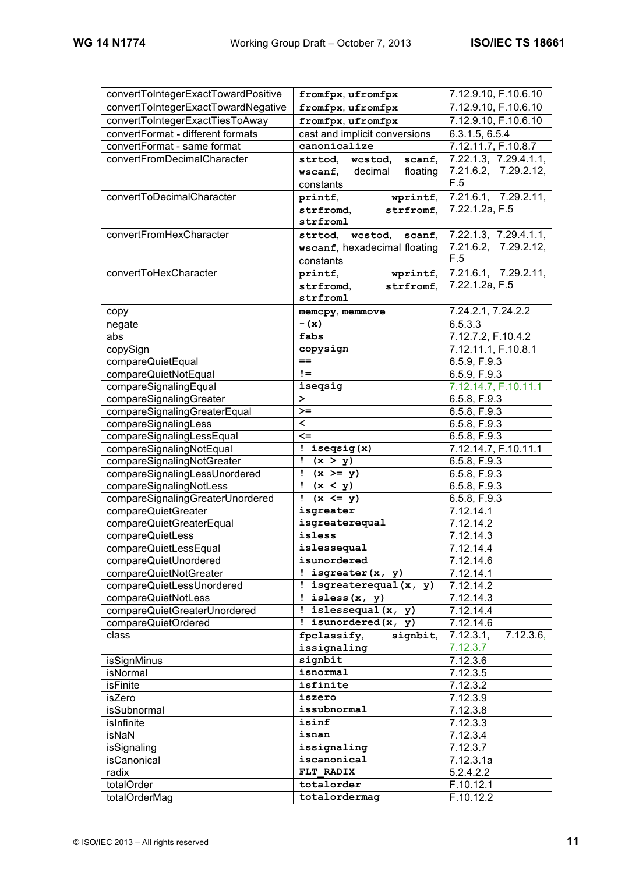| convertToIntegerExactTowardPositive | fromfpx, ufromfpx              | 7.12.9.10, F.10.6.10   |
|-------------------------------------|--------------------------------|------------------------|
| convertToIntegerExactTowardNegative | fromfpx, ufromfpx              | 7.12.9.10, F.10.6.10   |
| convertToIntegerExactTiesToAway     |                                | 7.12.9.10, F.10.6.10   |
|                                     | fromfpx, ufromfpx              |                        |
| convertFormat - different formats   | cast and implicit conversions  | 6.3.1.5, 6.5.4         |
| convertFormat - same format         | canonicalize                   | 7.12.11.7, F.10.8.7    |
| convertFromDecimalCharacter         | strtod,<br>scanf,<br>wcstod,   | 7.22.1.3, 7.29.4.1.1,  |
|                                     | decimal<br>floating<br>wscanf, | 7.21.6.2, 7.29.2.12,   |
|                                     | constants                      | F.5                    |
| convertToDecimalCharacter           | wprintf,<br>printf,            | 7.21.6.1, 7.29.2.11,   |
|                                     | strfromd,<br>strfromf,         | 7.22.1.2a, F.5         |
|                                     | strfroml                       |                        |
| convertFromHexCharacter             | strtod, wcstod,<br>scanf.      | 7.22.1.3, 7.29.4.1.1,  |
|                                     | wscanf, hexadecimal floating   | 7.21.6.2, 7.29.2.12,   |
|                                     | constants                      | F.5                    |
| convertToHexCharacter               | wprintf,<br>printf,            | 7.21.6.1, 7.29.2.11,   |
|                                     | strfromf,<br>strfromd.         | 7.22.1.2a, F.5         |
|                                     | strfroml                       |                        |
| copy                                | memcpy, memmove                | 7.24.2.1, 7.24.2.2     |
| negate                              | $-$ (x)                        | 6.5.3.3                |
| abs                                 | fabs                           | 7.12.7.2, F.10.4.2     |
| copySign                            | copysign                       | 7.12.11.1, F.10.8.1    |
| compareQuietEqual                   | $=$                            | 6.5.9, F.9.3           |
| compareQuietNotEqual                | $!=$                           | 6.5.9, F.9.3           |
| compareSignalingEqual               | isegsig                        | 7.12.14.7, F.10.11.1   |
| compareSignalingGreater             | $\geq$                         | 6.5.8, F.9.3           |
| compareSignalingGreaterEqual        | $>=$                           | 6.5.8, F.9.3           |
| compareSignalingLess                | $\overline{\phantom{a}}$       | 6.5.8, F.9.3           |
| compareSignalingLessEqual           | $\leq$                         | 6.5.8, F.9.3           |
| compareSignalingNotEqual            | ! iseqsig(x)                   | 7.12.14.7, F.10.11.1   |
| compareSignalingNotGreater          | $\mathbf{I}$<br>(x > y)        | 6.5.8, F.9.3           |
| compareSignalingLessUnordered       | $(x \geq y)$                   | 6.5.8, F.9.3           |
| compareSignalingNotLess             | $\frac{1}{(x \leq y)}$         | 6.5.8, F.9.3           |
| compareSignalingGreaterUnordered    | $(x \leq y)$<br>$\mathbf{I}$   | 6.5.8, F.9.3           |
| compareQuietGreater                 | isgreater                      | 7.12.14.1              |
| compareQuietGreaterEqual            | isgreaterequal                 | 7.12.14.2              |
| compareQuietLess                    | isless                         | 7.12.14.3              |
| compareQuietLessEqual               | islessequal                    | 7.12.14.4              |
| compareQuietUnordered               | isunordered                    | 7.12.14.6              |
| compareQuietNotGreater              | ! isgreater $(x, y)$           | 7.12.14.1              |
| compareQuietLessUnordered           | ! isgreaterequal $(x, y)$      | 7.12.14.2              |
| compareQuietNotLess                 | : is less(x, y)                | 7.12.14.3              |
| compareQuietGreaterUnordered        | ! islessequal (x, y)           | 7.12.14.4              |
| compareQuietOrdered                 | $!$ isunordered $(x, y)$       | 7.12.14.6              |
| class                               | fpclassify,<br>signbit,        | 7.12.3.1,<br>7.12.3.6, |
|                                     | issignaling                    | 7.12.3.7               |
| isSignMinus                         | signbit                        | $\overline{7.12.3.6}$  |
| isNormal                            | isnormal                       | 7.12.3.5               |
| isFinite                            | isfinite                       | 7.12.3.2               |
| isZero                              | iszero                         | 7.12.3.9               |
| isSubnormal                         | issubnormal                    | 7.12.3.8               |
| isInfinite                          | isinf                          | 7.12.3.3               |
| isNaN                               | isnan                          | 7.12.3.4               |
| isSignaling                         | issignaling                    | 7.12.3.7               |
| isCanonical                         | iscanonical                    | 7.12.3.1a              |
| radix                               | FLT RADIX                      | 5.2.4.2.2              |
| totalOrder                          | totalorder                     | F.10.12.1              |
| totalOrderMag                       | totalordermag                  | F.10.12.2              |
|                                     |                                |                        |

 $\overline{\phantom{a}}$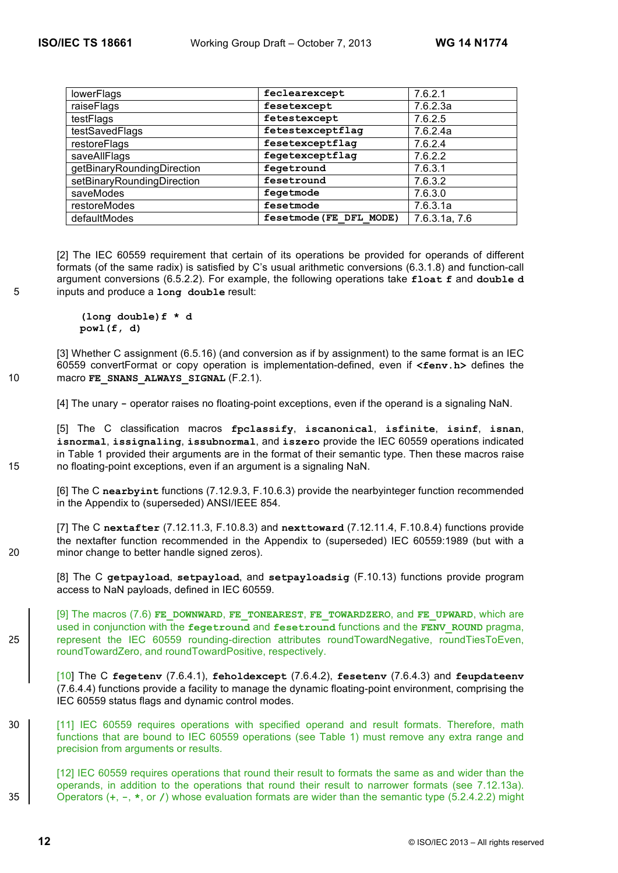| lowerFlags                 | feclearexcept           | 7.6.2.1       |
|----------------------------|-------------------------|---------------|
| raiseFlags                 | fesetexcept             | 7.6.2.3a      |
| testFlags                  | fetestexcept            | 7.6.2.5       |
| testSavedFlags             | fetestexceptflaq        | 7.6.2.4a      |
| restoreFlags               | fesetexceptflag         | 7.6.2.4       |
| saveAllFlags               | fegetexceptflag         | 7.6.2.2       |
| getBinaryRoundingDirection | fegetround              | 7.6.3.1       |
| setBinaryRoundingDirection | fesetround              | 7.6.3.2       |
| saveModes                  | fegetmode               | 7.6.3.0       |
| restoreModes               | fesetmode               | 7.6.3.1a      |
| defaultModes               | fesetmode (FE DFL MODE) | 7.6.3.1a, 7.6 |

[2] The IEC 60559 requirement that certain of its operations be provided for operands of different formats (of the same radix) is satisfied by C's usual arithmetic conversions (6.3.1.8) and function-call argument conversions (6.5.2.2). For example, the following operations take **float f** and **double d** 5 inputs and produce a **long double** result:

> **(long double)f \* d powl(f, d)**

[3] Whether C assignment (6.5.16) (and conversion as if by assignment) to the same format is an IEC 60559 convertFormat or copy operation is implementation-defined, even if **<fenv.h>** defines the 10 macro **FE\_SNANS\_ALWAYS\_SIGNAL** (F.2.1).

[4] The unary **-** operator raises no floating-point exceptions, even if the operand is a signaling NaN.

[5] The C classification macros **fpclassify**, **iscanonical**, **isfinite**, **isinf**, **isnan**, **isnormal**, **issignaling**, **issubnormal**, and **iszero** provide the IEC 60559 operations indicated in Table 1 provided their arguments are in the format of their semantic type. Then these macros raise 15 no floating-point exceptions, even if an argument is a signaling NaN.

[6] The C **nearbyint** functions (7.12.9.3, F.10.6.3) provide the nearbyinteger function recommended in the Appendix to (superseded) ANSI/IEEE 854.

[7] The C **nextafter** (7.12.11.3, F.10.8.3) and **nexttoward** (7.12.11.4, F.10.8.4) functions provide the nextafter function recommended in the Appendix to (superseded) IEC 60559:1989 (but with a 20 minor change to better handle signed zeros).

[8] The C **getpayload**, **setpayload**, and **setpayloadsig** (F.10.13) functions provide program access to NaN payloads, defined in IEC 60559.

[9] The macros (7.6) **FE\_DOWNWARD**, **FE\_TONEAREST**, **FE\_TOWARDZERO**, and **FE\_UPWARD**, which are used in conjunction with the **fegetround** and **fesetround** functions and the **FENV\_ROUND** pragma, 25 represent the IEC 60559 rounding-direction attributes roundTowardNegative, roundTiesToEven, roundTowardZero, and roundTowardPositive, respectively.

[10] The C **fegetenv** (7.6.4.1), **feholdexcept** (7.6.4.2), **fesetenv** (7.6.4.3) and **feupdateenv** (7.6.4.4) functions provide a facility to manage the dynamic floating-point environment, comprising the IEC 60559 status flags and dynamic control modes.

30 | 111 IEC 60559 requires operations with specified operand and result formats. Therefore, math functions that are bound to IEC 60559 operations (see Table 1) must remove any extra range and precision from arguments or results.

[12] IEC 60559 requires operations that round their result to formats the same as and wider than the operands, in addition to the operations that round their result to narrower formats (see 7.12.13a). 35 Operators (**+**, **-**, **\***, or **/**) whose evaluation formats are wider than the semantic type (5.2.4.2.2) might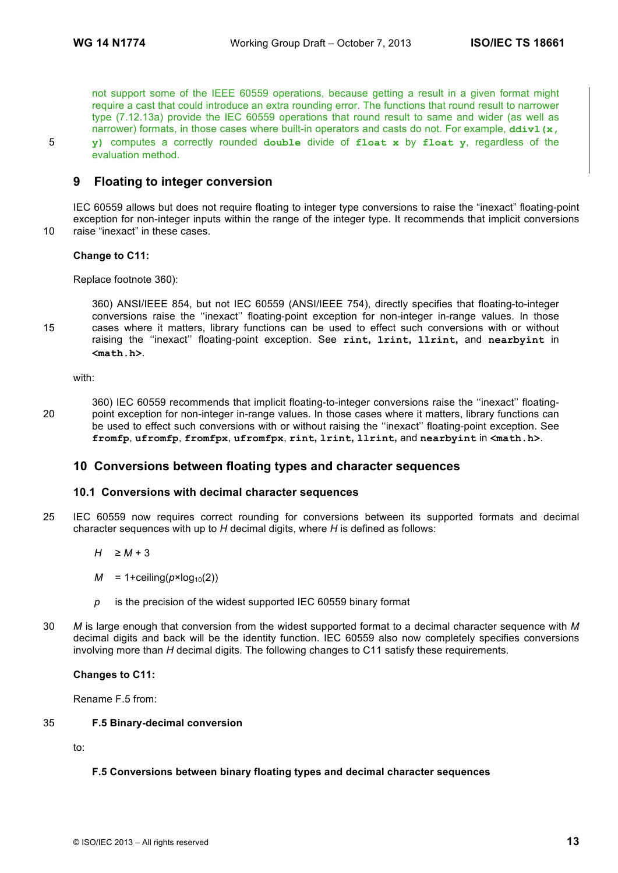not support some of the IEEE 60559 operations, because getting a result in a given format might require a cast that could introduce an extra rounding error. The functions that round result to narrower type (7.12.13a) provide the IEC 60559 operations that round result to same and wider (as well as narrower) formats, in those cases where built-in operators and casts do not. For example, ddiv1 (x, 5 **y)** computes a correctly rounded **double** divide of **float x** by **float y**, regardless of the evaluation method.

# **9 Floating to integer conversion**

IEC 60559 allows but does not require floating to integer type conversions to raise the "inexact" floating-point exception for non-integer inputs within the range of the integer type. It recommends that implicit conversions 10 raise "inexact" in these cases.

# **Change to C11:**

Replace footnote 360):

360) ANSI/IEEE 854, but not IEC 60559 (ANSI/IEEE 754), directly specifies that floating-to-integer conversions raise the ''inexact'' floating-point exception for non-integer in-range values. In those 15 cases where it matters, library functions can be used to effect such conversions with or without raising the ''inexact'' floating-point exception. See **rint, lrint, llrint,** and **nearbyint** in **<math.h>**.

with:

360) IEC 60559 recommends that implicit floating-to-integer conversions raise the ''inexact'' floating-20 point exception for non-integer in-range values. In those cases where it matters, library functions can be used to effect such conversions with or without raising the ''inexact'' floating-point exception. See **fromfp**, **ufromfp**, **fromfpx**, **ufromfpx**, **rint, lrint, llrint,** and **nearbyint** in **<math.h>**.

# **10 Conversions between floating types and character sequences**

#### **10.1 Conversions with decimal character sequences**

- 25 IEC 60559 now requires correct rounding for conversions between its supported formats and decimal character sequences with up to *H* decimal digits, where *H* is defined as follows:
	- $H \geq M + 3$
	- $M = 1 +$ ceiling( $p \times log_{10}(2)$ )
	- *p* is the precision of the widest supported IEC 60559 binary format
- 30 *M* is large enough that conversion from the widest supported format to a decimal character sequence with *M* decimal digits and back will be the identity function. IEC 60559 also now completely specifies conversions involving more than *H* decimal digits. The following changes to C11 satisfy these requirements.

**Changes to C11:**

Rename F.5 from:

#### 35 **F.5 Binary-decimal conversion**

to:

#### **F.5 Conversions between binary floating types and decimal character sequences**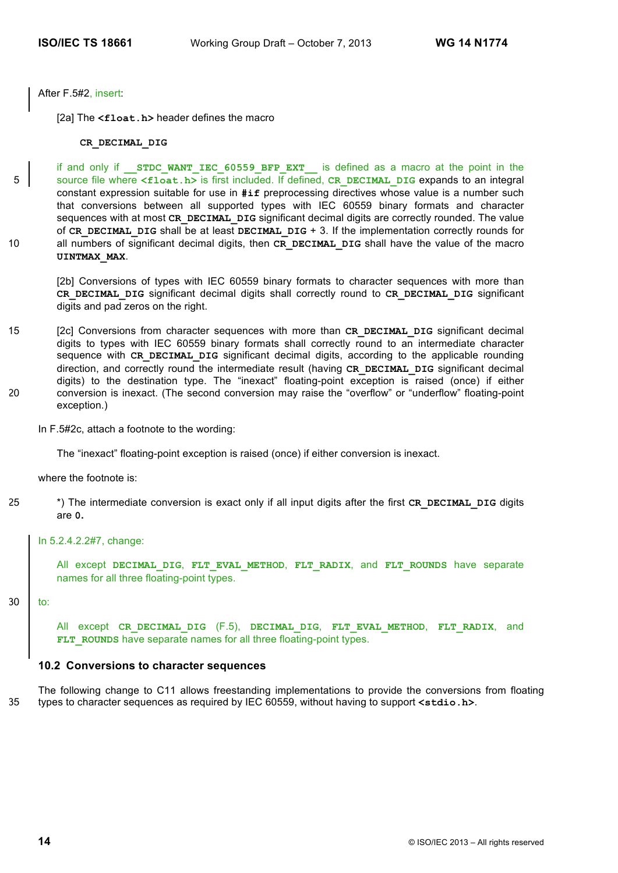After F.5#2, insert:

[2a] The <float.h> header defines the macro

## **CR\_DECIMAL\_DIG**

if and only if **STDC WANT IEC 60559 BFP EXT** is defined as a macro at the point in the 5 source file where  $\le$ **float.h>** is first included. If defined, **CR\_DECIMAL\_DIG** expands to an integral constant expression suitable for use in **#if** preprocessing directives whose value is a number such that conversions between all supported types with IEC 60559 binary formats and character sequences with at most CR\_DECIMAL\_DIG significant decimal digits are correctly rounded. The value of **CR\_DECIMAL\_DIG** shall be at least **DECIMAL\_DIG** + 3. If the implementation correctly rounds for 10 all numbers of significant decimal digits, then CR DECIMAL DIG shall have the value of the macro **UINTMAX\_MAX**.

[2b] Conversions of types with IEC 60559 binary formats to character sequences with more than **CR\_DECIMAL\_DIG** significant decimal digits shall correctly round to **CR\_DECIMAL\_DIG** significant digits and pad zeros on the right.

15 [2c] Conversions from character sequences with more than **CR** DECIMAL DIG significant decimal digits to types with IEC 60559 binary formats shall correctly round to an intermediate character sequence with CR DECIMAL DIG significant decimal digits, according to the applicable rounding direction, and correctly round the intermediate result (having **CR\_DECIMAL\_DIG** significant decimal digits) to the destination type. The "inexact" floating-point exception is raised (once) if either 20 conversion is inexact. (The second conversion may raise the "overflow" or "underflow" floating-point exception.)

In F.5#2c, attach a footnote to the wording:

The "inexact" floating-point exception is raised (once) if either conversion is inexact.

where the footnote is:

<sup>25</sup> \*) The intermediate conversion is exact only if all input digits after the first **CR** DECIMAL DIG digits are **0.**

#### In 5.2.4.2.2#7, change:

All except **DECIMAL\_DIG**, **FLT\_EVAL\_METHOD**, **FLT\_RADIX**, and **FLT\_ROUNDS** have separate names for all three floating-point types.

#### $30$  to:

All except **CR\_DECIMAL\_DIG** (F.5), **DECIMAL\_DIG**, **FLT\_EVAL\_METHOD**, **FLT\_RADIX**, and **FLT** ROUNDS have separate names for all three floating-point types.

#### **10.2 Conversions to character sequences**

The following change to C11 allows freestanding implementations to provide the conversions from floating 35 types to character sequences as required by IEC 60559, without having to support **<stdio.h>**.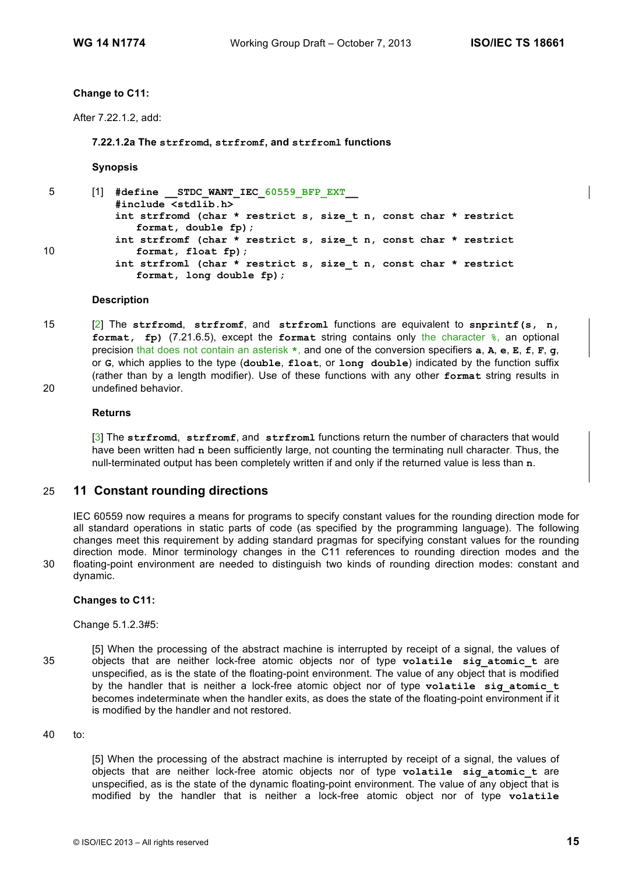#### **Change to C11:**

After 7.22.1.2, add:

**7.22.1.2a The strfromd, strfromf, and strfroml functions**

**Synopsis**

5 [1] **#define \_\_STDC\_WANT\_IEC\_60559\_BFP\_EXT\_\_ #include <stdlib.h> int strfromd (char \* restrict s, size\_t n, const char \* restrict format, double fp); int strfromf (char \* restrict s, size\_t n, const char \* restrict** 10 **format, float fp)**; **int strfroml (char \* restrict s, size\_t n, const char \* restrict format, long double fp);** 

#### **Description**

15 [2] The **strfromd**, **strfromf**, and **strfroml** functions are equivalent to **snprintf(s, n, format, fp)** (7.21.6.5), except the **format** string contains only the character **%**, an optional precision that does not contain an asterisk **\***, and one of the conversion specifiers **a**, **A**, **e**, **E**, **f**, **F**, **g**, or **G**, which applies to the type (**double**, **float**, or **long double**) indicated by the function suffix (rather than by a length modifier). Use of these functions with any other **format** string results in 20 undefined behavior.

#### **Returns**

[3] The **strfromd**, **strfromf**, and **strfroml** functions return the number of characters that would have been written had **n** been sufficiently large, not counting the terminating null character. Thus, the null-terminated output has been completely written if and only if the returned value is less than **n**.

# 25 **11 Constant rounding directions**

IEC 60559 now requires a means for programs to specify constant values for the rounding direction mode for all standard operations in static parts of code (as specified by the programming language). The following changes meet this requirement by adding standard pragmas for specifying constant values for the rounding direction mode. Minor terminology changes in the C11 references to rounding direction modes and the 30 floating-point environment are needed to distinguish two kinds of rounding direction modes: constant and dynamic.

#### **Changes to C11:**

Change 5.1.2.3#5:

[5] When the processing of the abstract machine is interrupted by receipt of a signal, the values of 35 objects that are neither lock-free atomic objects nor of type **volatile sig\_atomic\_t** are unspecified, as is the state of the floating-point environment. The value of any object that is modified by the handler that is neither a lock-free atomic object nor of type **volatile sig\_atomic\_t** becomes indeterminate when the handler exits, as does the state of the floating-point environment if it is modified by the handler and not restored.

## 40 to:

[5] When the processing of the abstract machine is interrupted by receipt of a signal, the values of objects that are neither lock-free atomic objects nor of type **volatile sig\_atomic\_t** are unspecified, as is the state of the dynamic floating-point environment. The value of any object that is modified by the handler that is neither a lock-free atomic object nor of type **volatile**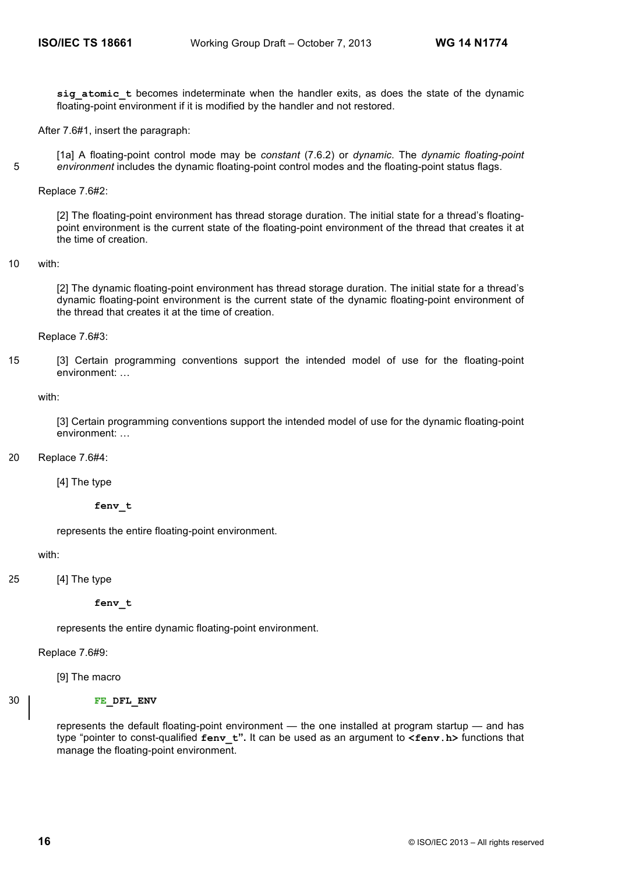sig atomic t becomes indeterminate when the handler exits, as does the state of the dynamic floating-point environment if it is modified by the handler and not restored.

After 7.6#1, insert the paragraph:

[1a] A floating-point control mode may be *constant* (7.6.2) or *dynamic*. The *dynamic floating-point*  5 *environment* includes the dynamic floating-point control modes and the floating-point status flags.

#### Replace 7.6#2:

[2] The floating-point environment has thread storage duration. The initial state for a thread's floatingpoint environment is the current state of the floating-point environment of the thread that creates it at the time of creation.

#### 10 with:

[2] The dynamic floating-point environment has thread storage duration. The initial state for a thread's dynamic floating-point environment is the current state of the dynamic floating-point environment of the thread that creates it at the time of creation.

Replace 7.6#3:

15 [3] Certain programming conventions support the intended model of use for the floating-point environment: …

with:

[3] Certain programming conventions support the intended model of use for the dynamic floating-point environment: …

20 Replace 7.6#4:

[4] The type

**fenv\_t**

represents the entire floating-point environment.

with:

```
25 [4] The type
```
#### **fenv\_t**

represents the entire dynamic floating-point environment.

Replace 7.6#9:

[9] The macro

# 30 **FE** DFL ENV

represents the default floating-point environment — the one installed at program startup — and has type "pointer to const-qualified **fenv\_t".** It can be used as an argument to **<fenv.h>** functions that manage the floating-point environment.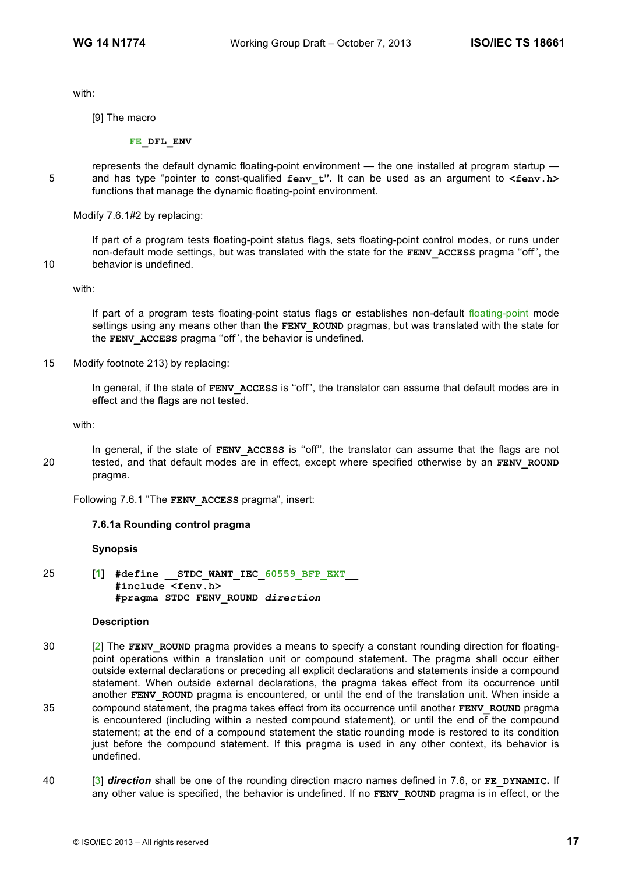with:

[9] The macro

**FE\_DFL\_ENV**

represents the default dynamic floating-point environment — the one installed at program startup — 5 and has type "pointer to const-qualified **fenv** t". It can be used as an argument to **<fenv.h>** functions that manage the dynamic floating-point environment.

Modify 7.6.1#2 by replacing:

If part of a program tests floating-point status flags, sets floating-point control modes, or runs under non-default mode settings, but was translated with the state for the **FENV\_ACCESS** pragma ''off'', the 10 behavior is undefined.

with:

If part of a program tests floating-point status flags or establishes non-default floating-point mode settings using any means other than the **FENV** ROUND pragmas, but was translated with the state for the **FENV** ACCESS pragma "off", the behavior is undefined.

15 Modify footnote 213) by replacing:

In general, if the state of **FENV** ACCESS is "off", the translator can assume that default modes are in effect and the flags are not tested.

with:

In general, if the state of **FENV ACCESS** is "off", the translator can assume that the flags are not 20 tested, and that default modes are in effect, except where specified otherwise by an **FENV\_ROUND** pragma.

Following 7.6.1 "The **FENV\_ACCESS** pragma", insert:

#### **7.6.1a Rounding control pragma**

#### **Synopsis**

25 **[1] #define \_\_STDC\_WANT\_IEC\_60559\_BFP\_EXT\_\_ #include <fenv.h> #pragma STDC FENV\_ROUND** *direction*

#### **Description**

- 30 [2] The **FENV\_ROUND** pragma provides a means to specify a constant rounding direction for floatingpoint operations within a translation unit or compound statement. The pragma shall occur either outside external declarations or preceding all explicit declarations and statements inside a compound statement. When outside external declarations, the pragma takes effect from its occurrence until another **FENV** ROUND pragma is encountered, or until the end of the translation unit. When inside a 35 compound statement, the pragma takes effect from its occurrence until another **FENV\_ROUND** pragma is encountered (including within a nested compound statement), or until the end of the compound statement; at the end of a compound statement the static rounding mode is restored to its condition just before the compound statement. If this pragma is used in any other context, its behavior is undefined.
- 40 [3] *direction* shall be one of the rounding direction macro names defined in 7.6, or **FE\_DYNAMIC.** If any other value is specified, the behavior is undefined. If no **FENV** ROUND pragma is in effect, or the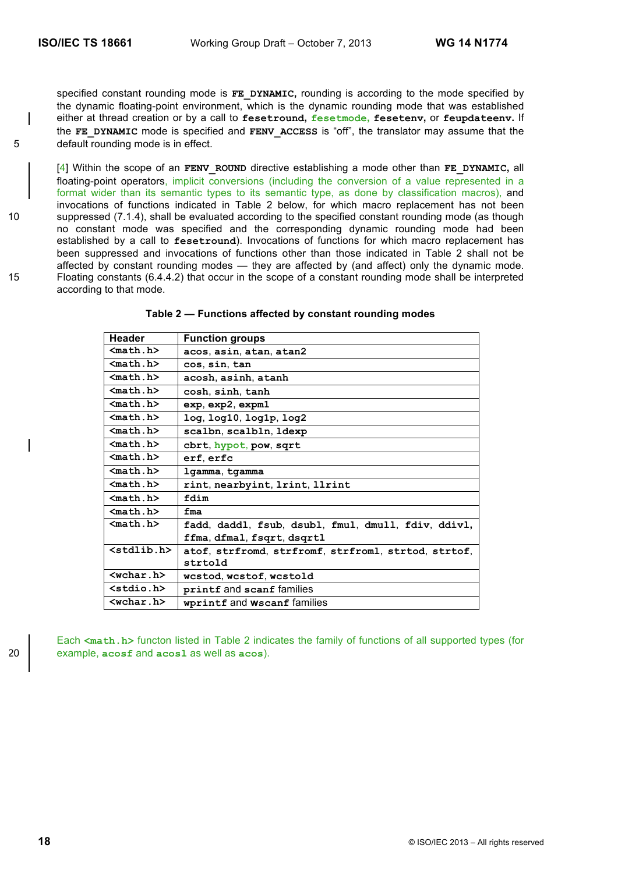specified constant rounding mode is FE DYNAMIC, rounding is according to the mode specified by the dynamic floating-point environment, which is the dynamic rounding mode that was established either at thread creation or by a call to **fesetround, fesetmode, fesetenv,** or **feupdateenv.** If the **FE\_DYNAMIC** mode is specified and **FENV\_ACCESS** is "off", the translator may assume that the 5 default rounding mode is in effect.

[4] Within the scope of an **FENV\_ROUND** directive establishing a mode other than **FE\_DYNAMIC,** all floating-point operators, implicit conversions (including the conversion of a value represented in a format wider than its semantic types to its semantic type, as done by classification macros), and invocations of functions indicated in Table 2 below, for which macro replacement has not been 10 suppressed (7.1.4), shall be evaluated according to the specified constant rounding mode (as though no constant mode was specified and the corresponding dynamic rounding mode had been established by a call to **fesetround**). Invocations of functions for which macro replacement has been suppressed and invocations of functions other than those indicated in Table 2 shall not be affected by constant rounding modes — they are affected by (and affect) only the dynamic mode. 15 Floating constants (6.4.4.2) that occur in the scope of a constant rounding mode shall be interpreted according to that mode.

| <b>Header</b>    | <b>Function groups</b>                              |
|------------------|-----------------------------------------------------|
| $nath.h$         | acos, asin, atan, atan2                             |
| $nat h>$         | cos, sin, tan                                       |
| $n_1.h>$         | acosh, asinh, atanh                                 |
| $mathh.h>$       | cosh, sinh, tanh                                    |
| $mathh.h>$       | exp, exp2, expm1                                    |
| $nat h>$         | $log$ , $log10$ , $log1p$ , $log2$                  |
| $nat h>$         | scalbn, scalbln, ldexp                              |
| $mathh.h>$       | cbrt, hypot, pow, sqrt                              |
| $nath.h$         | erf, erfc                                           |
| $n_1.h>$         | lgamma, tgamma                                      |
| $nath.h$         | rint, nearbyint, 1rint, 11rint                      |
| $nath.h$         | fdim                                                |
| $nat h>$         | fma                                                 |
| $nath.h$         | fadd, daddl, fsub, dsubl, fmul, dmull, fdiv, ddivl, |
|                  | ffma, dfmal, fsqrt, dsqrtl                          |
| $<$ stdlib.h $>$ | atof, strfromd, strfromf, strfroml, strtod, strtof, |
|                  | strtold                                             |
| $wchar.b>$       | wcstod, wcstof, wcstold                             |
| $<$ stdio.h $>$  | printf and scanf families                           |
| $wchar h$        | wprintf and Wscanf families                         |

**Table 2 — Functions affected by constant rounding modes**

Each <math.h> functon listed in Table 2 indicates the family of functions of all supported types (for 20 example, **acosf** and **acosl** as well as **acos**).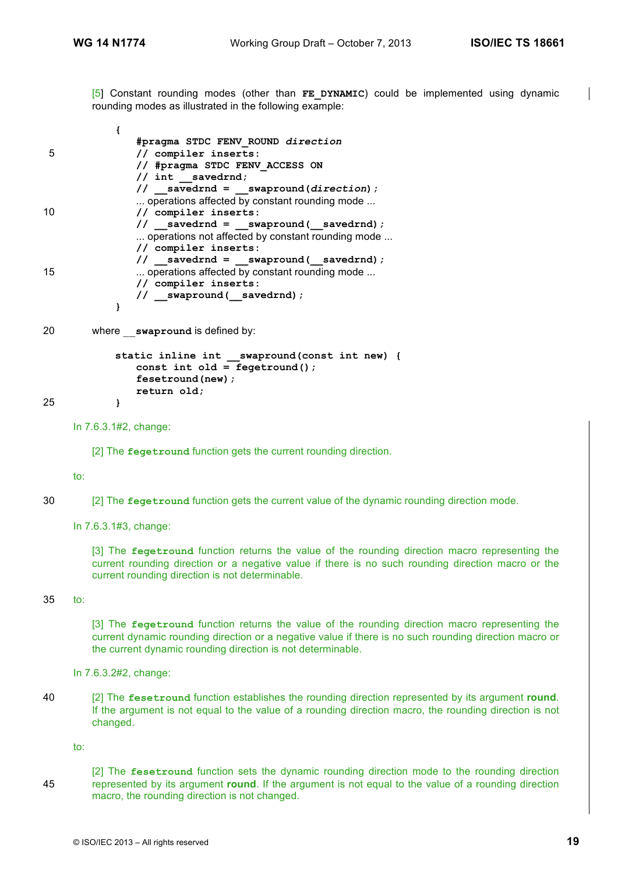[5] Constant rounding modes (other than **FE DYNAMIC**) could be implemented using dynamic rounding modes as illustrated in the following example:

**{ #pragma STDC FENV\_ROUND** *direction* 5 **// compiler inserts: // #pragma STDC FENV\_ACCESS ON // int \_\_savedrnd; // \_\_savedrnd = \_\_swapround(***direction***);** ... operations affected by constant rounding mode ... 10 **// compiler inserts: // \_\_savedrnd = \_\_swapround(\_\_savedrnd);** ... operations not affected by constant rounding mode ... **// compiler inserts: // \_\_savedrnd = \_\_swapround(\_\_savedrnd);** 15 **... operations affected by constant rounding mode ... // compiler inserts: // \_\_swapround(\_\_savedrnd); }**

```
20 where __swapround is defined by:
```

```
static inline int __swapround(const int new) {
              const int old = fegetround();
              fesetround(new);
              return old;
25 }
```

```
In 7.6.3.1#2, change:
```
[2] The **fegetround** function gets the current rounding direction.

#### to:

- 30 [2] The **fegetround** function gets the current value of the dynamic rounding direction mode.
	- In 7.6.3.1#3, change:

[3] The **fegetround** function returns the value of the rounding direction macro representing the current rounding direction or a negative value if there is no such rounding direction macro or the current rounding direction is not determinable.

#### 35 to:

[3] The **fegetround** function returns the value of the rounding direction macro representing the current dynamic rounding direction or a negative value if there is no such rounding direction macro or the current dynamic rounding direction is not determinable.

In 7.6.3.2#2, change:

40 [2] The **fesetround** function establishes the rounding direction represented by its argument **round**. If the argument is not equal to the value of a rounding direction macro, the rounding direction is not changed.

to:

[2] The **fesetround** function sets the dynamic rounding direction mode to the rounding direction 45 represented by its argument **round**. If the argument is not equal to the value of a rounding direction macro, the rounding direction is not changed.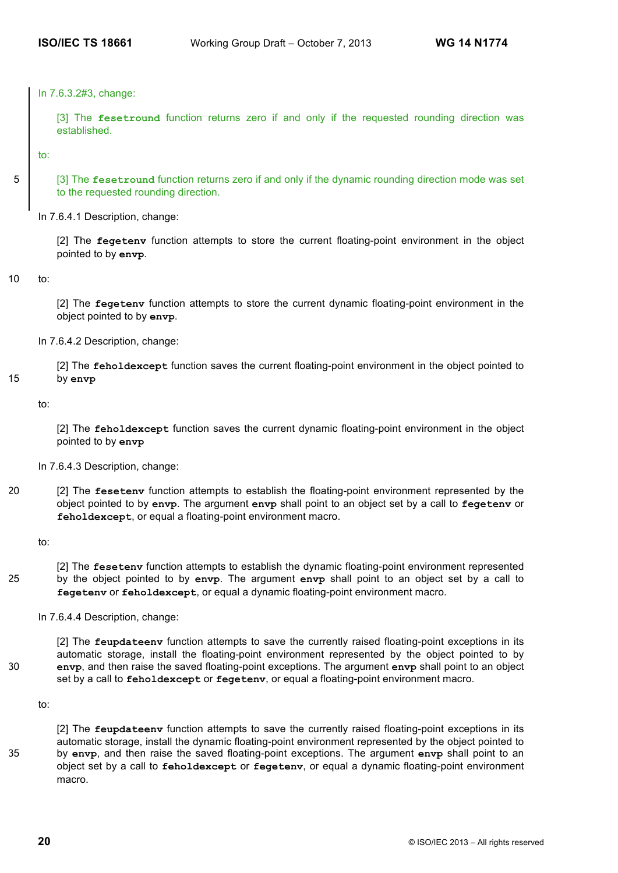In 7.6.3.2#3, change:

[3] The **fesetround** function returns zero if and only if the requested rounding direction was established.

to:

5 [3] The **fesetround** function returns zero if and only if the dynamic rounding direction mode was set to the requested rounding direction.

In 7.6.4.1 Description, change:

[2] The **fegetenv** function attempts to store the current floating-point environment in the object pointed to by **envp**.

10 to:

[2] The **fegetenv** function attempts to store the current dynamic floating-point environment in the object pointed to by **envp**.

In 7.6.4.2 Description, change:

[2] The **feholdexcept** function saves the current floating-point environment in the object pointed to 15 by **envp**

to:

[2] The **feholdexcept** function saves the current dynamic floating-point environment in the object pointed to by **envp**

In 7.6.4.3 Description, change:

20 [2] The **fesetenv** function attempts to establish the floating-point environment represented by the object pointed to by **envp**. The argument **envp** shall point to an object set by a call to **fegetenv** or **feholdexcept**, or equal a floating-point environment macro.

to:

[2] The **fesetenv** function attempts to establish the dynamic floating-point environment represented 25 by the object pointed to by **envp**. The argument **envp** shall point to an object set by a call to **fegetenv** or **feholdexcept**, or equal a dynamic floating-point environment macro.

In 7.6.4.4 Description, change:

[2] The **feupdateenv** function attempts to save the currently raised floating-point exceptions in its automatic storage, install the floating-point environment represented by the object pointed to by 30 **envp**, and then raise the saved floating-point exceptions. The argument **envp** shall point to an object set by a call to **feholdexcept** or **fegetenv**, or equal a floating-point environment macro.

to:

[2] The **feupdateenv** function attempts to save the currently raised floating-point exceptions in its automatic storage, install the dynamic floating-point environment represented by the object pointed to 35 by **envp**, and then raise the saved floating-point exceptions. The argument **envp** shall point to an object set by a call to **feholdexcept** or **fegetenv**, or equal a dynamic floating-point environment macro.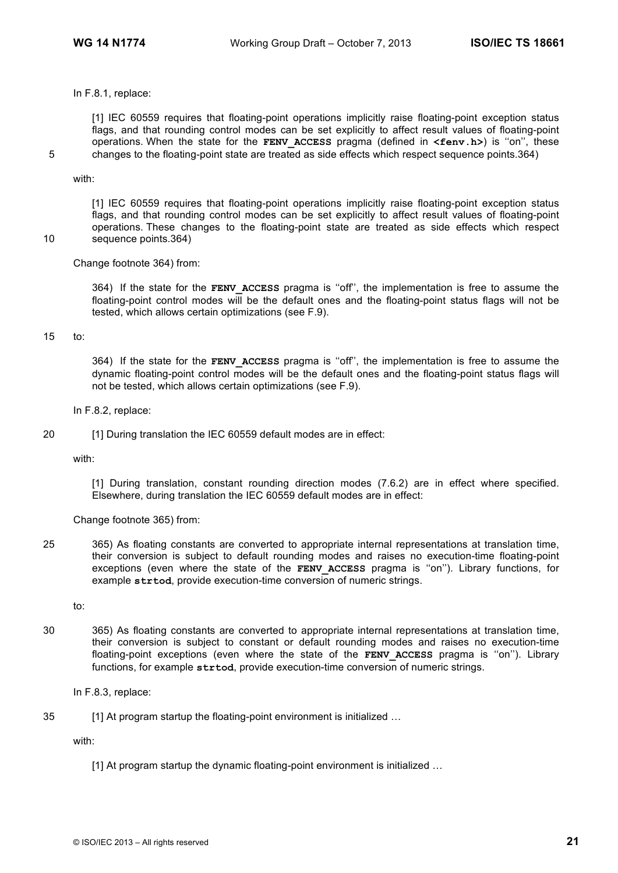In F.8.1, replace:

[1] IEC 60559 requires that floating-point operations implicitly raise floating-point exception status flags, and that rounding control modes can be set explicitly to affect result values of floating-point operations. When the state for the **FENV\_ACCESS** pragma (defined in **<fenv.h>**) is ''on'', these 5 changes to the floating-point state are treated as side effects which respect sequence points.364)

#### with:

[1] IEC 60559 requires that floating-point operations implicitly raise floating-point exception status flags, and that rounding control modes can be set explicitly to affect result values of floating-point operations. These changes to the floating-point state are treated as side effects which respect 10 sequence points.364)

Change footnote 364) from:

364) If the state for the **FENV\_ACCESS** pragma is ''off'', the implementation is free to assume the floating-point control modes will be the default ones and the floating-point status flags will not be tested, which allows certain optimizations (see F.9).

#### 15 to:

364) If the state for the **FENV\_ACCESS** pragma is ''off'', the implementation is free to assume the dynamic floating-point control modes will be the default ones and the floating-point status flags will not be tested, which allows certain optimizations (see F.9).

In F.8.2, replace:

20 [1] During translation the IEC 60559 default modes are in effect:

with:

[1] During translation, constant rounding direction modes (7.6.2) are in effect where specified. Elsewhere, during translation the IEC 60559 default modes are in effect:

Change footnote 365) from:

25 365) As floating constants are converted to appropriate internal representations at translation time, their conversion is subject to default rounding modes and raises no execution-time floating-point exceptions (even where the state of the **FENV ACCESS** pragma is "on"). Library functions, for example **strtod**, provide execution-time conversion of numeric strings.

to:

30 365) As floating constants are converted to appropriate internal representations at translation time, their conversion is subject to constant or default rounding modes and raises no execution-time floating-point exceptions (even where the state of the **FENV ACCESS** pragma is "on"). Library functions, for example **strtod**, provide execution-time conversion of numeric strings.

In F.8.3, replace:

35 [1] At program startup the floating-point environment is initialized …

with:

[1] At program startup the dynamic floating-point environment is initialized ...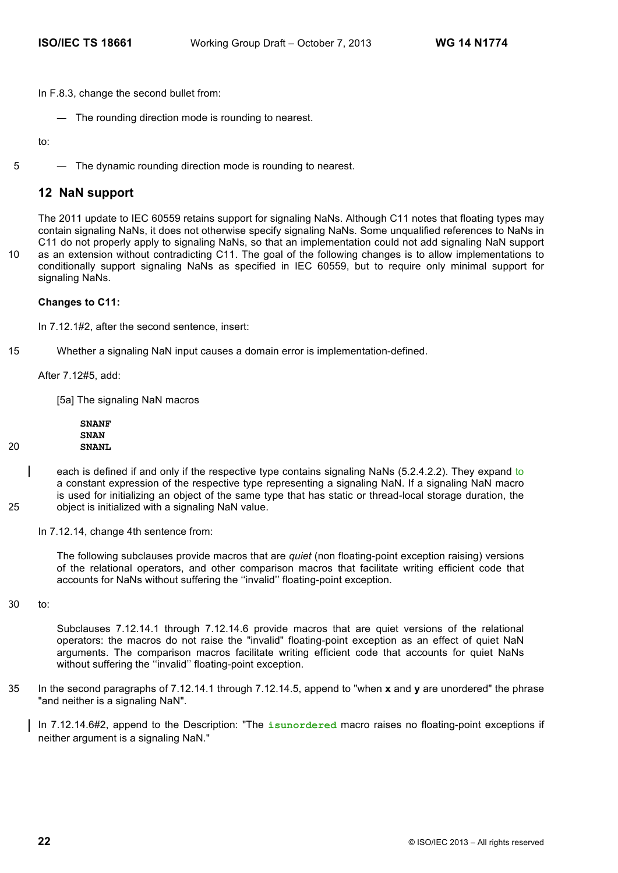In F.8.3, change the second bullet from:

— The rounding direction mode is rounding to nearest.

to:

5 — The dynamic rounding direction mode is rounding to nearest.

# **12 NaN support**

The 2011 update to IEC 60559 retains support for signaling NaNs. Although C11 notes that floating types may contain signaling NaNs, it does not otherwise specify signaling NaNs. Some unqualified references to NaNs in C11 do not properly apply to signaling NaNs, so that an implementation could not add signaling NaN support 10 as an extension without contradicting C11. The goal of the following changes is to allow implementations to

conditionally support signaling NaNs as specified in IEC 60559, but to require only minimal support for signaling NaNs.

#### **Changes to C11:**

In 7.12.1#2, after the second sentence, insert:

15 Whether a signaling NaN input causes a domain error is implementation-defined.

After 7.12#5, add:

[5a] The signaling NaN macros

**SNANF SNAN** 20 **SNANL**

- each is defined if and only if the respective type contains signaling NaNs (5.2.4.2.2). They expand to a constant expression of the respective type representing a signaling NaN. If a signaling NaN macro is used for initializing an object of the same type that has static or thread-local storage duration, the 25 object is initialized with a signaling NaN value.
	- In 7.12.14, change 4th sentence from:

The following subclauses provide macros that are *quiet* (non floating-point exception raising) versions of the relational operators, and other comparison macros that facilitate writing efficient code that accounts for NaNs without suffering the ''invalid'' floating-point exception.

30 to:

Subclauses 7.12.14.1 through 7.12.14.6 provide macros that are quiet versions of the relational operators: the macros do not raise the "invalid" floating-point exception as an effect of quiet NaN arguments. The comparison macros facilitate writing efficient code that accounts for quiet NaNs without suffering the ''invalid'' floating-point exception.

35 In the second paragraphs of 7.12.14.1 through 7.12.14.5, append to "when **x** and **y** are unordered" the phrase "and neither is a signaling NaN".

In 7.12.14.6#2, append to the Description: "The **isunordered** macro raises no floating-point exceptions if neither argument is a signaling NaN."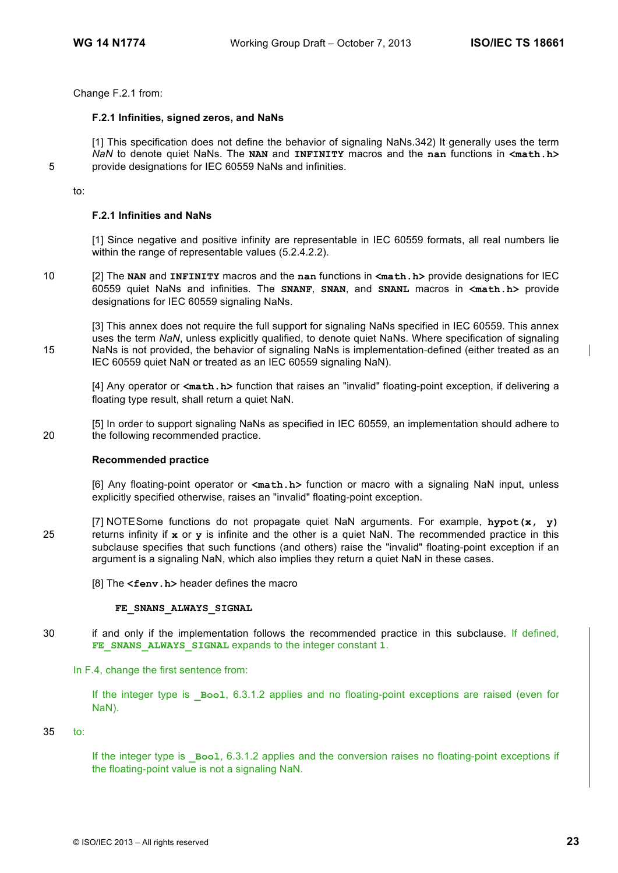Change F.2.1 from:

#### **F.2.1 Infinities, signed zeros, and NaNs**

[1] This specification does not define the behavior of signaling NaNs.342) It generally uses the term *NaN* to denote quiet NaNs. The **NAN** and **INFINITY** macros and the **nan** functions in **<math.h>** 5 provide designations for IEC 60559 NaNs and infinities.

to:

#### **F.2.1 Infinities and NaNs**

[1] Since negative and positive infinity are representable in IEC 60559 formats, all real numbers lie within the range of representable values (5.2.4.2.2).

10 [2] The **NAN** and **INFINITY** macros and the **nan** functions in **<math.h>** provide designations for IEC 60559 quiet NaNs and infinities. The **SNANF**, **SNAN**, and **SNANL** macros in **<math.h>** provide designations for IEC 60559 signaling NaNs.

[3] This annex does not require the full support for signaling NaNs specified in IEC 60559. This annex uses the term *NaN*, unless explicitly qualified, to denote quiet NaNs. Where specification of signaling 15 NaNs is not provided, the behavior of signaling NaNs is implementation-defined (either treated as an IEC 60559 quiet NaN or treated as an IEC 60559 signaling NaN).

[4] Any operator or **<math.h>** function that raises an "invalid" floating-point exception, if delivering a floating type result, shall return a quiet NaN.

[5] In order to support signaling NaNs as specified in IEC 60559, an implementation should adhere to 20 the following recommended practice.

#### **Recommended practice**

[6] Any floating-point operator or **<math.h>** function or macro with a signaling NaN input, unless explicitly specified otherwise, raises an "invalid" floating-point exception.

[7] NOTESome functions do not propagate quiet NaN arguments. For example, **hypot(x, y)** 25 returns infinity if **x** or **y** is infinite and the other is a quiet NaN. The recommended practice in this subclause specifies that such functions (and others) raise the "invalid" floating-point exception if an argument is a signaling NaN, which also implies they return a quiet NaN in these cases.

[8] The **<fenv.h>** header defines the macro

#### FE SNANS ALWAYS SIGNAL

30 if and only if the implementation follows the recommended practice in this subclause. If defined, **FE\_SNANS\_ALWAYS\_SIGNAL** expands to the integer constant **1**.

In F.4, change the first sentence from:

If the integer type is **Bool**, 6.3.1.2 applies and no floating-point exceptions are raised (even for NaN).

35 to:

If the integer type is **Bool**, 6.3.1.2 applies and the conversion raises no floating-point exceptions if the floating-point value is not a signaling NaN.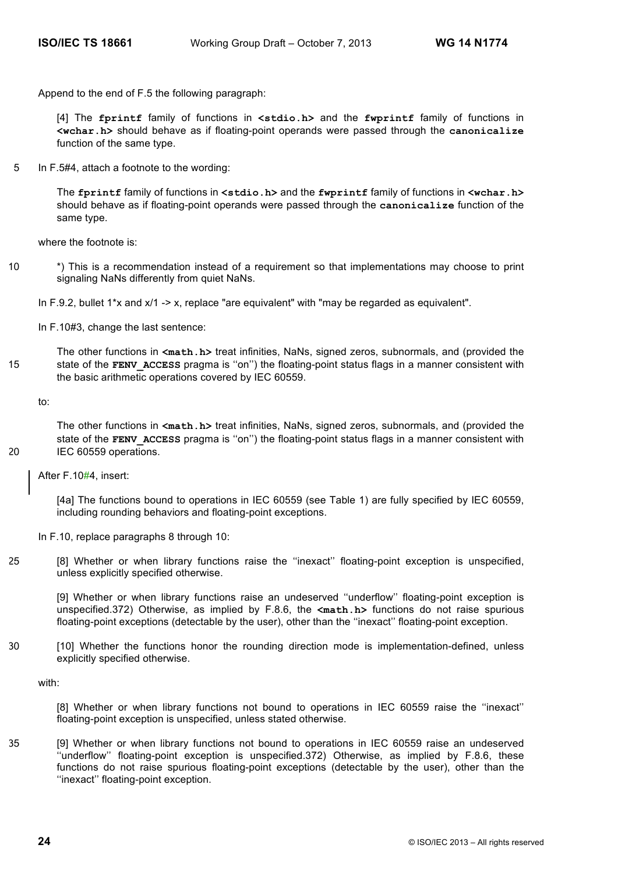Append to the end of F.5 the following paragraph:

[4] The **fprintf** family of functions in **<stdio.h>** and the **fwprintf** family of functions in **<wchar.h>** should behave as if floating-point operands were passed through the **canonicalize** function of the same type.

5 In F.5#4, attach a footnote to the wording:

The **fprintf** family of functions in **<stdio.h>** and the **fwprintf** family of functions in **<wchar.h>** should behave as if floating-point operands were passed through the **canonicalize** function of the same type.

where the footnote is:

10 \*) This is a recommendation instead of a requirement so that implementations may choose to print signaling NaNs differently from quiet NaNs.

In F.10#3, change the last sentence:

The other functions in **<math.h>** treat infinities, NaNs, signed zeros, subnormals, and (provided the 15 state of the **FENV\_ACCESS** pragma is ''on'') the floating-point status flags in a manner consistent with the basic arithmetic operations covered by IEC 60559.

to:

The other functions in **<math.h>** treat infinities, NaNs, signed zeros, subnormals, and (provided the state of the **FENV** ACCESS pragma is "on") the floating-point status flags in a manner consistent with 20 IEC 60559 operations.

After F.10#4, insert:

[4a] The functions bound to operations in IEC 60559 (see Table 1) are fully specified by IEC 60559, including rounding behaviors and floating-point exceptions.

In F.10, replace paragraphs 8 through 10:

25 [8] Whether or when library functions raise the ''inexact'' floating-point exception is unspecified, unless explicitly specified otherwise.

[9] Whether or when library functions raise an undeserved "underflow" floating-point exception is unspecified.372) Otherwise, as implied by F.8.6, the **<math.h>** functions do not raise spurious floating-point exceptions (detectable by the user), other than the ''inexact'' floating-point exception.

30 [10] Whether the functions honor the rounding direction mode is implementation-defined, unless explicitly specified otherwise.

with:

[8] Whether or when library functions not bound to operations in IEC 60559 raise the ''inexact'' floating-point exception is unspecified, unless stated otherwise.

35 [9] Whether or when library functions not bound to operations in IEC 60559 raise an undeserved ''underflow'' floating-point exception is unspecified.372) Otherwise, as implied by F.8.6, these functions do not raise spurious floating-point exceptions (detectable by the user), other than the ''inexact'' floating-point exception.

In F.9.2, bullet 1<sup>\*</sup>x and  $x/1 \rightarrow x$ , replace "are equivalent" with "may be regarded as equivalent".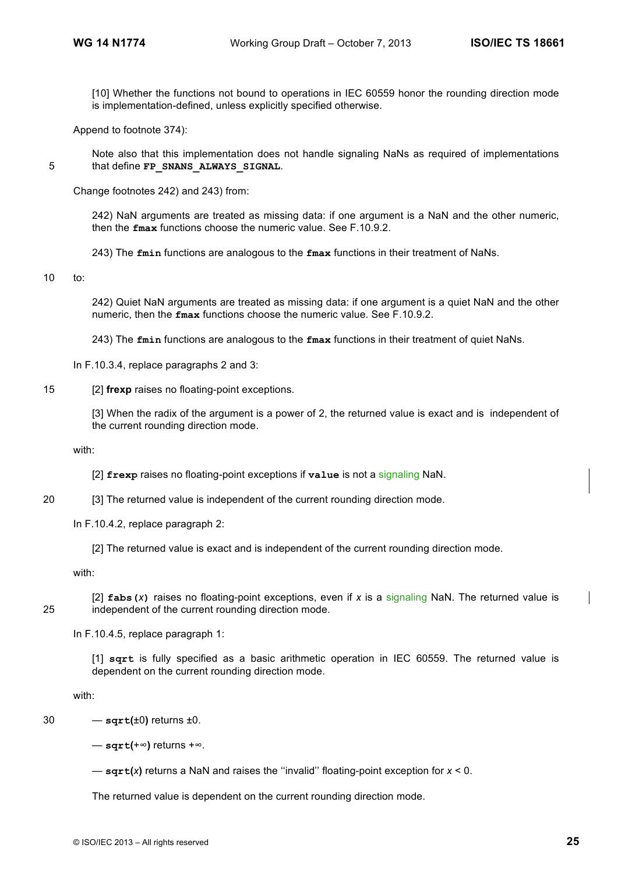[10] Whether the functions not bound to operations in IEC 60559 honor the rounding direction mode is implementation-defined, unless explicitly specified otherwise.

Append to footnote 374):

Note also that this implementation does not handle signaling NaNs as required of implementations 5 that define **FP\_SNANS\_ALWAYS\_SIGNAL**.

Change footnotes 242) and 243) from:

242) NaN arguments are treated as missing data: if one argument is a NaN and the other numeric, then the **fmax** functions choose the numeric value. See F.10.9.2.

243) The **fmin** functions are analogous to the **fmax** functions in their treatment of NaNs.

#### 10 to:

242) Quiet NaN arguments are treated as missing data: if one argument is a quiet NaN and the other numeric, then the **fmax** functions choose the numeric value. See F.10.9.2.

243) The **fmin** functions are analogous to the **fmax** functions in their treatment of quiet NaNs.

In F.10.3.4, replace paragraphs 2 and 3:

15 [2] **frexp** raises no floating-point exceptions.

[3] When the radix of the argument is a power of 2, the returned value is exact and is independent of the current rounding direction mode.

with:

[2] **frexp** raises no floating-point exceptions if **value** is not a signaling NaN.

20 [3] The returned value is independent of the current rounding direction mode.

In F.10.4.2, replace paragraph 2:

[2] The returned value is exact and is independent of the current rounding direction mode.

with:

[2] **fabs(***x***)** raises no floating-point exceptions, even if *x* is a signaling NaN. The returned value is 25 independent of the current rounding direction mode.

In F.10.4.5, replace paragraph 1:

[1] **sqrt** is fully specified as a basic arithmetic operation in IEC 60559. The returned value is dependent on the current rounding direction mode.

with:

 $30 - \sqrt{5}$  **sqrt**( $\pm 0$ ) returns  $\pm 0$ .

— **sqrt(**+∞**)** returns +∞.

— **sqrt(***x***)** returns a NaN and raises the ''invalid'' floating-point exception for *x* < 0.

The returned value is dependent on the current rounding direction mode.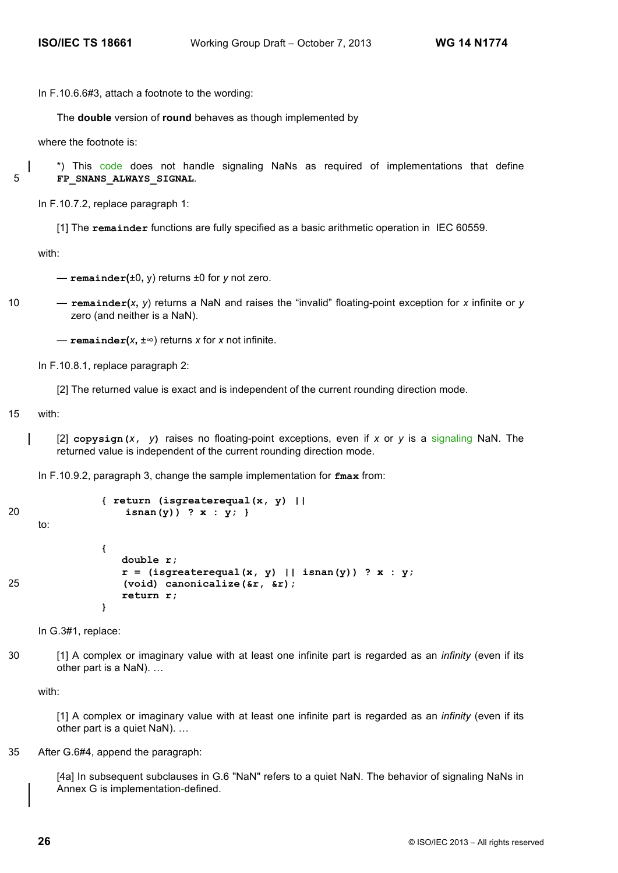In F.10.6.6#3, attach a footnote to the wording:

The **double** version of **round** behaves as though implemented by

where the footnote is:

\*) This code does not handle signaling NaNs as required of implementations that define 5 **FP\_SNANS\_ALWAYS\_SIGNAL**.

In F.10.7.2, replace paragraph 1:

[1] The **remainder** functions are fully specified as a basic arithmetic operation in IEC 60559.

with:

— **remainder(**±0**,** y) returns ±0 for *y* not zero.

10 — **remainder(***x***,** *y*) returns a NaN and raises the "invalid" floating-point exception for *x* infinite or *y* zero (and neither is a NaN).

— **remainder(***x***,** ±∞) returns *x* for *x* not infinite.

In F.10.8.1, replace paragraph 2:

[2] The returned value is exact and is independent of the current rounding direction mode.

15 with:

[2] **copysign(***x***,** *y***)** raises no floating-point exceptions, even if *x* or *y* is a signaling NaN. The returned value is independent of the current rounding direction mode.

In F.10.9.2, paragraph 3, change the sample implementation for **fmax** from:

```
{ return (isgreaterequal(x, y) ||
20 isnan(y)) ? x : y; }
    to:
             {
               double r;
                r = (isgreaterequal(x, y) || isnan(y)) ? x : y;
25 (void) canonicalize(&r, &r);
                return r;
             }
```
In G.3#1, replace:

30 [1] A complex or imaginary value with at least one infinite part is regarded as an *infinity* (even if its other part is a NaN). …

with:

[1] A complex or imaginary value with at least one infinite part is regarded as an *infinity* (even if its other part is a quiet NaN). …

#### 35 After G.6#4, append the paragraph:

[4a] In subsequent subclauses in G.6 "NaN" refers to a quiet NaN. The behavior of signaling NaNs in Annex G is implementation-defined.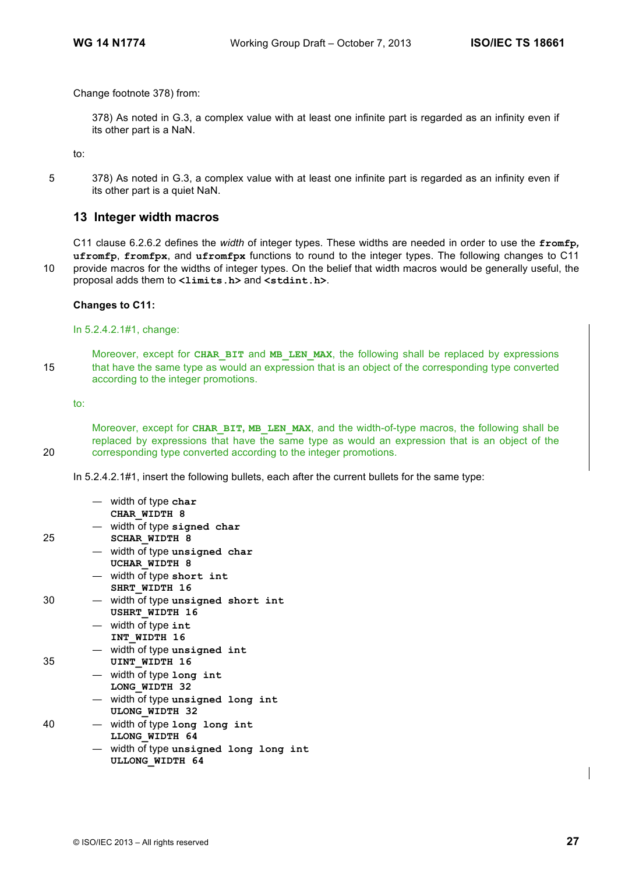Change footnote 378) from:

378) As noted in G.3, a complex value with at least one infinite part is regarded as an infinity even if its other part is a NaN.

to:

5 378) As noted in G.3, a complex value with at least one infinite part is regarded as an infinity even if its other part is a quiet NaN.

# **13 Integer width macros**

C11 clause 6.2.6.2 defines the *width* of integer types. These widths are needed in order to use the **fromfp***,*  **ufromfp**, **fromfpx**, and **ufromfpx** functions to round to the integer types. The following changes to C11 10 provide macros for the widths of integer types. On the belief that width macros would be generally useful, the proposal adds them to **<limits.h>** and **<stdint.h>**.

#### **Changes to C11:**

In 5.2.4.2.1#1, change:

Moreover, except for **CHAR\_BIT** and **MB\_LEN\_MAX**, the following shall be replaced by expressions 15 that have the same type as would an expression that is an object of the corresponding type converted according to the integer promotions.

to:

Moreover, except for **CHAR\_BIT, MB\_LEN\_MAX**, and the width-of-type macros, the following shall be replaced by expressions that have the same type as would an expression that is an object of the 20 corresponding type converted according to the integer promotions.

In 5.2.4.2.1#1, insert the following bullets, each after the current bullets for the same type:

|    | $-$ width of type char<br>CHAR WIDTH 8                         |
|----|----------------------------------------------------------------|
| 25 | - width of type signed char<br><b>SCHAR WIDTH 8</b>            |
|    | - width of type unsigned char                                  |
|    | UCHAR WIDTH 8<br>- width of type short int                     |
| 30 | SHRT WIDTH 16<br>- width of type unsigned short int            |
|    | <b>USHRT WIDTH 16</b>                                          |
|    | - width of type int                                            |
|    | INT WIDTH 16                                                   |
|    | - width of type unsigned int                                   |
| 35 | UINT WIDTH 16                                                  |
|    | - width of type long int                                       |
|    | LONG WIDTH 32                                                  |
|    | — width of type unsigned long int                              |
|    | <b>ULONG WIDTH 32</b>                                          |
| 40 | - width of type long long int                                  |
|    | LLONG WIDTH 64                                                 |
|    | width of type unsigned long long int<br><b>ULLONG WIDTH 64</b> |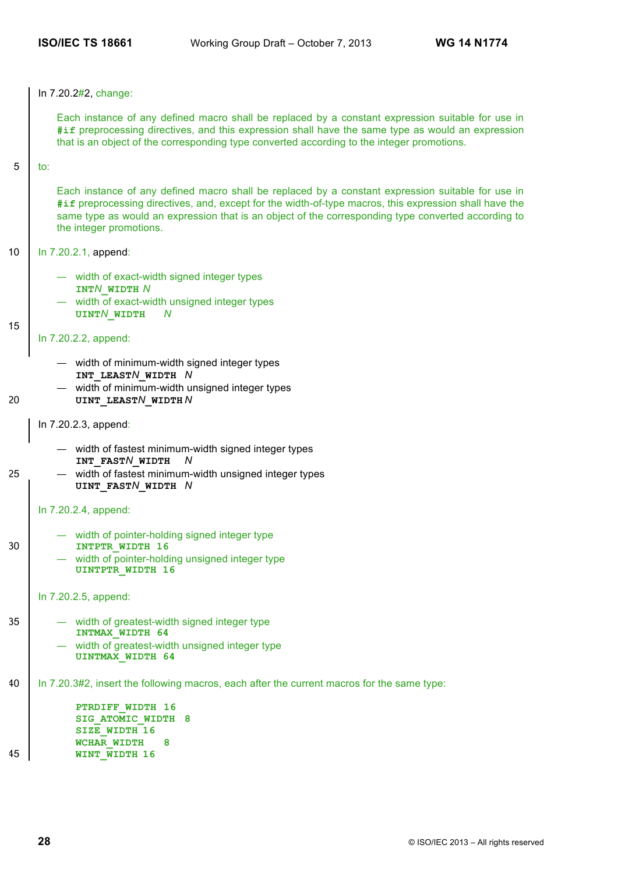In 7.20.2#2, change:

Each instance of any defined macro shall be replaced by a constant expression suitable for use in **#if** preprocessing directives, and this expression shall have the same type as would an expression that is an object of the corresponding type converted according to the integer promotions.

 $5 \mid \text{to}$ :

Each instance of any defined macro shall be replaced by a constant expression suitable for use in **#if** preprocessing directives, and, except for the width-of-type macros, this expression shall have the same type as would an expression that is an object of the corresponding type converted according to the integer promotions.

#### 10 | In 7.20.2.1, append:

- width of exact-width signed integer types **INT***N***\_WIDTH** *N*
- width of exact-width unsigned integer types **UINT***N***\_WIDTH** *N*

15

# In 7.20.2.2, append:

- width of minimum-width signed integer types **INT\_LEAST***N***\_WIDTH** *N*
- width of minimum-width unsigned integer types
- 20 **UINT\_LEAST***N***\_WIDTH** *N*

In 7.20.2.3, append:

- width of fastest minimum-width signed integer types **INT\_FAST***N***\_WIDTH** *N*
- 25 width of fastest minimum-width unsigned integer types **UINT\_FAST***N***\_WIDTH** *N*

In 7.20.2.4, append:

- width of pointer-holding signed integer type 30 **INTPTR\_WIDTH 16** width of pointer-holding unsigned integer type
	- **UINTPTR\_WIDTH 16**

In 7.20.2.5, append:

- 
- 35 **Fig. 25** width of greatest-width signed integer type **INTMAX\_WIDTH 64**  width of greatest-width unsigned integer type
	- **UINTMAX\_WIDTH 64**
- 40 In 7.20.3#2, insert the following macros, each after the current macros for the same type:

```
PTRDIFF_WIDTH 16
         SIG_ATOMIC_WIDTH 8
         SIZE_WIDTH 16
         WCHAR_WIDTH 8
45 WINT_WIDTH 16
```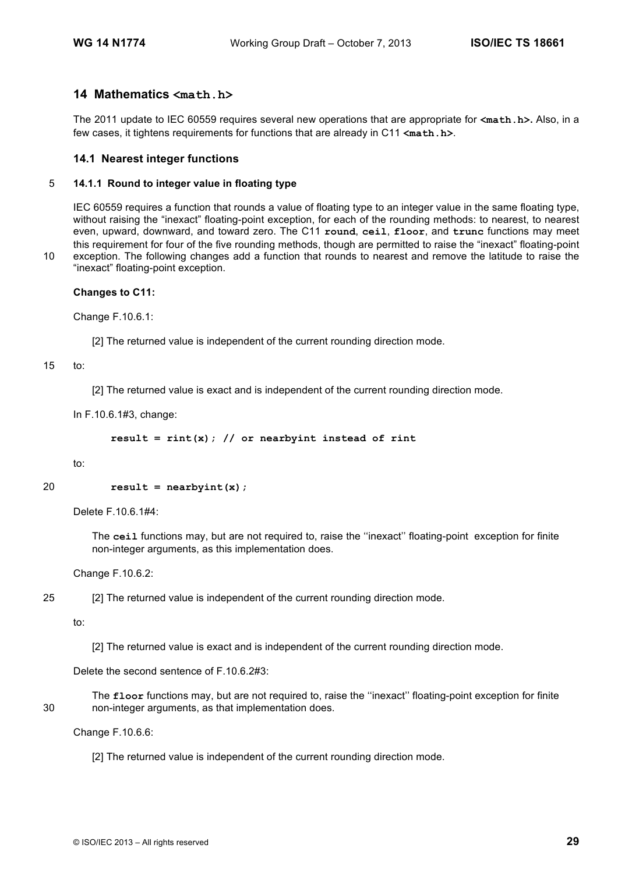# **14 Mathematics <math.h>**

The 2011 update to IEC 60559 requires several new operations that are appropriate for **<math.h>.** Also, in a few cases, it tightens requirements for functions that are already in C11 **<math.h>**.

## **14.1 Nearest integer functions**

#### 5 **14.1.1 Round to integer value in floating type**

IEC 60559 requires a function that rounds a value of floating type to an integer value in the same floating type, without raising the "inexact" floating-point exception, for each of the rounding methods: to nearest, to nearest even, upward, downward, and toward zero. The C11 **round**, **ceil**, **floor**, and **trunc** functions may meet this requirement for four of the five rounding methods, though are permitted to raise the "inexact" floating-point 10 exception. The following changes add a function that rounds to nearest and remove the latitude to raise the "inexact" floating-point exception.

**Changes to C11:**

Change F.10.6.1:

[2] The returned value is independent of the current rounding direction mode.

#### 15 to:

[2] The returned value is exact and is independent of the current rounding direction mode.

In F.10.6.1#3, change:

```
result = rint(x); // or nearbyint instead of rint
```
to:

```
20 result = nearbyint(x);
```
Delete F.10.6.1#4:

The **ceil** functions may, but are not required to, raise the ''inexact'' floating-point exception for finite non-integer arguments, as this implementation does.

Change F.10.6.2:

```
25 [2] The returned value is independent of the current rounding direction mode.
```
to:

[2] The returned value is exact and is independent of the current rounding direction mode.

Delete the second sentence of F.10.6.2#3:

The **floor** functions may, but are not required to, raise the ''inexact'' floating-point exception for finite 30 non-integer arguments, as that implementation does.

Change F.10.6.6:

[2] The returned value is independent of the current rounding direction mode.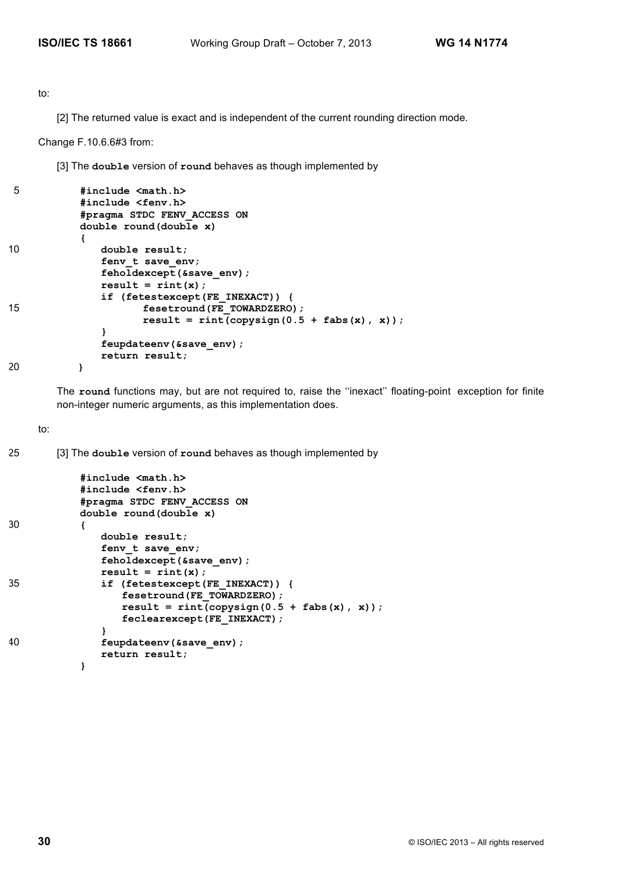to:

[2] The returned value is exact and is independent of the current rounding direction mode.

Change F.10.6.6#3 from:

[3] The **double** version of **round** behaves as though implemented by

```
5 #include <math.h>
          #include <fenv.h>
          #pragma STDC FENV_ACCESS ON
          double round(double x)
          {
10 double result;
             fenv t save env;
             feholdexcept(&save_env);
             result = rint(x);if (fetestexcept(FE_INEXACT)) {
15 fesetround(FE_TOWARDZERO);
                   result = rint(copysign(0.5 + fabs(x), x));}
             feupdateenv(&save_env);
             return result;
20 }
```
The **round** functions may, but are not required to, raise the ''inexact'' floating-point exception for finite non-integer numeric arguments, as this implementation does.

to:

25 [3] The **double** version of **round** behaves as though implemented by

```
#include <math.h>
          #include <fenv.h>
          #pragma STDC FENV_ACCESS ON
          double round(double x)
30 {
              double result;
              fenv t save env;
              feholdexcept(&save_env);
              result = rint(x);
35 if (fetestexcept(FE_INEXACT)) {
                 fesetround(FE_TOWARDZERO);
                 result = rint(copysign(0.5 + fabs(x), x));feclearexcept(FE_INEXACT);
              }
40 feupdateenv(&save_env);
              return result;
          }
```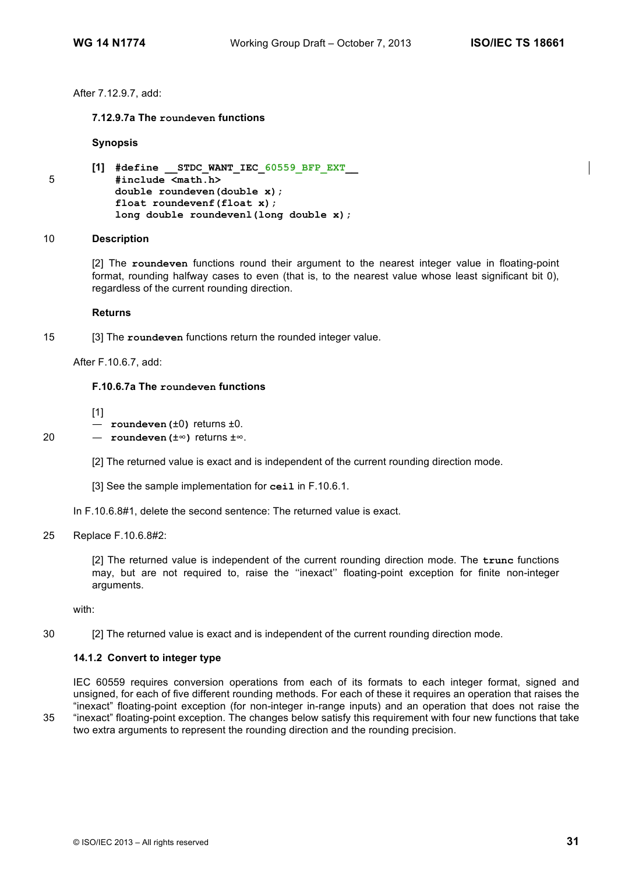After 7.12.9.7, add:

## **7.12.9.7a The roundeven functions**

**Synopsis**

```
[1] #define __STDC_WANT_IEC_60559_BFP_EXT__
5 #include <math.h>
          double roundeven(double x);
          float roundevenf(float x);
          long double roundevenl(long double x);
```
#### 10 **Description**

[2] The **roundeven** functions round their argument to the nearest integer value in floating-point format, rounding halfway cases to even (that is, to the nearest value whose least significant bit 0), regardless of the current rounding direction.

#### **Returns**

15 [3] The **roundeven** functions return the rounded integer value.

After F.10.6.7, add:

#### **F.10.6.7a The roundeven functions**

[1]

- **roundeven(**±0**)** returns ±0.
- 20 **roundeven(**±∞**)** returns ±∞.
	- [2] The returned value is exact and is independent of the current rounding direction mode.
	- [3] See the sample implementation for **ceil** in F.10.6.1.
	- In F.10.6.8#1, delete the second sentence: The returned value is exact.

#### 25 Replace F.10.6.8#2:

[2] The returned value is independent of the current rounding direction mode. The **trunc** functions may, but are not required to, raise the ''inexact'' floating-point exception for finite non-integer arguments.

with:

30 [2] The returned value is exact and is independent of the current rounding direction mode.

#### **14.1.2 Convert to integer type**

IEC 60559 requires conversion operations from each of its formats to each integer format, signed and unsigned, for each of five different rounding methods. For each of these it requires an operation that raises the "inexact" floating-point exception (for non-integer in-range inputs) and an operation that does not raise the 35 "inexact" floating-point exception. The changes below satisfy this requirement with four new functions that take two extra arguments to represent the rounding direction and the rounding precision.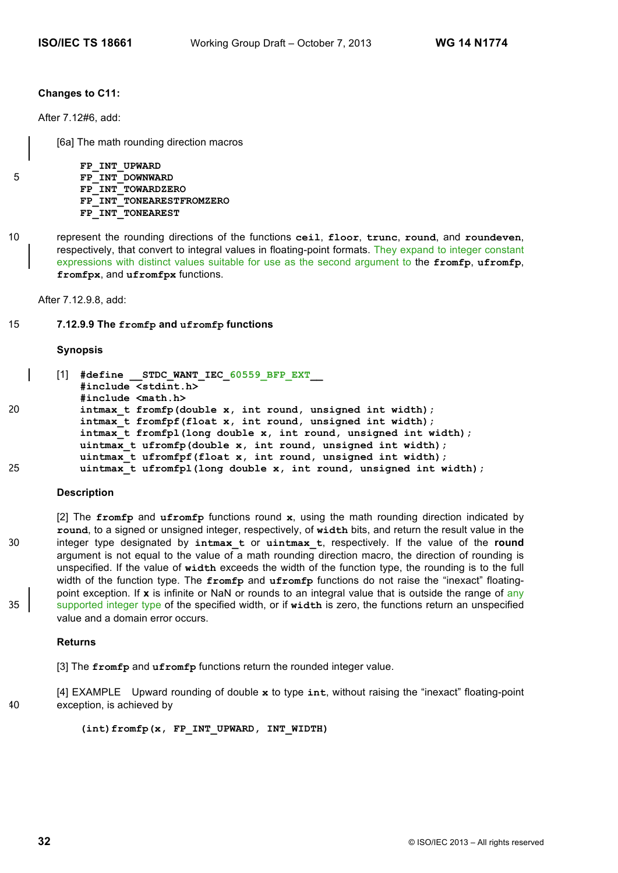## **Changes to C11:**

After 7.12#6, add:

[6a] The math rounding direction macros

**FP\_INT\_UPWARD** 5 **FP\_INT\_DOWNWARD FP\_INT\_TOWARDZERO FP\_INT\_TONEARESTFROMZERO FP\_INT\_TONEAREST**

10 represent the rounding directions of the functions **ceil**, **floor**, **trunc**, **round**, and **roundeven**, respectively, that convert to integral values in floating-point formats. They expand to integer constant expressions with distinct values suitable for use as the second argument to the **fromfp**, **ufromfp**, **fromfpx**, and **ufromfpx** functions.

After 7.12.9.8, add:

# 15 **7.12.9.9 The fromfp and ufromfp functions**

#### **Synopsis**

```
[1] #define __STDC_WANT_IEC_60559_BFP_EXT__
           #include <stdint.h>
           #include <math.h>
20 intmax_t fromfp(double x, int round, unsigned int width);
           intmax_t fromfpf(float x, int round, unsigned int width);
           intmax_t fromfpl(long double x, int round, unsigned int width);
           uintmax_t ufromfp(double x, int round, unsigned int width);
           uintmax_t ufromfpf(float x, int round, unsigned int width);
25 uintmax_t ufromfpl(long double x, int round, unsigned int width);
```
#### **Description**

[2] The **fromfp** and **ufromfp** functions round **x**, using the math rounding direction indicated by **round**, to a signed or unsigned integer, respectively, of **width** bits, and return the result value in the 30 integer type designated by **intmax\_t** or **uintmax\_t**, respectively. If the value of the **round** argument is not equal to the value of a math rounding direction macro, the direction of rounding is unspecified. If the value of **width** exceeds the width of the function type, the rounding is to the full width of the function type. The **fromfp** and **ufromfp** functions do not raise the "inexact" floatingpoint exception. If **x** is infinite or NaN or rounds to an integral value that is outside the range of any 35 supported integer type of the specified width, or if width is zero, the functions return an unspecified value and a domain error occurs.

#### **Returns**

[3] The **fromfp** and **ufromfp** functions return the rounded integer value.

[4] EXAMPLE Upward rounding of double **x** to type **int**, without raising the "inexact" floating-point 40 exception, is achieved by

(int)fromfp(x, FP\_INT\_UPWARD, INT\_WIDTH)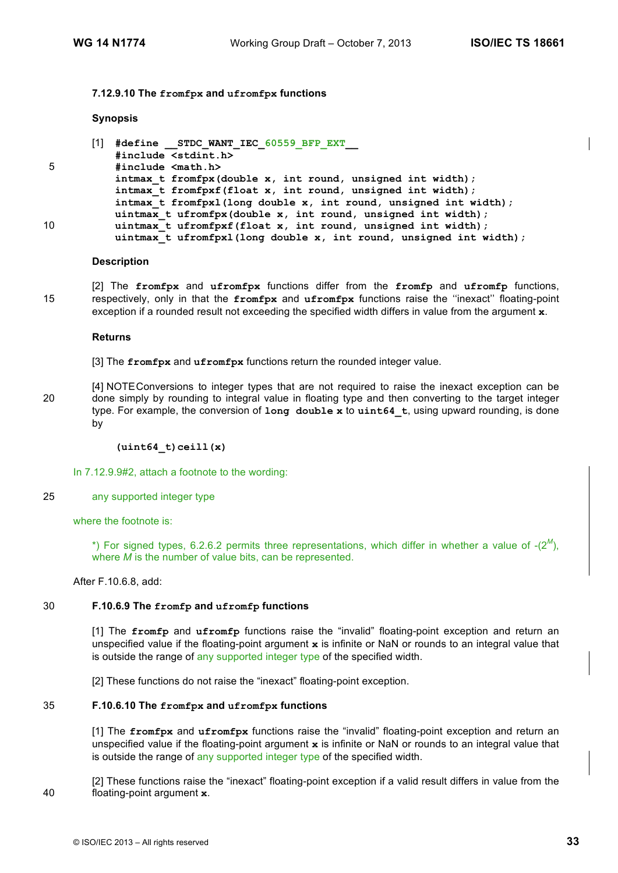#### **7.12.9.10 The fromfpx and ufromfpx functions**

#### **Synopsis**

|    | #define STDC WANT IEC 60559 BFP EXT                                |
|----|--------------------------------------------------------------------|
|    | #include <stdint.h></stdint.h>                                     |
| 5  | #include <math.h></math.h>                                         |
|    | intmax t fromfpx(double x, int round, unsigned int width);         |
|    | intmax t from $f(x)$ (float $x$ , int round, unsigned int width);  |
|    | intmax t fromfpx1(long double x, int round, unsigned int width);   |
|    | uintmax t ufromfpx(double x, int round, unsigned int width);       |
| 10 | uintmax t ufromfpxf(float x, int round, unsigned int width);       |
|    | uintmax t ufromfpxl(long double x, int round, unsigned int width); |

#### **Description**

[2] The **fromfpx** and **ufromfpx** functions differ from the **fromfp** and **ufromfp** functions, 15 respectively, only in that the **fromfpx** and **ufromfpx** functions raise the ''inexact'' floating-point exception if a rounded result not exceeding the specified width differs in value from the argument **x**.

#### **Returns**

[3] The **fromfpx** and **ufromfpx** functions return the rounded integer value.

[4] NOTEConversions to integer types that are not required to raise the inexact exception can be 20 done simply by rounding to integral value in floating type and then converting to the target integer type. For example, the conversion of **long double x** to **uint64\_t**, using upward rounding, is done by

#### **(uint64\_t)ceill(x)**

In 7.12.9.9#2, attach a footnote to the wording:

25 any supported integer type

where the footnote is:

\*) For signed types, 6.2.6.2 permits three representations, which differ in whether a value of  $-(2^M)$ , where *M* is the number of value bits, can be represented.

After F.10.6.8, add:

# 30 **F.10.6.9 The fromfp and ufromfp functions**

[1] The **fromfp** and **ufromfp** functions raise the "invalid" floating-point exception and return an unspecified value if the floating-point argument **x** is infinite or NaN or rounds to an integral value that is outside the range of any supported integer type of the specified width.

[2] These functions do not raise the "inexact" floating-point exception.

# 35 **F.10.6.10 The fromfpx and ufromfpx functions**

[1] The **fromfpx** and **ufromfpx** functions raise the "invalid" floating-point exception and return an unspecified value if the floating-point argument **x** is infinite or NaN or rounds to an integral value that is outside the range of any supported integer type of the specified width.

[2] These functions raise the "inexact" floating-point exception if a valid result differs in value from the 40 floating-point argument **x**.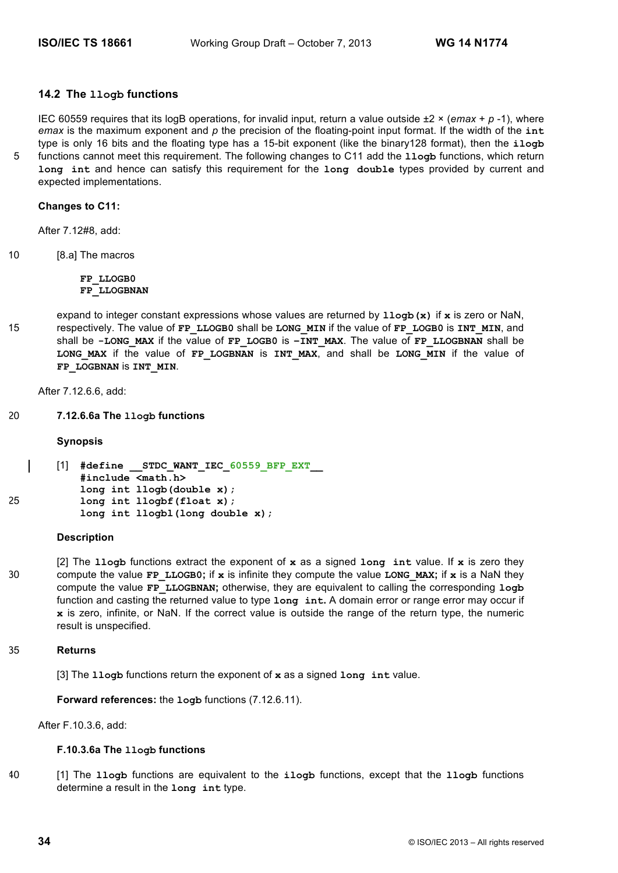# **14.2 The llogb functions**

IEC 60559 requires that its logB operations, for invalid input, return a value outside  $\pm 2 \times (emax + p - 1)$ , where *emax* is the maximum exponent and *p* the precision of the floating-point input format. If the width of the **int** type is only 16 bits and the floating type has a 15-bit exponent (like the binary128 format), then the **ilogb** 5 functions cannot meet this requirement. The following changes to C11 add the **llogb** functions, which return **long int** and hence can satisfy this requirement for the **long double** types provided by current and expected implementations.

## **Changes to C11:**

After 7.12#8, add:

10 [8.a] The macros

**FP\_LLOGB0 FP\_LLOGBNAN**

expand to integer constant expressions whose values are returned by **llogb(x)** if **x** is zero or NaN, 15 respectively. The value of **FP\_LLOGB0** shall be **LONG\_MIN** if the value of **FP\_LOGB0** is **INT\_MIN**, and shall be **-LONG\_MAX** if the value of **FP\_LOGB0** is **–INT\_MAX**. The value of **FP\_LLOGBNAN** shall be **LONG\_MAX** if the value of **FP\_LOGBNAN** is **INT\_MAX**, and shall be **LONG\_MIN** if the value of **FP\_LOGBNAN** is **INT\_MIN**.

After 7.12.6.6, add:

20 **7.12.6.6a The llogb functions** 

#### **Synopsis**

```
[1] #define __STDC_WANT_IEC_60559_BFP_EXT__
           #include <math.h>
           long int llogb(double x);
25 long int llogbf(float x);
           long int llogbl(long double x);
```
## **Description**

[2] The **llogb** functions extract the exponent of **x** as a signed **long int** value. If **x** is zero they 30 compute the value **FP\_LLOGB0;** if **x** is infinite they compute the value **LONG\_MAX;** if **x** is a NaN they compute the value **FP\_LLOGBNAN;** otherwise, they are equivalent to calling the corresponding **logb** function and casting the returned value to type **long int.** A domain error or range error may occur if **x** is zero, infinite, or NaN. If the correct value is outside the range of the return type, the numeric result is unspecified.

#### 35 **Returns**

[3] The **llogb** functions return the exponent of **x** as a signed **long int** value.

**Forward references:** the **logb** functions (7.12.6.11).

After F.10.3.6, add:

#### **F.10.3.6a The llogb functions**

40 [1] The **llogb** functions are equivalent to the **ilogb** functions, except that the **llogb** functions determine a result in the **long int** type.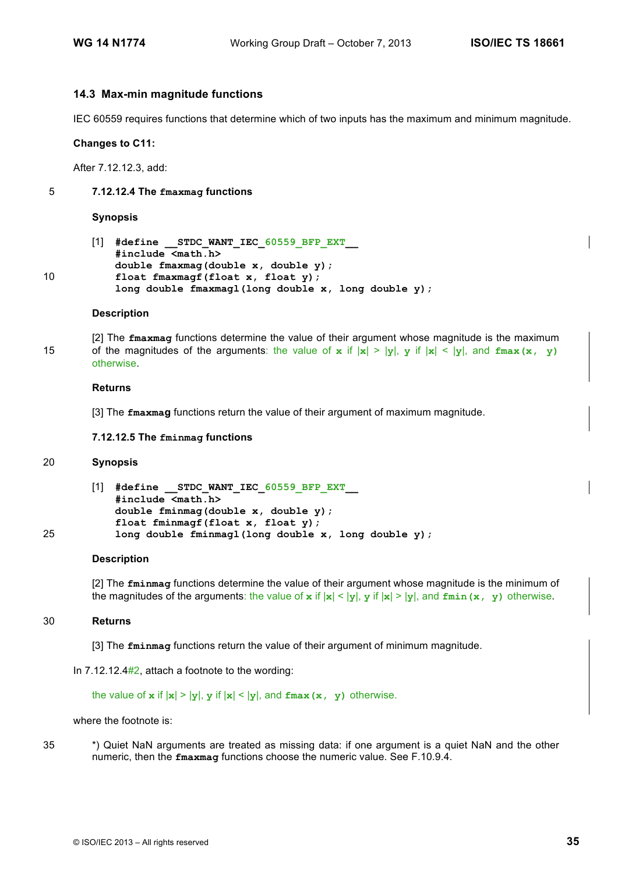# **14.3 Max-min magnitude functions**

IEC 60559 requires functions that determine which of two inputs has the maximum and minimum magnitude.

#### **Changes to C11:**

After 7.12.12.3, add:

#### 5 **7.12.12.4 The fmaxmag functions**

#### **Synopsis**

```
[1] #define __STDC_WANT_IEC_60559_BFP_EXT__
           #include <math.h> 
           double fmaxmag(double x, double y);
10 float fmaxmagf(float x, float y);
           long double fmaxmagl(long double x, long double y);
```
#### **Description**

[2] The **fmaxmag** functions determine the value of their argument whose magnitude is the maximum 15 of the magnitudes of the arguments: the value of  $x$  if  $|x| > |y|$ ,  $y$  if  $|x| < |y|$ , and  $f_{\text{max}}(x, y)$ otherwise.

#### **Returns**

[3] The **fmaxmag** functions return the value of their argument of maximum magnitude.

#### **7.12.12.5 The fminmag functions**

# 20 **Synopsis**

```
[1] #define __STDC_WANT_IEC_60559_BFP_EXT__
           #include <math.h> 
           double fminmag(double x, double y);
           float fminmagf(float x, float y);
25 long double fminmagl(long double x, long double y);
```
#### **Description**

[2] The **fminmag** functions determine the value of their argument whose magnitude is the minimum of the magnitudes of the arguments: the value of  $x$  if  $|x| < |y|$ ,  $y$  if  $|x| > |y|$ , and  $f_{min}(x, y)$  otherwise.

#### 30 **Returns**

[3] The **fminmag** functions return the value of their argument of minimum magnitude.

In 7.12.12.4#2, attach a footnote to the wording:

the value of  $x$  if  $|x| > |y|$ ,  $y$  if  $|x| < |y|$ , and  $fmax(x, y)$  otherwise.

where the footnote is:

35 \*) Quiet NaN arguments are treated as missing data: if one argument is a quiet NaN and the other numeric, then the **fmaxmag** functions choose the numeric value. See F.10.9.4.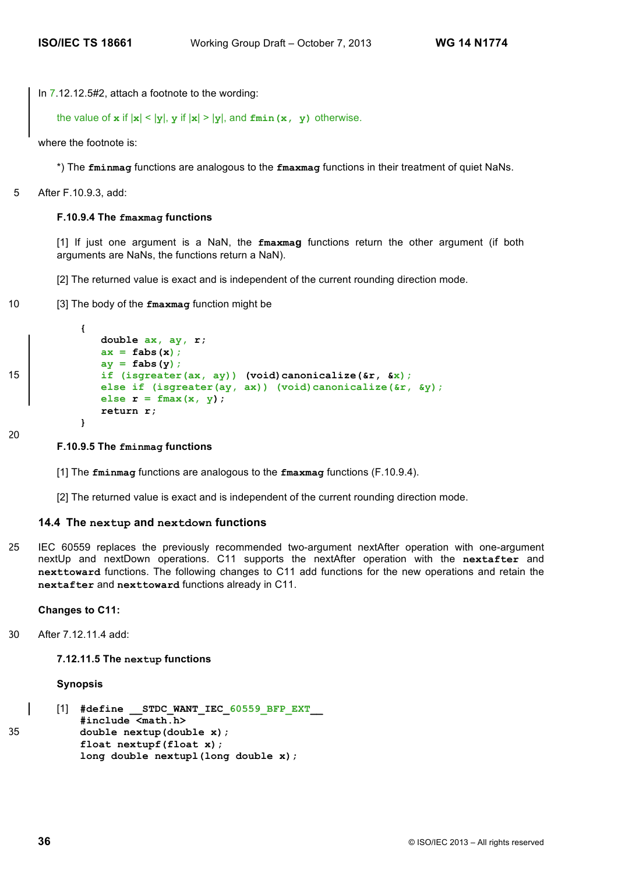In 7.12.12.5#2, attach a footnote to the wording:

```
the value of x if |x| < |y|, y if |x| > |y|, and fmin(x, y) otherwise.
```
where the footnote is:

\*) The **fminmag** functions are analogous to the **fmaxmag** functions in their treatment of quiet NaNs.

5 After F.10.9.3, add:

#### **F.10.9.4 The fmaxmag functions**

[1] If just one argument is a NaN, the **fmaxmag** functions return the other argument (if both arguments are NaNs, the functions return a NaN).

[2] The returned value is exact and is independent of the current rounding direction mode.

10 [3] The body of the **fmaxmag** function might be

```
{ 
              double ax, ay, r;
              ax = fabs(x);
              ay = fabs(y);
15 if (isgreater(ax, ay)) (void)canonicalize(&r, &x);
              else if (isgreater(ay, ax)) (void)canonicalize(&r, &y);
              else r = fmax(x, y);
              return r;
           }
```
20

#### **F.10.9.5 The fminmag functions**

[1] The **fminmag** functions are analogous to the **fmaxmag** functions (F.10.9.4).

[2] The returned value is exact and is independent of the current rounding direction mode.

#### **14.4 The nextup and nextdown functions**

25 IEC 60559 replaces the previously recommended two-argument nextAfter operation with one-argument nextUp and nextDown operations. C11 supports the nextAfter operation with the **nextafter** and **nexttoward** functions. The following changes to C11 add functions for the new operations and retain the **nextafter** and **nexttoward** functions already in C11.

#### **Changes to C11:**

30 After 7.12.11.4 add:

#### **7.12.11.5 The nextup functions**

#### **Synopsis**

```
[1] #define STDC WANT IEC 60559 BFP EXT
          #include <math.h>
35 double nextup(double x);
          float nextupf(float x);
          long double nextupl(long double x);
```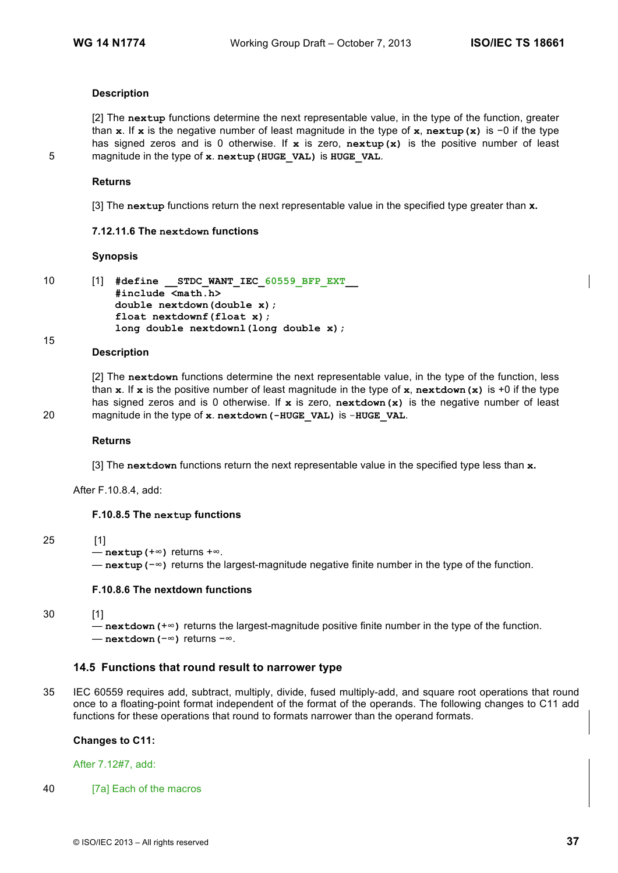## **Description**

[2] The **nextup** functions determine the next representable value, in the type of the function, greater than **x**. If **x** is the negative number of least magnitude in the type of **x**, **nextup(x)** is −0 if the type has signed zeros and is 0 otherwise. If **x** is zero, **nextup(x)** is the positive number of least 5 magnitude in the type of **x**. **nextup(HUGE\_VAL)** is **HUGE\_VAL**.

#### **Returns**

[3] The **nextup** functions return the next representable value in the specified type greater than **x.**

#### **7.12.11.6 The nextdown functions**

#### **Synopsis**

```
10 [1] #define __STDC_WANT_IEC_60559_BFP_EXT__
           #include <math.h>
           double nextdown(double x);
           float nextdownf(float x);
           long double nextdownl(long double x);
```
#### 15

#### **Description**

[2] The **nextdown** functions determine the next representable value, in the type of the function, less than **x**. If **x** is the positive number of least magnitude in the type of **x**, **nextdown(x)** is +0 if the type has signed zeros and is 0 otherwise. If **x** is zero, **nextdown(x)** is the negative number of least 20 magnitude in the type of **x**. **nextdown(-HUGE\_VAL)** is -**HUGE\_VAL**.

#### **Returns**

[3] The **nextdown** functions return the next representable value in the specified type less than **x.**

After F.10.8.4, add:

#### **F.10.8.5 The nextup functions**

#### 25 [1]

```
— nextup(+∞) returns +∞.
```
— **nextup(**−∞**)** returns the largest-magnitude negative finite number in the type of the function.

### **F.10.8.6 The nextdown functions**

```
30 [1]
```
— **nextdown(**+∞**)** returns the largest-magnitude positive finite number in the type of the function. — **nextdown(**−∞**)** returns −∞.

#### **14.5 Functions that round result to narrower type**

35 IEC 60559 requires add, subtract, multiply, divide, fused multiply-add, and square root operations that round once to a floating-point format independent of the format of the operands. The following changes to C11 add functions for these operations that round to formats narrower than the operand formats.

#### **Changes to C11:**

After 7.12#7, add:

40 [7a] Each of the macros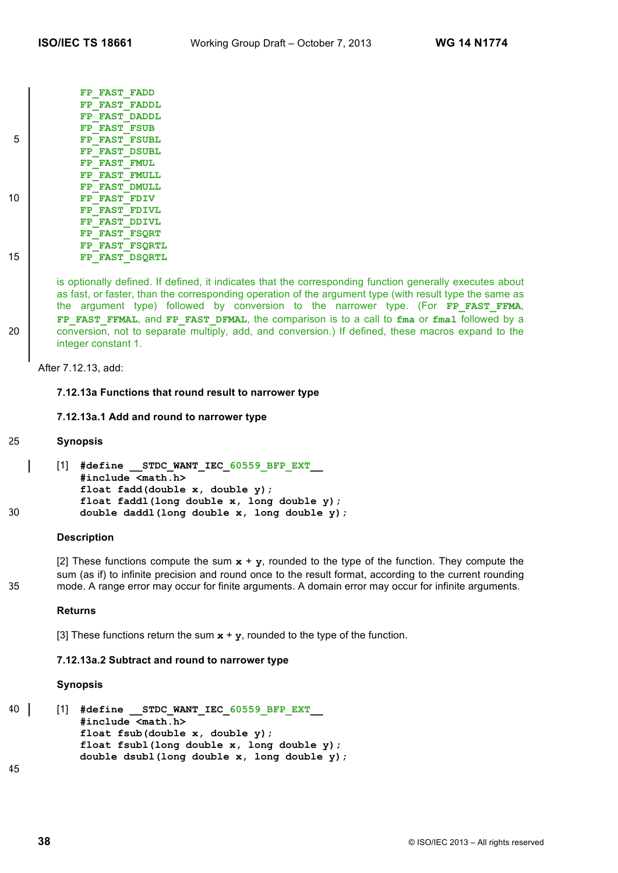|    | <b>FAST FADD</b><br>FP                     |
|----|--------------------------------------------|
|    | FP FAST FADDL                              |
|    | <b>FAST</b><br><b>DADDL</b><br>FP          |
| 5  | FP FAST FSUB                               |
|    | <b>FAST FSUBL</b><br>FP                    |
|    | FP FAST DSUBL                              |
|    | <b>FAST FMUL</b><br>FP                     |
|    | FP FAST FMULL                              |
| 10 | FP FAST DMULL                              |
|    | FP FAST FDIV                               |
|    | FP FAST FDIVL                              |
|    | FP FAST DDIVL                              |
|    | <b>FAST FSORT</b><br>FP                    |
| 15 | FP FAST FSORTL                             |
|    | <b>DSORTL</b><br><b>FAST</b><br>${\bf FP}$ |

is optionally defined. If defined, it indicates that the corresponding function generally executes about as fast, or faster, than the corresponding operation of the argument type (with result type the same as the argument type) followed by conversion to the narrower type. (For FP FAST FFMA, **FP\_FAST\_FFMAL**, and **FP\_FAST\_DFMAL**, the comparison is to a call to **fma** or **fmal** followed by a 20 conversion, not to separate multiply, add, and conversion.) If defined, these macros expand to the integer constant 1.

After 7.12.13, add:

#### **7.12.13a Functions that round result to narrower type**

# **7.12.13a.1 Add and round to narrower type**

#### 25 **Synopsis**

```
[1] #define __STDC_WANT_IEC_60559_BFP_EXT__
           #include <math.h>
           float fadd(double x, double y); 
           float faddl(long double x, long double y); 
30 double daddl(long double x, long double y);
```
#### **Description**

[2] These functions compute the sum  $x + y$ , rounded to the type of the function. They compute the sum (as if) to infinite precision and round once to the result format, according to the current rounding 35 mode. A range error may occur for finite arguments. A domain error may occur for infinite arguments.

#### **Returns**

[3] These functions return the sum  $x + y$ , rounded to the type of the function.

#### **7.12.13a.2 Subtract and round to narrower type**

#### **Synopsis**

```
40 | [1] #define STDC WANT IEC 60559 BFP EXT
           #include <math.h>
           float fsub(double x, double y); 
           float fsubl(long double x, long double y); 
           double dsubl(long double x, long double y);
45
```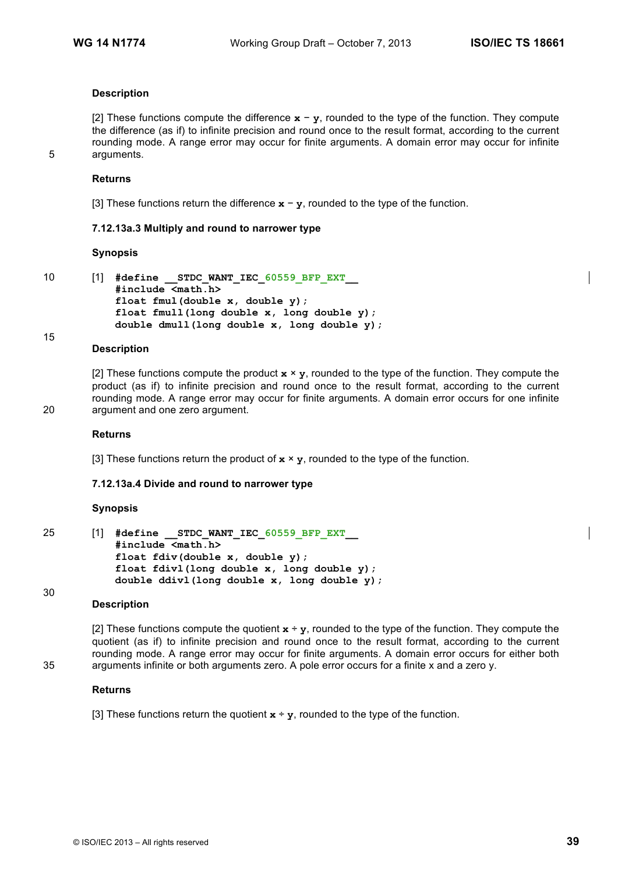# **Description**

[2] These functions compute the difference **x** − **y**, rounded to the type of the function. They compute the difference (as if) to infinite precision and round once to the result format, according to the current rounding mode. A range error may occur for finite arguments. A domain error may occur for infinite 5 arguments.

#### **Returns**

[3] These functions return the difference **x** − **y**, rounded to the type of the function.

#### **7.12.13a.3 Multiply and round to narrower type**

#### **Synopsis**

15

```
10 [1] #define __STDC_WANT_IEC_60559_BFP_EXT__
           #include <math.h>
           float fmul(double x, double y); 
           float fmull(long double x, long double y); 
           double dmull(long double x, long double y);
```
#### **Description**

[2] These functions compute the product  $x \times y$ , rounded to the type of the function. They compute the product (as if) to infinite precision and round once to the result format, according to the current rounding mode. A range error may occur for finite arguments. A domain error occurs for one infinite 20 argument and one zero argument.

#### **Returns**

[3] These functions return the product of  $x \times y$ , rounded to the type of the function.

#### **7.12.13a.4 Divide and round to narrower type**

#### **Synopsis**

```
25 [1] #define __STDC_WANT_IEC_60559_BFP_EXT__
           #include <math.h>
           float fdiv(double x, double y); 
           float fdivl(long double x, long double y); 
           double ddivl(long double x, long double y);
```
#### 30

#### **Description**

[2] These functions compute the quotient  $x \div y$ , rounded to the type of the function. They compute the quotient (as if) to infinite precision and round once to the result format, according to the current rounding mode. A range error may occur for finite arguments. A domain error occurs for either both 35 arguments infinite or both arguments zero. A pole error occurs for a finite x and a zero y.

#### **Returns**

[3] These functions return the quotient  $\mathbf{x} \div \mathbf{y}$ , rounded to the type of the function.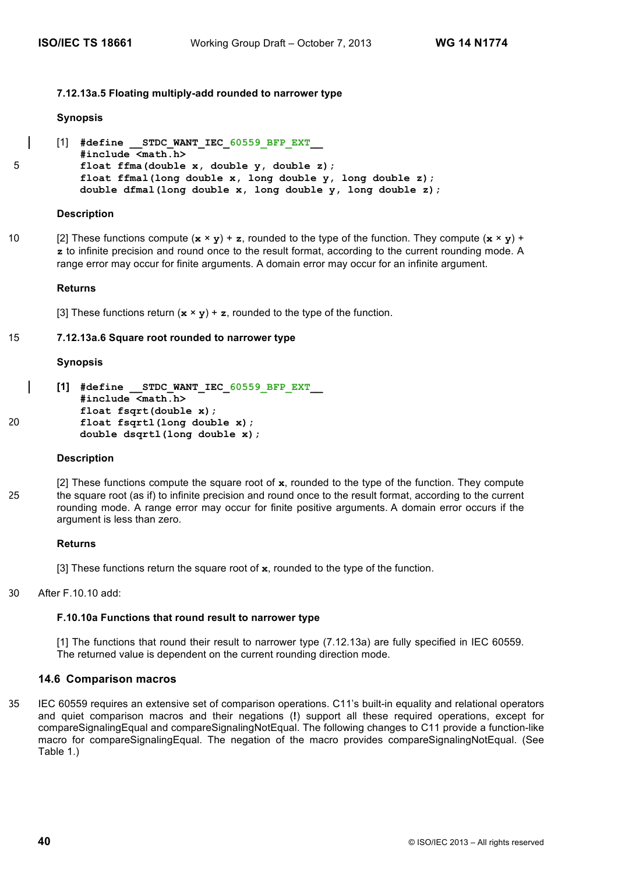## **7.12.13a.5 Floating multiply-add rounded to narrower type**

#### **Synopsis**

```
[1] #define STDC WANT IEC 60559 BFP EXT
          #include <math.h>
5 float ffma(double x, double y, double z); 
          float ffmal(long double x, long double y, long double z); 
          double dfmal(long double x, long double y, long double z);
```
#### **Description**

10 [2] These functions compute  $(\mathbf{x} \times \mathbf{y}) + \mathbf{z}$ , rounded to the type of the function. They compute  $(\mathbf{x} \times \mathbf{y}) +$ **z** to infinite precision and round once to the result format, according to the current rounding mode. A range error may occur for finite arguments. A domain error may occur for an infinite argument.

#### **Returns**

[3] These functions return  $(\mathbf{x} \times \mathbf{y}) + \mathbf{z}$ , rounded to the type of the function.

#### 15 **7.12.13a.6 Square root rounded to narrower type**

#### **Synopsis**

```
[1] #define __STDC_WANT_IEC_60559_BFP_EXT__
           #include <math.h>
           float fsqrt(double x); 
20 float fsqrtl(long double x); 
           double dsqrtl(long double x);
```
#### **Description**

[2] These functions compute the square root of **x**, rounded to the type of the function. They compute 25 the square root (as if) to infinite precision and round once to the result format, according to the current rounding mode. A range error may occur for finite positive arguments. A domain error occurs if the argument is less than zero.

#### **Returns**

[3] These functions return the square root of **x**, rounded to the type of the function.

30 After F.10.10 add:

# **F.10.10a Functions that round result to narrower type**

[1] The functions that round their result to narrower type (7.12.13a) are fully specified in IEC 60559. The returned value is dependent on the current rounding direction mode.

# **14.6 Comparison macros**

35 IEC 60559 requires an extensive set of comparison operations. C11's built-in equality and relational operators and quiet comparison macros and their negations (**!**) support all these required operations, except for compareSignalingEqual and compareSignalingNotEqual. The following changes to C11 provide a function-like macro for compareSignalingEqual. The negation of the macro provides compareSignalingNotEqual. (See Table 1.)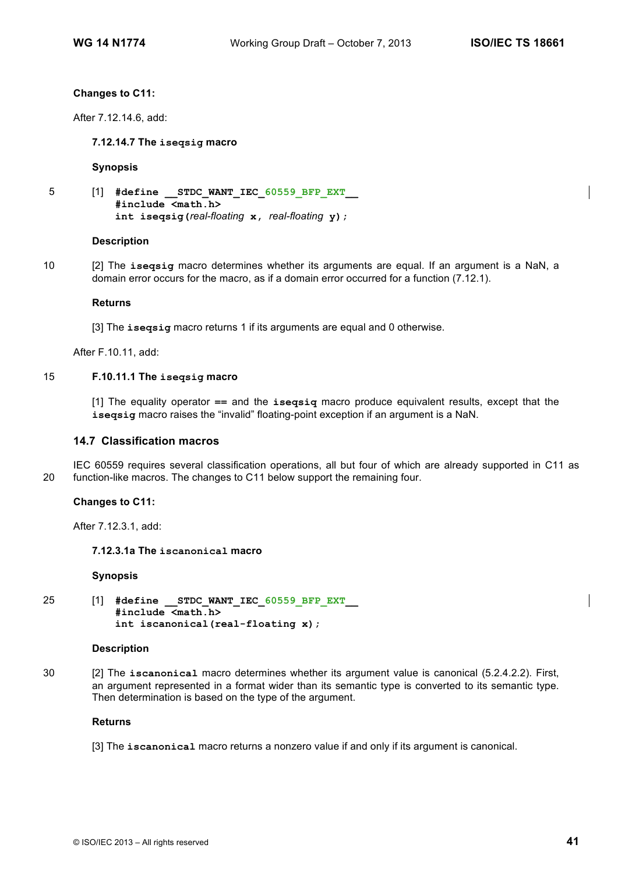#### **Changes to C11:**

After 7.12.14.6, add:

#### **7.12.14.7 The iseqsig macro**

#### **Synopsis**

```
5 [1] #define __STDC_WANT_IEC_60559_BFP_EXT__
           #include <math.h>
           int iseqsig(real-floating x, real-floating y);
```
#### **Description**

10 [2] The **iseqsig** macro determines whether its arguments are equal. If an argument is a NaN, a domain error occurs for the macro, as if a domain error occurred for a function (7.12.1).

#### **Returns**

[3] The **iseqsig** macro returns 1 if its arguments are equal and 0 otherwise.

After F.10.11, add:

#### 15 **F.10.11.1 The iseqsig macro**

[1] The equality operator **==** and the **iseqsiq** macro produce equivalent results, except that the **iseqsig** macro raises the "invalid" floating-point exception if an argument is a NaN.

## **14.7 Classification macros**

IEC 60559 requires several classification operations, all but four of which are already supported in C11 as 20 function-like macros. The changes to C11 below support the remaining four.

#### **Changes to C11:**

After 7.12.3.1, add:

# **7.12.3.1a The iscanonical macro**

#### **Synopsis**

25 [1] **#define \_\_STDC\_WANT\_IEC\_60559\_BFP\_EXT\_\_ #include <math.h> int iscanonical(real-floating x);**

#### **Description**

30 [2] The **iscanonical** macro determines whether its argument value is canonical (5.2.4.2.2). First, an argument represented in a format wider than its semantic type is converted to its semantic type. Then determination is based on the type of the argument.

#### **Returns**

[3] The **iscanonical** macro returns a nonzero value if and only if its argument is canonical.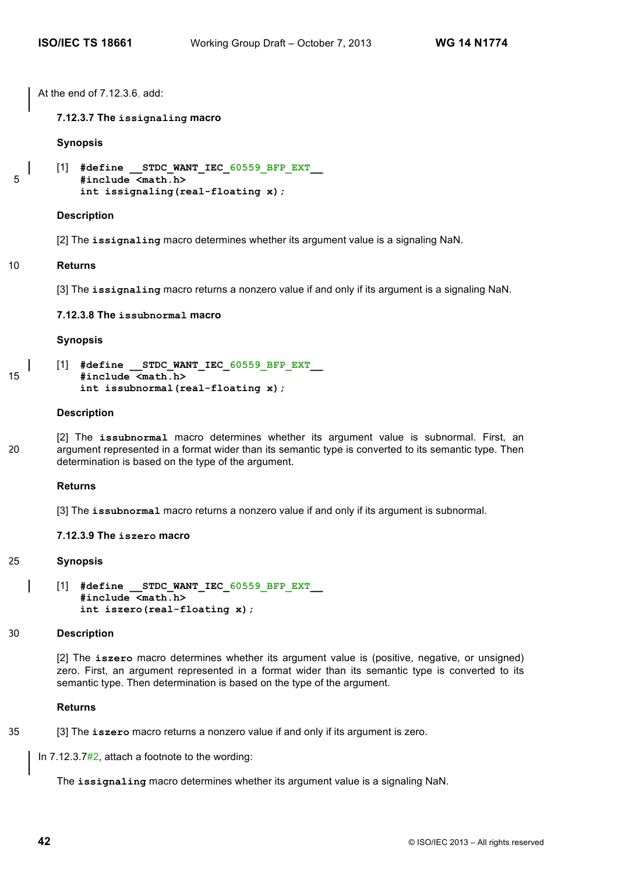At the end of 7.12.3.6, add:

**7.12.3.7 The issignaling macro**

**Synopsis**

```
[1] #define STDC WANT IEC 60559 BFP EXT
5 #include <math.h> 
         int issignaling(real-floating x);
```
#### **Description**

[2] The **issignaling** macro determines whether its argument value is a signaling NaN.

#### 10 **Returns**

[3] The **issignaling** macro returns a nonzero value if and only if its argument is a signaling NaN.

**7.12.3.8 The issubnormal macro**

#### **Synopsis**

[1] **#define \_\_STDC\_WANT\_IEC\_60559\_BFP\_EXT\_\_** 15 **#include <math.h> int issubnormal(real-floating x);**

#### **Description**

[2] The **issubnormal** macro determines whether its argument value is subnormal. First, an 20 argument represented in a format wider than its semantic type is converted to its semantic type. Then determination is based on the type of the argument.

#### **Returns**

[3] The **issubnormal** macro returns a nonzero value if and only if its argument is subnormal.

#### **7.12.3.9 The iszero macro**

#### 25 **Synopsis**

```
[1] #define __STDC_WANT_IEC_60559_BFP_EXT__
    #include <math.h> 
    int iszero(real-floating x);
```
#### 30 **Description**

[2] The **iszero** macro determines whether its argument value is (positive, negative, or unsigned) zero. First, an argument represented in a format wider than its semantic type is converted to its semantic type. Then determination is based on the type of the argument.

#### **Returns**

35 [3] The **iszero** macro returns a nonzero value if and only if its argument is zero.

In 7.12.3.7#2, attach a footnote to the wording:

The **issignaling** macro determines whether its argument value is a signaling NaN.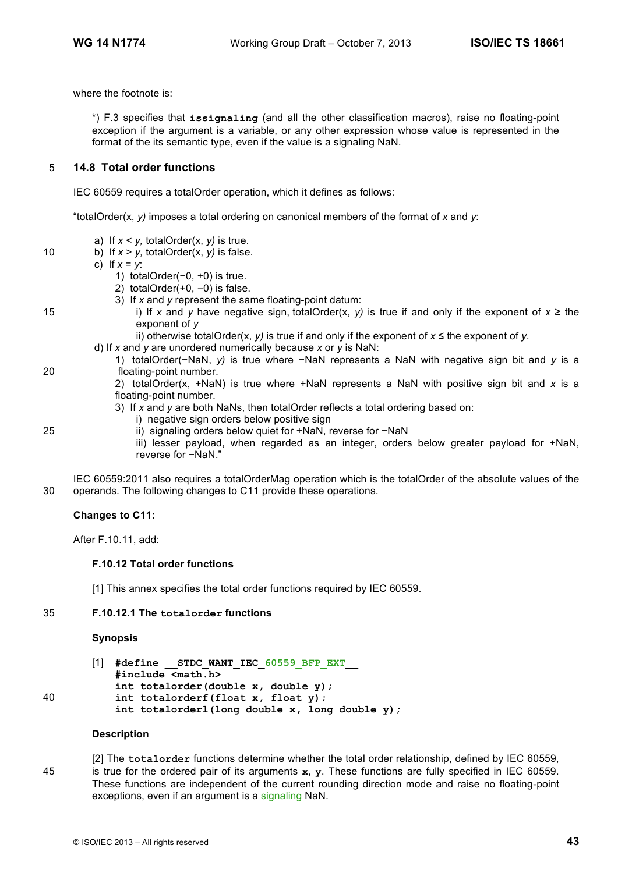where the footnote is:

\*) F.3 specifies that **issignaling** (and all the other classification macros), raise no floating-point exception if the argument is a variable, or any other expression whose value is represented in the format of the its semantic type, even if the value is a signaling NaN.

# 5 **14.8 Total order functions**

IEC 60559 requires a totalOrder operation, which it defines as follows:

"totalOrder(x, *y)* imposes a total ordering on canonical members of the format of *x* and *y*:

- a) If  $x < y$ , totalOrder(x,  $y$ ) is true.
- 10 b) If  $x > y$ , totalOrder(x,  $y$ ) is false.

c) If *x* = *y*:

- 1) totalOrder(−0, +0) is true.
- 2) totalOrder(+0, −0) is false.
- 3) If *x* and *y* represent the same floating-point datum:
- 15 i) If *x* and *y* have negative sign, totalOrder(x, *y)* is true if and only if the exponent of *x* ≥ the exponent of *y*
	- ii) otherwise totalOrder(x, *y)* is true if and only if the exponent of *x* ≤ the exponent of *y.*
	- d) If *x* and *y* are unordered numerically because *x* or *y* is NaN:
- 1) totalOrder(−NaN, *y)* is true where −NaN represents a NaN with negative sign bit and *y* is a 20 floating-point number.
	- 2) totalOrder(x, +NaN) is true where +NaN represents a NaN with positive sign bit and *x* is a floating-point number.
	- 3) If *x* and *y* are both NaNs, then totalOrder reflects a total ordering based on:
	- i) negative sign orders below positive sign
- 25 ii) signaling orders below quiet for +NaN, reverse for −NaN
	- iii) lesser payload, when regarded as an integer, orders below greater payload for +NaN, reverse for −NaN."

IEC 60559:2011 also requires a totalOrderMag operation which is the totalOrder of the absolute values of the 30 operands. The following changes to C11 provide these operations.

#### **Changes to C11:**

After F.10.11, add:

#### **F.10.12 Total order functions**

[1] This annex specifies the total order functions required by IEC 60559.

#### 35 **F.10.12.1 The totalorder functions**

#### **Synopsis**

[1] **#define \_\_STDC\_WANT\_IEC\_60559\_BFP\_EXT\_\_ #include <math.h> int totalorder(double x, double y);** 40 **int totalorderf(float x, float y); int totalorderl(long double x, long double y);**

#### **Description**

[2] The **totalorder** functions determine whether the total order relationship, defined by IEC 60559, 45 is true for the ordered pair of its arguments **x**, **y**. These functions are fully specified in IEC 60559. These functions are independent of the current rounding direction mode and raise no floating-point exceptions, even if an argument is a signaling NaN.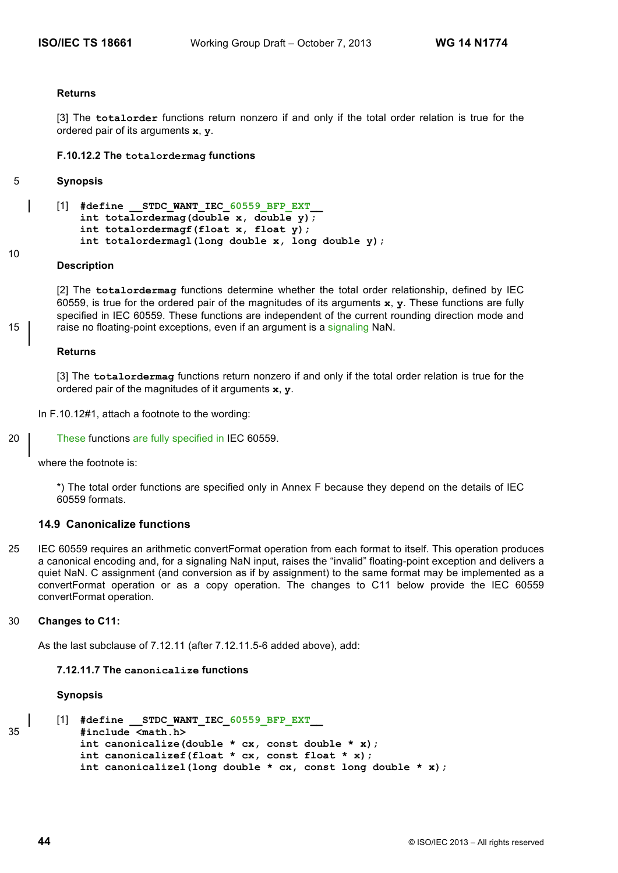#### **Returns**

[3] The **totalorder** functions return nonzero if and only if the total order relation is true for the ordered pair of its arguments **x**, **y**.

#### **F.10.12.2 The totalordermag functions**

#### 5 **Synopsis**

10

[1] #define STDC WANT IEC 60559 BFP EXT **int totalordermag(double x, double y); int totalordermagf(float x, float y); int totalordermagl(long double x, long double y);**

#### **Description**

[2] The **totalordermag** functions determine whether the total order relationship, defined by IEC 60559, is true for the ordered pair of the magnitudes of its arguments **x**, **y**. These functions are fully specified in IEC 60559. These functions are independent of the current rounding direction mode and 15 **find** raise no floating-point exceptions, even if an argument is a signaling NaN.

#### **Returns**

[3] The **totalordermag** functions return nonzero if and only if the total order relation is true for the ordered pair of the magnitudes of it arguments **x**, **y**.

- In F.10.12#1, attach a footnote to the wording:
- 20 These functions are fully specified in IEC 60559.

where the footnote is:

\*) The total order functions are specified only in Annex F because they depend on the details of IEC 60559 formats.

## **14.9 Canonicalize functions**

25 IEC 60559 requires an arithmetic convertFormat operation from each format to itself. This operation produces a canonical encoding and, for a signaling NaN input, raises the "invalid" floating-point exception and delivers a quiet NaN. C assignment (and conversion as if by assignment) to the same format may be implemented as a convertFormat operation or as a copy operation. The changes to C11 below provide the IEC 60559 convertFormat operation.

## 30 **Changes to C11:**

As the last subclause of 7.12.11 (after 7.12.11.5-6 added above), add:

# **7.12.11.7 The canonicalize functions**

#### **Synopsis**

```
[1] #define __STDC_WANT_IEC_60559_BFP_EXT__
35 #include <math.h>
           int canonicalize(double * cx, const double * x);
           int canonicalizef(float * cx, const float * x);
           int canonicalizel(long double * cx, const long double * x);
```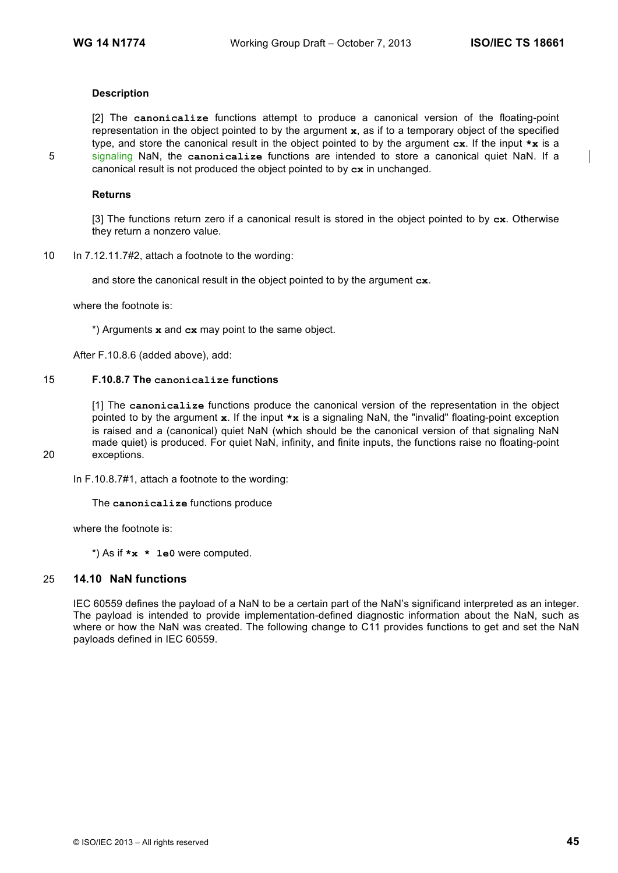## **Description**

[2] The **canonicalize** functions attempt to produce a canonical version of the floating-point representation in the object pointed to by the argument **x**, as if to a temporary object of the specified type, and store the canonical result in the object pointed to by the argument **cx**. If the input **\*x** is a 5 signaling NaN, the **canonicalize** functions are intended to store a canonical quiet NaN. If a canonical result is not produced the object pointed to by **cx** in unchanged.

#### **Returns**

[3] The functions return zero if a canonical result is stored in the object pointed to by **cx**. Otherwise they return a nonzero value.

10 In 7.12.11.7#2, attach a footnote to the wording:

and store the canonical result in the object pointed to by the argument **cx**.

where the footnote is:

\*) Arguments **x** and **cx** may point to the same object.

After F.10.8.6 (added above), add:

# 15 **F.10.8.7 The canonicalize functions**

[1] The **canonicalize** functions produce the canonical version of the representation in the object pointed to by the argument **x**. If the input **\*x** is a signaling NaN, the "invalid" floating-point exception is raised and a (canonical) quiet NaN (which should be the canonical version of that signaling NaN made quiet) is produced. For quiet NaN, infinity, and finite inputs, the functions raise no floating-point 20 exceptions.

In F.10.8.7#1, attach a footnote to the wording:

The **canonicalize** functions produce

where the footnote is:

\*) As if **\*x \* 1e0** were computed.

#### 25 **14.10 NaN functions**

IEC 60559 defines the payload of a NaN to be a certain part of the NaN's significand interpreted as an integer. The payload is intended to provide implementation-defined diagnostic information about the NaN, such as where or how the NaN was created. The following change to C11 provides functions to get and set the NaN payloads defined in IEC 60559.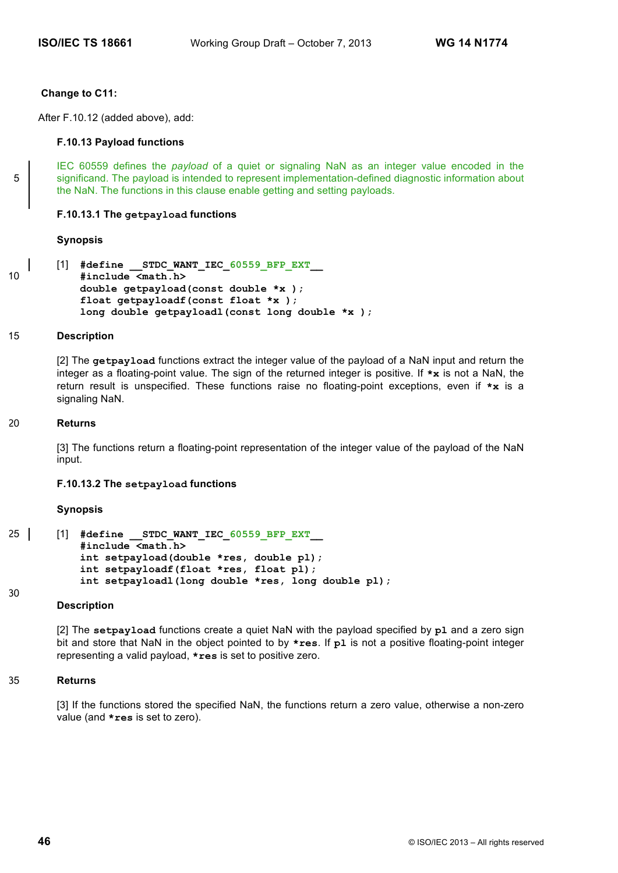#### **Change to C11:**

After F.10.12 (added above), add:

#### **F.10.13 Payload functions**

IEC 60559 defines the *payload* of a quiet or signaling NaN as an integer value encoded in the 5 significand. The payload is intended to represent implementation-defined diagnostic information about the NaN. The functions in this clause enable getting and setting payloads.

#### **F.10.13.1 The getpayload functions**

#### **Synopsis**

```
[1] #define __STDC_WANT_IEC_60559_BFP_EXT__
10 #include <math.h>
           double getpayload(const double *x );
           float getpayloadf(const float *x );
           long double getpayloadl(const long double *x );
```
#### 15 **Description**

[2] The **getpayload** functions extract the integer value of the payload of a NaN input and return the integer as a floating-point value. The sign of the returned integer is positive. If **\*x** is not a NaN, the return result is unspecified. These functions raise no floating-point exceptions, even if **\*x** is a signaling NaN.

#### 20 **Returns**

[3] The functions return a floating-point representation of the integer value of the payload of the NaN input.

# **F.10.13.2 The setpayload functions**

#### **Synopsis**

```
25 | [1] #define STDC WANT IEC 60559 BFP EXT
           #include <math.h>
           int setpayload(double *res, double pl);
           int setpayloadf(float *res, float pl);
           int setpayloadl(long double *res, long double pl);
```
#### 30

#### **Description**

[2] The **setpayload** functions create a quiet NaN with the payload specified by **pl** and a zero sign bit and store that NaN in the object pointed to by **\*res**. If **pl** is not a positive floating-point integer representing a valid payload, **\*res** is set to positive zero.

#### 35 **Returns**

[3] If the functions stored the specified NaN, the functions return a zero value, otherwise a non-zero value (and **\*res** is set to zero).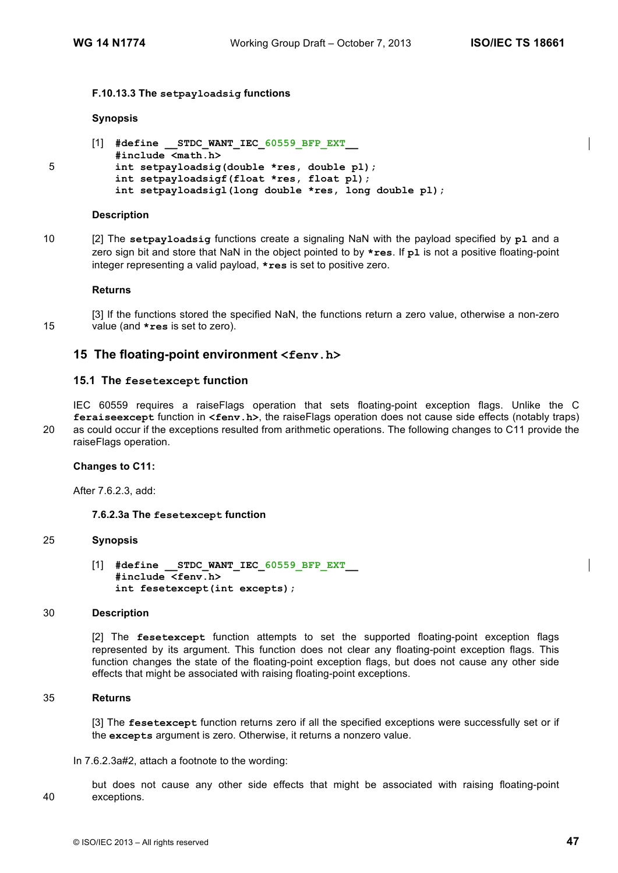## **F.10.13.3 The setpayloadsig functions**

#### **Synopsis**

```
[1] #define STDC WANT IEC 60559 BFP EXT
          #include <math.h>
5 int setpayloadsig(double *res, double pl);
          int setpayloadsigf(float *res, float pl);
          int setpayloadsigl(long double *res, long double pl);
```
#### **Description**

10 [2] The **setpayloadsig** functions create a signaling NaN with the payload specified by **pl** and a zero sign bit and store that NaN in the object pointed to by **\*res**. If **pl** is not a positive floating-point integer representing a valid payload, **\*res** is set to positive zero.

#### **Returns**

[3] If the functions stored the specified NaN, the functions return a zero value, otherwise a non-zero 15 value (and **\*res** is set to zero).

# **15 The floating-point environment <fenv.h>**

#### **15.1 The fesetexcept function**

IEC 60559 requires a raiseFlags operation that sets floating-point exception flags. Unlike the C **feraiseexcept** function in **<fenv.h>**, the raiseFlags operation does not cause side effects (notably traps) 20 as could occur if the exceptions resulted from arithmetic operations. The following changes to C11 provide the raiseFlags operation.

#### **Changes to C11:**

After 7.6.2.3, add:

#### **7.6.2.3a The fesetexcept function**

#### 25 **Synopsis**

[1] **#define \_\_STDC\_WANT\_IEC\_60559\_BFP\_EXT\_\_ #include <fenv.h> int fesetexcept(int excepts);**

#### 30 **Description**

[2] The **fesetexcept** function attempts to set the supported floating-point exception flags represented by its argument. This function does not clear any floating-point exception flags. This function changes the state of the floating-point exception flags, but does not cause any other side effects that might be associated with raising floating-point exceptions.

#### 35 **Returns**

[3] The **fesetexcept** function returns zero if all the specified exceptions were successfully set or if the **excepts** argument is zero. Otherwise, it returns a nonzero value.

In 7.6.2.3a#2, attach a footnote to the wording:

but does not cause any other side effects that might be associated with raising floating-point 40 exceptions.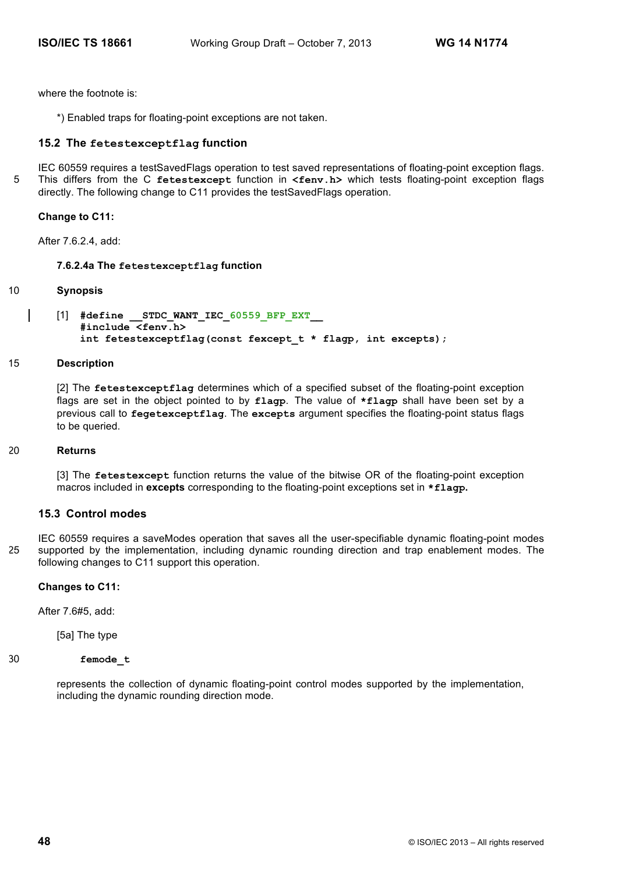where the footnote is:

\*) Enabled traps for floating-point exceptions are not taken.

# **15.2 The fetestexceptflag function**

IEC 60559 requires a testSavedFlags operation to test saved representations of floating-point exception flags. 5 This differs from the C **fetestexcept** function in **<fenv.h>** which tests floating-point exception flags directly. The following change to C11 provides the testSavedFlags operation.

## **Change to C11:**

After 7.6.2.4, add:

# **7.6.2.4a The fetestexceptflag function**

#### 10 **Synopsis**

[1] **#define \_\_STDC\_WANT\_IEC\_60559\_BFP\_EXT\_\_ #include <fenv.h> int fetestexceptflag(const fexcept\_t \* flagp, int excepts);**

#### 15 **Description**

[2] The **fetestexceptflag** determines which of a specified subset of the floating-point exception flags are set in the object pointed to by **flagp**. The value of **\*flagp** shall have been set by a previous call to **fegetexceptflag**. The **excepts** argument specifies the floating-point status flags to be queried.

#### 20 **Returns**

[3] The **fetestexcept** function returns the value of the bitwise OR of the floating-point exception macros included in **excepts** corresponding to the floating-point exceptions set in **\*flagp.**

# **15.3 Control modes**

IEC 60559 requires a saveModes operation that saves all the user-specifiable dynamic floating-point modes 25 supported by the implementation, including dynamic rounding direction and trap enablement modes. The following changes to C11 support this operation.

#### **Changes to C11:**

After 7.6#5, add:

[5a] The type

# 30 **femode\_t**

represents the collection of dynamic floating-point control modes supported by the implementation, including the dynamic rounding direction mode.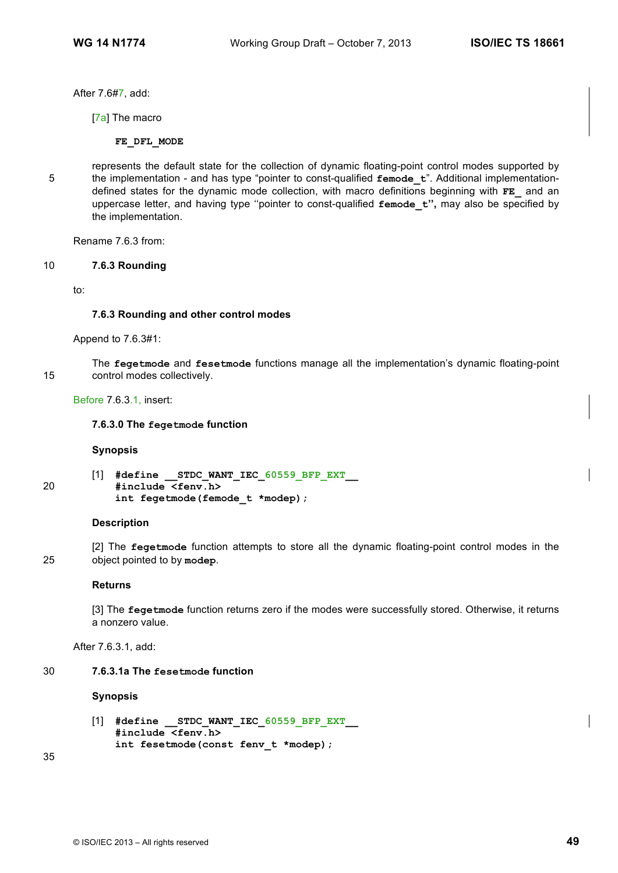After 7.6#7, add:

[7a] The macro

**FE\_DFL\_MODE**

represents the default state for the collection of dynamic floating-point control modes supported by 5 the implementation - and has type "pointer to const-qualified **femode\_t**". Additional implementationdefined states for the dynamic mode collection, with macro definitions beginning with **FE\_** and an uppercase letter, and having type ''pointer to const-qualified **femode\_t'',** may also be specified by the implementation.

Rename 7.6.3 from:

# 10 **7.6.3 Rounding**

to:

#### **7.6.3 Rounding and other control modes**

Append to 7.6.3#1:

The **fegetmode** and **fesetmode** functions manage all the implementation's dynamic floating-point 15 control modes collectively.

Before 7.6.3.1, insert:

#### **7.6.3.0 The fegetmode function**

#### **Synopsis**

[1] **#define \_\_STDC\_WANT\_IEC\_60559\_BFP\_EXT\_\_** 20 **#include <fenv.h> int fegetmode(femode\_t \*modep);** 

#### **Description**

[2] The **fegetmode** function attempts to store all the dynamic floating-point control modes in the 25 object pointed to by **modep**.

#### **Returns**

[3] The **fegetmode** function returns zero if the modes were successfully stored. Otherwise, it returns a nonzero value.

After 7.6.3.1, add:

# 30 **7.6.3.1a The fesetmode function**

# **Synopsis**

[1] **#define \_\_STDC\_WANT\_IEC\_60559\_BFP\_EXT\_\_ #include <fenv.h> int fesetmode(const fenv\_t \*modep);**

35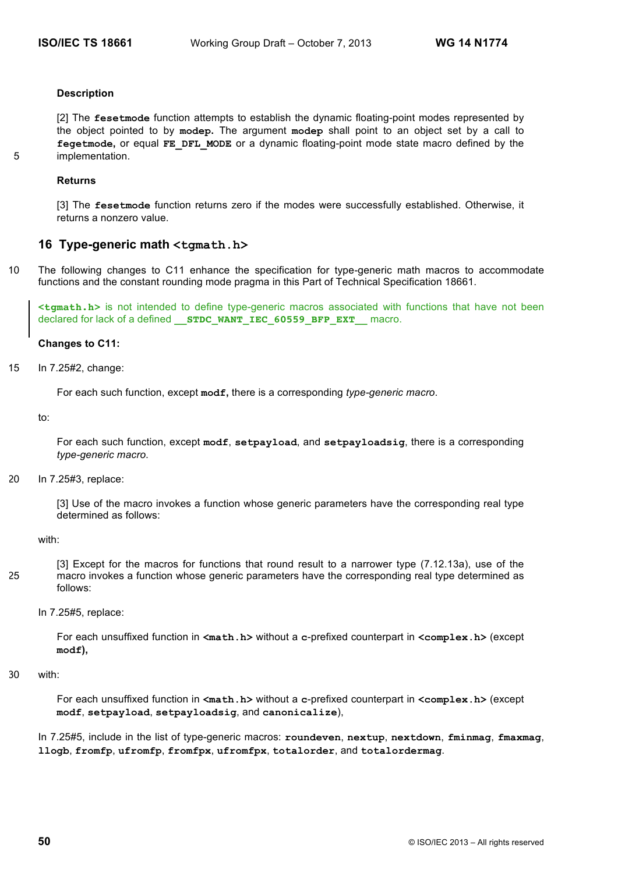#### **Description**

[2] The **fesetmode** function attempts to establish the dynamic floating-point modes represented by the object pointed to by **modep.** The argument **modep** shall point to an object set by a call to **fegetmode,** or equal **FE\_DFL\_MODE** or a dynamic floating-point mode state macro defined by the 5 implementation.

#### **Returns**

[3] The **fesetmode** function returns zero if the modes were successfully established. Otherwise, it returns a nonzero value.

# **16 Type-generic math <tgmath.h>**

10 The following changes to C11 enhance the specification for type-generic math macros to accommodate functions and the constant rounding mode pragma in this Part of Technical Specification 18661.

**<tgmath.h>** is not intended to define type-generic macros associated with functions that have not been declared for lack of a defined **STDC WANT\_IEC\_60559\_BFP\_EXT\_\_** macro.

#### **Changes to C11:**

15 In 7.25#2, change:

For each such function, except **modf,** there is a corresponding *type-generic macro*.

to:

For each such function, except **modf**, **setpayload**, and **setpayloadsig**, there is a corresponding *type-generic macro*.

20 In 7.25#3, replace:

[3] Use of the macro invokes a function whose generic parameters have the corresponding real type determined as follows:

with:

- [3] Except for the macros for functions that round result to a narrower type (7.12.13a), use of the 25 macro invokes a function whose generic parameters have the corresponding real type determined as follows:
	- In 7.25#5, replace:

For each unsuffixed function in **<math.h>** without a **c**-prefixed counterpart in **<complex.h>** (except **modf),**

30 with:

For each unsuffixed function in  $\langle \text{match}, h \rangle$  without a c-prefixed counterpart in  $\langle \text{complete}, h \rangle$  (except **modf**, **setpayload**, **setpayloadsig**, and **canonicalize**),

In 7.25#5, include in the list of type-generic macros: **roundeven**, **nextup**, **nextdown**, **fminmag**, **fmaxmag**, **llogb**, **fromfp**, **ufromfp**, **fromfpx**, **ufromfpx**, **totalorder**, and **totalordermag**.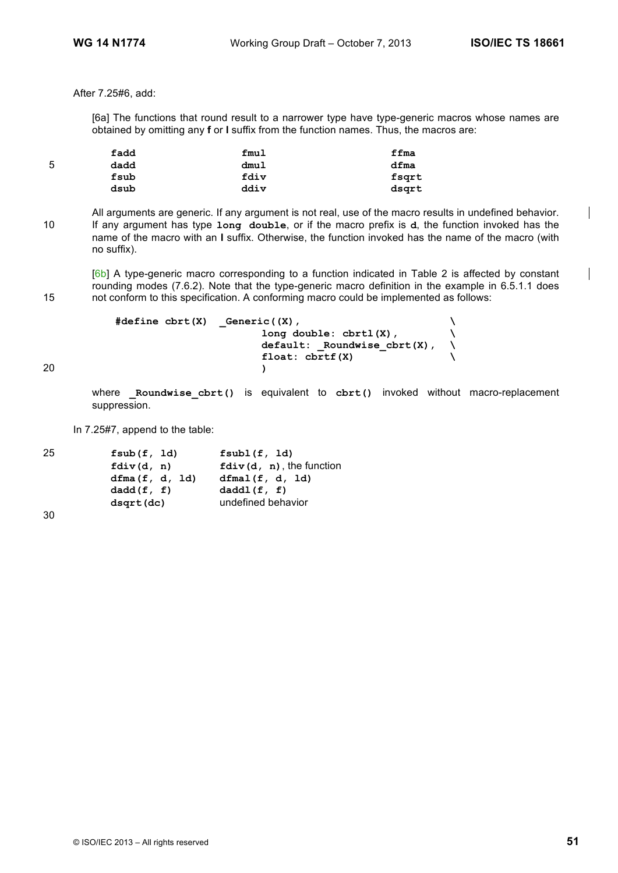After 7.25#6, add:

[6a] The functions that round result to a narrower type have type-generic macros whose names are obtained by omitting any **f** or **l** suffix from the function names. Thus, the macros are:

|   | fadd | fmul | ffma  |
|---|------|------|-------|
| 5 | dadd | dmul | dfma  |
|   | fsub | fdiv | fsqrt |
|   | dsub | ddiv | dsgrt |

All arguments are generic. If any argument is not real, use of the macro results in undefined behavior. 10 If any argument has type **long double**, or if the macro prefix is **d**, the function invoked has the name of the macro with an **l** suffix. Otherwise, the function invoked has the name of the macro (with no suffix).

[6b] A type-generic macro corresponding to a function indicated in Table 2 is affected by constant rounding modes (7.6.2). Note that the type-generic macro definition in the example in 6.5.1.1 does 15 not conform to this specification. A conforming macro could be implemented as follows:

```
#define cbrt(X) _Generic((X), \
                           long double: cbrtl(X), \
                           default: _Roundwise_cbrt(X), \
                           float: cbrtf(X) \
20 )
```
where **Roundwise** cbrt() is equivalent to cbrt() invoked without macro-replacement suppression.

In 7.25#7, append to the table:

| 25 | fsub(f, Id)    | fsub1(f, 1d)                |  |
|----|----------------|-----------------------------|--|
|    | fdiv(d, n)     | $fdiv(d, n)$ , the function |  |
|    | dfma(f, d, 1d) | dfmal(f, d, 1d)             |  |
|    | dadd(f, f)     | daddl(f, f)                 |  |
|    | dsqrt(dc)      | undefined behavior          |  |
|    |                |                             |  |

30